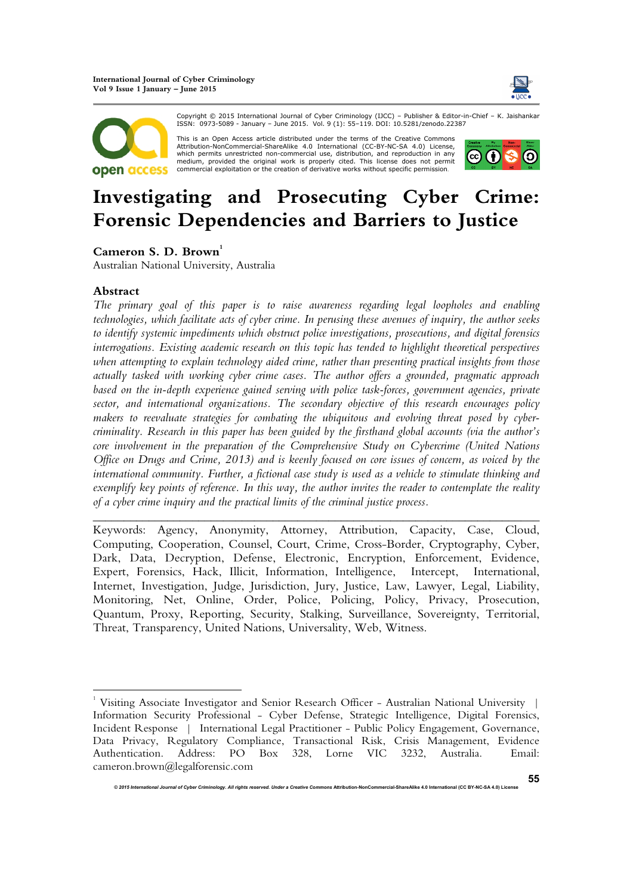



Copyright © 2015 International Journal of Cyber Criminology (IJCC) – Publisher & Editor-in-Chief – K. Jaishankar ISSN: 0973-5089 - January – June 2015. Vol. 9 (1): 55–119. DOI: 10.5281/zenodo.22387

This is an Open Access article distributed under the terms of the Creative Commons Attribution-NonCommercial-ShareAlike 4.0 International (CC-BY-NC-SA 4.0) License, which permits unrestricted non-commercial use, distribution, and reproduction in any<br>medium, provided the original work is properly cited. This license does not permit commercial exploitation or the creation of derivative works without specific permission.



# **Investigating and Prosecuting Cyber Crime: Forensic Dependencies and Barriers to Justice**

Cameron S. D. Brown<sup>1</sup>

Australian National University, Australia

## **Abstract**

*The primary goal of this paper is to raise awareness regarding legal loopholes and enabling technologies, which facilitate acts of cyber crime. In perusing these avenues of inquiry, the author seeks to identify systemic impediments which obstruct police investigations, prosecutions, and digital forensics interrogations. Existing academic research on this topic has tended to highlight theoretical perspectives when attempting to explain technology aided crime, rather than presenting practical insights from those actually tasked with working cyber crime cases. The author offers a grounded, pragmatic approach based on the in-depth experience gained serving with police task-forces, government agencies, private sector, and international organizations. The secondary objective of this research encourages policy makers to reevaluate strategies for combating the ubiquitous and evolving threat posed by cybercriminality. Research in this paper has been guided by the firsthand global accounts (via the author's core involvement in the preparation of the Comprehensive Study on Cybercrime (United Nations Office on Drugs and Crime, 2013) and is keenly focused on core issues of concern, as voiced by the international community. Further, a fictional case study is used as a vehicle to stimulate thinking and exemplify key points of reference. In this way, the author invites the reader to contemplate the reality of a cyber crime inquiry and the practical limits of the criminal justice process.* 

Keywords: Agency, Anonymity, Attorney, Attribution, Capacity, Case, Cloud, Computing, Cooperation, Counsel, Court, Crime, Cross-Border, Cryptography, Cyber, Dark, Data, Decryption, Defense, Electronic, Encryption, Enforcement, Evidence, Expert, Forensics, Hack, Illicit, Information, Intelligence, Intercept, International, Internet, Investigation, Judge, Jurisdiction, Jury, Justice, Law, Lawyer, Legal, Liability, Monitoring, Net, Online, Order, Police, Policing, Policy, Privacy, Prosecution, Quantum, Proxy, Reporting, Security, Stalking, Surveillance, Sovereignty, Territorial, Threat, Transparency, United Nations, Universality, Web, Witness.

*\_\_\_\_\_\_\_\_\_\_\_\_\_\_\_\_\_\_\_\_\_\_\_\_\_\_\_\_\_\_\_\_\_\_\_\_\_\_\_\_\_\_\_\_\_\_\_\_\_\_\_\_\_\_\_\_\_\_\_\_\_\_\_\_\_\_\_\_\_\_\_\_* 

<sup>&</sup>lt;sup>1</sup> Visiting Associate Investigator and Senior Research Officer - Australian National University | Information Security Professional - Cyber Defense, Strategic Intelligence, Digital Forensics, Incident Response | International Legal Practitioner - Public Policy Engagement, Governance, Data Privacy, Regulatory Compliance, Transactional Risk, Crisis Management, Evidence Authentication. Address: PO Box 328, Lorne VIC 3232, Australia. Email: cameron.brown@legalforensic.com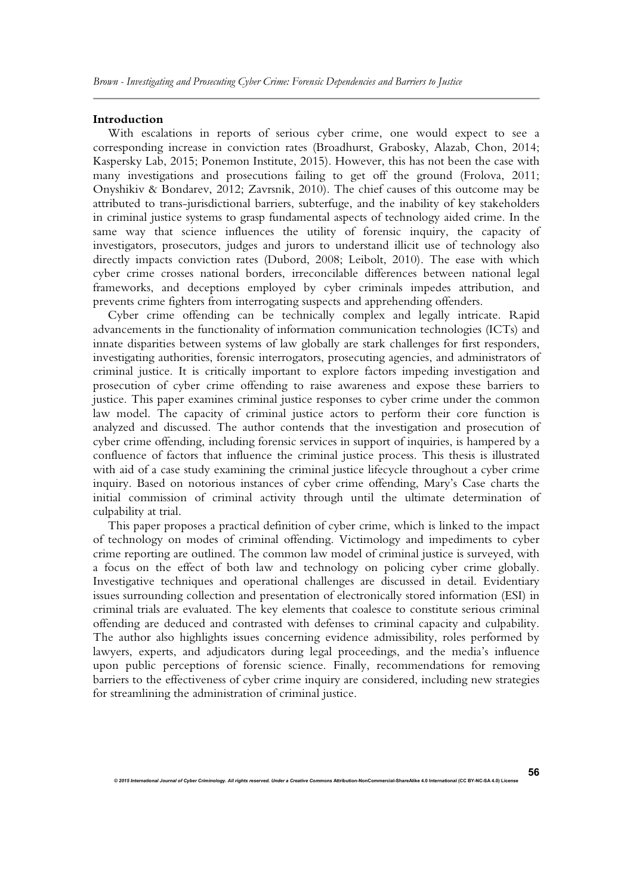#### **Introduction**

With escalations in reports of serious cyber crime, one would expect to see a corresponding increase in conviction rates (Broadhurst, Grabosky, Alazab, Chon, 2014; Kaspersky Lab, 2015; Ponemon Institute, 2015). However, this has not been the case with many investigations and prosecutions failing to get off the ground (Frolova, 2011; Onyshikiv & Bondarev, 2012; Zavrsnik, 2010). The chief causes of this outcome may be attributed to trans-jurisdictional barriers, subterfuge, and the inability of key stakeholders in criminal justice systems to grasp fundamental aspects of technology aided crime. In the same way that science influences the utility of forensic inquiry, the capacity of investigators, prosecutors, judges and jurors to understand illicit use of technology also directly impacts conviction rates (Dubord, 2008; Leibolt, 2010). The ease with which cyber crime crosses national borders, irreconcilable differences between national legal frameworks, and deceptions employed by cyber criminals impedes attribution, and prevents crime fighters from interrogating suspects and apprehending offenders.

Cyber crime offending can be technically complex and legally intricate. Rapid advancements in the functionality of information communication technologies (ICTs) and innate disparities between systems of law globally are stark challenges for first responders, investigating authorities, forensic interrogators, prosecuting agencies, and administrators of criminal justice. It is critically important to explore factors impeding investigation and prosecution of cyber crime offending to raise awareness and expose these barriers to justice. This paper examines criminal justice responses to cyber crime under the common law model. The capacity of criminal justice actors to perform their core function is analyzed and discussed. The author contends that the investigation and prosecution of cyber crime offending, including forensic services in support of inquiries, is hampered by a confluence of factors that influence the criminal justice process. This thesis is illustrated with aid of a case study examining the criminal justice lifecycle throughout a cyber crime inquiry. Based on notorious instances of cyber crime offending, Mary's Case charts the initial commission of criminal activity through until the ultimate determination of culpability at trial.

This paper proposes a practical definition of cyber crime, which is linked to the impact of technology on modes of criminal offending. Victimology and impediments to cyber crime reporting are outlined. The common law model of criminal justice is surveyed, with a focus on the effect of both law and technology on policing cyber crime globally. Investigative techniques and operational challenges are discussed in detail. Evidentiary issues surrounding collection and presentation of electronically stored information (ESI) in criminal trials are evaluated. The key elements that coalesce to constitute serious criminal offending are deduced and contrasted with defenses to criminal capacity and culpability. The author also highlights issues concerning evidence admissibility, roles performed by lawyers, experts, and adjudicators during legal proceedings, and the media's influence upon public perceptions of forensic science. Finally, recommendations for removing barriers to the effectiveness of cyber crime inquiry are considered, including new strategies for streamlining the administration of criminal justice.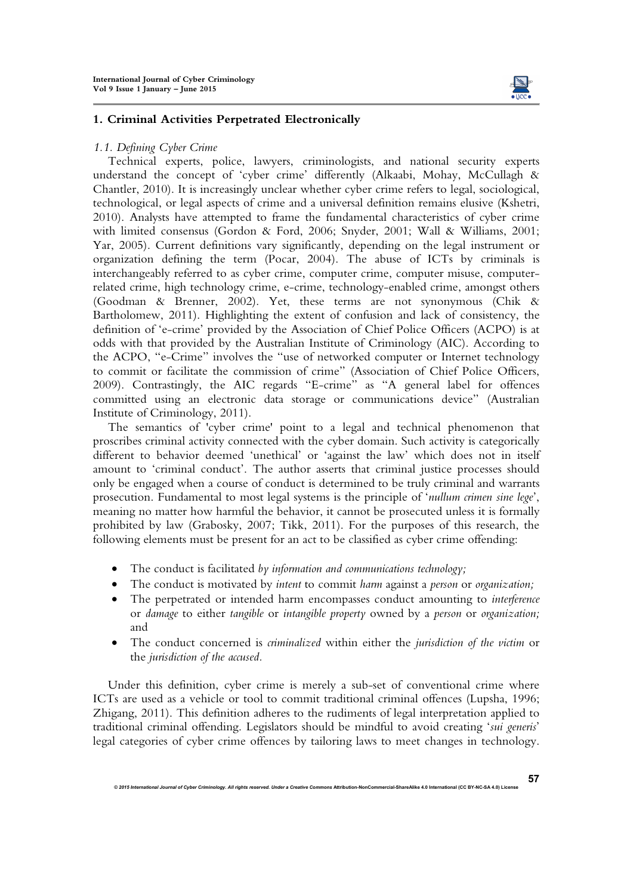

## **1. Criminal Activities Perpetrated Electronically**

#### *1.1. Defining Cyber Crime*

Technical experts, police, lawyers, criminologists, and national security experts understand the concept of 'cyber crime' differently (Alkaabi, Mohay, McCullagh & Chantler, 2010). It is increasingly unclear whether cyber crime refers to legal, sociological, technological, or legal aspects of crime and a universal definition remains elusive (Kshetri, 2010). Analysts have attempted to frame the fundamental characteristics of cyber crime with limited consensus (Gordon & Ford, 2006; Snyder, 2001; Wall & Williams, 2001; Yar, 2005). Current definitions vary significantly, depending on the legal instrument or organization defining the term (Pocar, 2004). The abuse of ICTs by criminals is interchangeably referred to as cyber crime, computer crime, computer misuse, computerrelated crime, high technology crime, e-crime, technology-enabled crime, amongst others (Goodman & Brenner, 2002). Yet, these terms are not synonymous (Chik & Bartholomew, 2011). Highlighting the extent of confusion and lack of consistency, the definition of 'e-crime' provided by the Association of Chief Police Officers (ACPO) is at odds with that provided by the Australian Institute of Criminology (AIC). According to the ACPO, "e-Crime" involves the "use of networked computer or Internet technology to commit or facilitate the commission of crime" (Association of Chief Police Officers, 2009). Contrastingly, the AIC regards "E-crime" as "A general label for offences committed using an electronic data storage or communications device" (Australian Institute of Criminology, 2011).

The semantics of 'cyber crime' point to a legal and technical phenomenon that proscribes criminal activity connected with the cyber domain. Such activity is categorically different to behavior deemed 'unethical' or 'against the law' which does not in itself amount to 'criminal conduct'. The author asserts that criminal justice processes should only be engaged when a course of conduct is determined to be truly criminal and warrants prosecution. Fundamental to most legal systems is the principle of '*nullum crimen sine lege*', meaning no matter how harmful the behavior, it cannot be prosecuted unless it is formally prohibited by law (Grabosky, 2007; Tikk, 2011). For the purposes of this research, the following elements must be present for an act to be classified as cyber crime offending:

- The conduct is facilitated *by information and communications technology;*
- The conduct is motivated by *intent* to commit *harm* against a *person* or *organization;*
- The perpetrated or intended harm encompasses conduct amounting to *interference* or *damage* to either *tangible* or *intangible property* owned by a *person* or *organization;*  and
- The conduct concerned is *criminalized* within either the *jurisdiction of the victim* or the *jurisdiction of the accused.*

Under this definition, cyber crime is merely a sub-set of conventional crime where ICTs are used as a vehicle or tool to commit traditional criminal offences (Lupsha, 1996; Zhigang, 2011). This definition adheres to the rudiments of legal interpretation applied to traditional criminal offending. Legislators should be mindful to avoid creating '*sui generis*' legal categories of cyber crime offences by tailoring laws to meet changes in technology.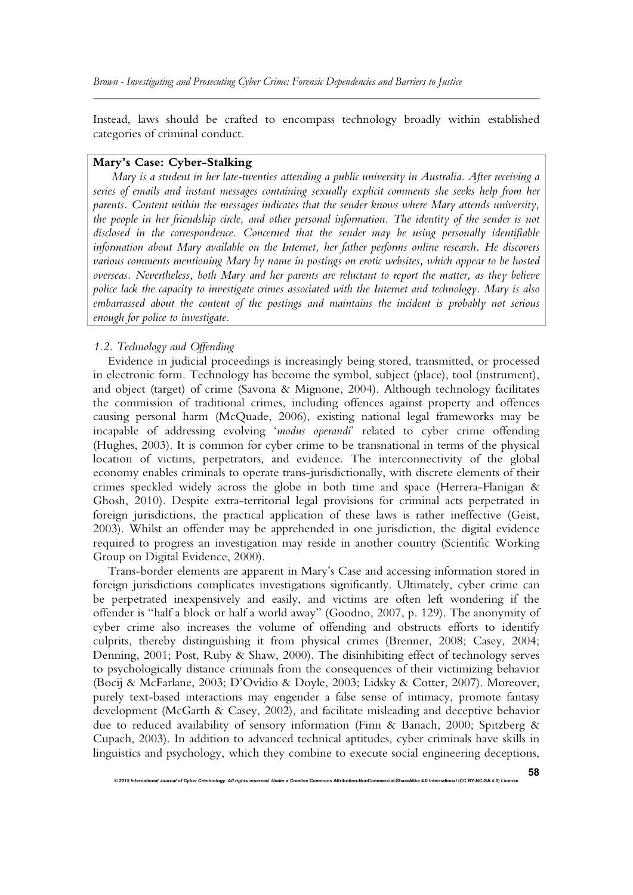Instead, laws should be crafted to encompass technology broadly within established categories of criminal conduct.

## **Mary's Case: Cyber-Stalking**

*Mary is a student in her late-twenties attending a public university in Australia. After receiving a series of emails and instant messages containing sexually explicit comments she seeks help from her parents. Content within the messages indicates that the sender knows where Mary attends university, the people in her friendship circle, and other personal information. The identity of the sender is not disclosed in the correspondence. Concerned that the sender may be using personally identifiable information about Mary available on the Internet, her father performs online research. He discovers various comments mentioning Mary by name in postings on erotic websites, which appear to be hosted overseas. Nevertheless, both Mary and her parents are reluctant to report the matter, as they believe police lack the capacity to investigate crimes associated with the Internet and technology. Mary is also embarrassed about the content of the postings and maintains the incident is probably not serious enough for police to investigate.* 

## *1.2. Technology and Offending*

Evidence in judicial proceedings is increasingly being stored, transmitted, or processed in electronic form. Technology has become the symbol, subject (place), tool (instrument), and object (target) of crime (Savona & Mignone, 2004). Although technology facilitates the commission of traditional crimes, including offences against property and offences causing personal harm (McQuade, 2006), existing national legal frameworks may be incapable of addressing evolving '*modus operandi*' related to cyber crime offending (Hughes, 2003). It is common for cyber crime to be transnational in terms of the physical location of victims, perpetrators, and evidence. The interconnectivity of the global economy enables criminals to operate trans-jurisdictionally, with discrete elements of their crimes speckled widely across the globe in both time and space (Herrera-Flanigan & Ghosh, 2010). Despite extra-territorial legal provisions for criminal acts perpetrated in foreign jurisdictions, the practical application of these laws is rather ineffective (Geist, 2003). Whilst an offender may be apprehended in one jurisdiction, the digital evidence required to progress an investigation may reside in another country (Scientific Working Group on Digital Evidence, 2000).

Trans-border elements are apparent in Mary's Case and accessing information stored in foreign jurisdictions complicates investigations significantly. Ultimately, cyber crime can be perpetrated inexpensively and easily, and victims are often left wondering if the offender is "half a block or half a world away" (Goodno, 2007, p. 129). The anonymity of cyber crime also increases the volume of offending and obstructs efforts to identify culprits, thereby distinguishing it from physical crimes (Brenner, 2008; Casey, 2004; Denning, 2001; Post, Ruby & Shaw, 2000). The disinhibiting effect of technology serves to psychologically distance criminals from the consequences of their victimizing behavior (Bocij & McFarlane, 2003; D'Ovidio & Doyle, 2003; Lidsky & Cotter, 2007). Moreover, purely text-based interactions may engender a false sense of intimacy, promote fantasy development (McGarth & Casey, 2002), and facilitate misleading and deceptive behavior due to reduced availability of sensory information (Finn & Banach, 2000; Spitzberg & Cupach, 2003). In addition to advanced technical aptitudes, cyber criminals have skills in linguistics and psychology, which they combine to execute social engineering deceptions,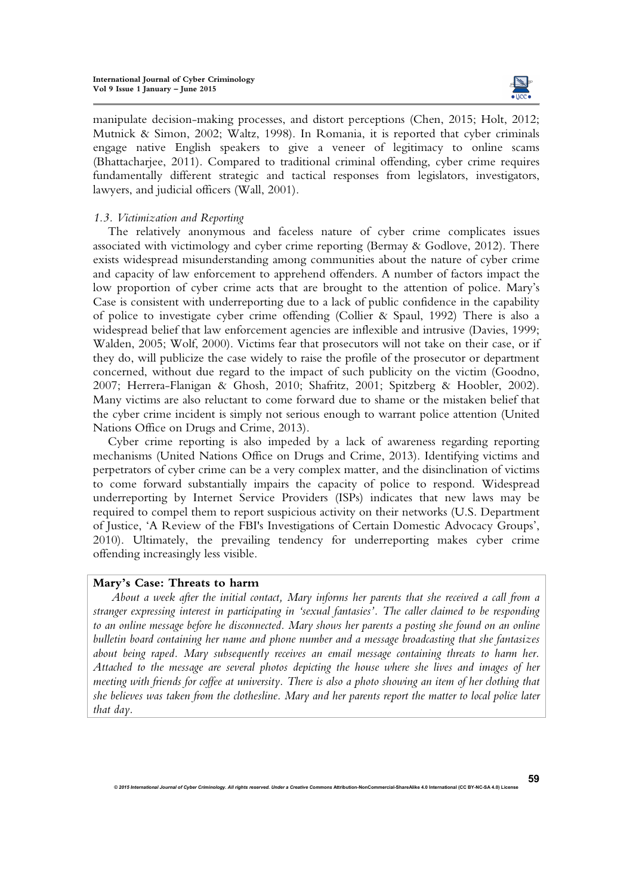

manipulate decision-making processes, and distort perceptions (Chen, 2015; Holt, 2012; Mutnick & Simon, 2002; Waltz, 1998). In Romania, it is reported that cyber criminals engage native English speakers to give a veneer of legitimacy to online scams (Bhattacharjee, 2011). Compared to traditional criminal offending, cyber crime requires fundamentally different strategic and tactical responses from legislators, investigators, lawyers, and judicial officers (Wall, 2001).

## *1.3. Victimization and Reporting*

The relatively anonymous and faceless nature of cyber crime complicates issues associated with victimology and cyber crime reporting (Bermay & Godlove, 2012). There exists widespread misunderstanding among communities about the nature of cyber crime and capacity of law enforcement to apprehend offenders. A number of factors impact the low proportion of cyber crime acts that are brought to the attention of police. Mary's Case is consistent with underreporting due to a lack of public confidence in the capability of police to investigate cyber crime offending (Collier & Spaul, 1992) There is also a widespread belief that law enforcement agencies are inflexible and intrusive (Davies, 1999; Walden, 2005; Wolf, 2000). Victims fear that prosecutors will not take on their case, or if they do, will publicize the case widely to raise the profile of the prosecutor or department concerned, without due regard to the impact of such publicity on the victim (Goodno, 2007; Herrera-Flanigan & Ghosh, 2010; Shafritz, 2001; Spitzberg & Hoobler, 2002). Many victims are also reluctant to come forward due to shame or the mistaken belief that the cyber crime incident is simply not serious enough to warrant police attention (United Nations Office on Drugs and Crime, 2013).

Cyber crime reporting is also impeded by a lack of awareness regarding reporting mechanisms (United Nations Office on Drugs and Crime, 2013). Identifying victims and perpetrators of cyber crime can be a very complex matter, and the disinclination of victims to come forward substantially impairs the capacity of police to respond. Widespread underreporting by Internet Service Providers (ISPs) indicates that new laws may be required to compel them to report suspicious activity on their networks (U.S. Department of Justice, 'A Review of the FBI's Investigations of Certain Domestic Advocacy Groups', 2010). Ultimately, the prevailing tendency for underreporting makes cyber crime offending increasingly less visible.

## **Mary's Case: Threats to harm**

*About a week after the initial contact, Mary informs her parents that she received a call from a stranger expressing interest in participating in 'sexual fantasies'. The caller claimed to be responding to an online message before he disconnected. Mary shows her parents a posting she found on an online bulletin board containing her name and phone number and a message broadcasting that she fantasizes about being raped. Mary subsequently receives an email message containing threats to harm her. Attached to the message are several photos depicting the house where she lives and images of her meeting with friends for coffee at university. There is also a photo showing an item of her clothing that she believes was taken from the clothesline. Mary and her parents report the matter to local police later that day.*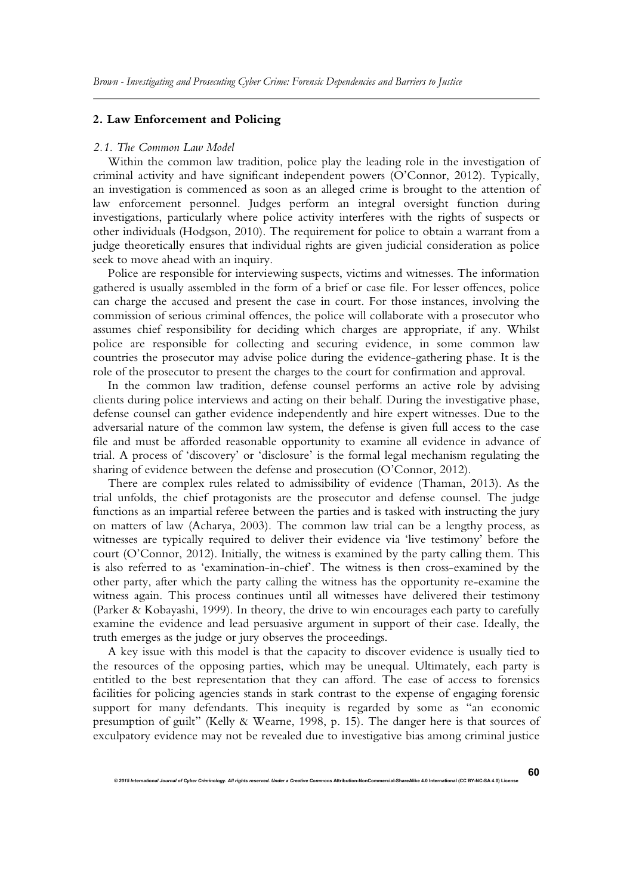## **2. Law Enforcement and Policing**

#### *2.1. The Common Law Model*

Within the common law tradition, police play the leading role in the investigation of criminal activity and have significant independent powers (O'Connor, 2012). Typically, an investigation is commenced as soon as an alleged crime is brought to the attention of law enforcement personnel. Judges perform an integral oversight function during investigations, particularly where police activity interferes with the rights of suspects or other individuals (Hodgson, 2010). The requirement for police to obtain a warrant from a judge theoretically ensures that individual rights are given judicial consideration as police seek to move ahead with an inquiry.

Police are responsible for interviewing suspects, victims and witnesses. The information gathered is usually assembled in the form of a brief or case file. For lesser offences, police can charge the accused and present the case in court. For those instances, involving the commission of serious criminal offences, the police will collaborate with a prosecutor who assumes chief responsibility for deciding which charges are appropriate, if any. Whilst police are responsible for collecting and securing evidence, in some common law countries the prosecutor may advise police during the evidence-gathering phase. It is the role of the prosecutor to present the charges to the court for confirmation and approval.

In the common law tradition, defense counsel performs an active role by advising clients during police interviews and acting on their behalf. During the investigative phase, defense counsel can gather evidence independently and hire expert witnesses. Due to the adversarial nature of the common law system, the defense is given full access to the case file and must be afforded reasonable opportunity to examine all evidence in advance of trial. A process of 'discovery' or 'disclosure' is the formal legal mechanism regulating the sharing of evidence between the defense and prosecution (O'Connor, 2012).

There are complex rules related to admissibility of evidence (Thaman, 2013). As the trial unfolds, the chief protagonists are the prosecutor and defense counsel. The judge functions as an impartial referee between the parties and is tasked with instructing the jury on matters of law (Acharya, 2003). The common law trial can be a lengthy process, as witnesses are typically required to deliver their evidence via 'live testimony' before the court (O'Connor, 2012). Initially, the witness is examined by the party calling them. This is also referred to as 'examination-in-chief'. The witness is then cross-examined by the other party, after which the party calling the witness has the opportunity re-examine the witness again. This process continues until all witnesses have delivered their testimony (Parker & Kobayashi, 1999). In theory, the drive to win encourages each party to carefully examine the evidence and lead persuasive argument in support of their case. Ideally, the truth emerges as the judge or jury observes the proceedings.

A key issue with this model is that the capacity to discover evidence is usually tied to the resources of the opposing parties, which may be unequal. Ultimately, each party is entitled to the best representation that they can afford. The ease of access to forensics facilities for policing agencies stands in stark contrast to the expense of engaging forensic support for many defendants. This inequity is regarded by some as "an economic presumption of guilt" (Kelly & Wearne, 1998, p. 15). The danger here is that sources of exculpatory evidence may not be revealed due to investigative bias among criminal justice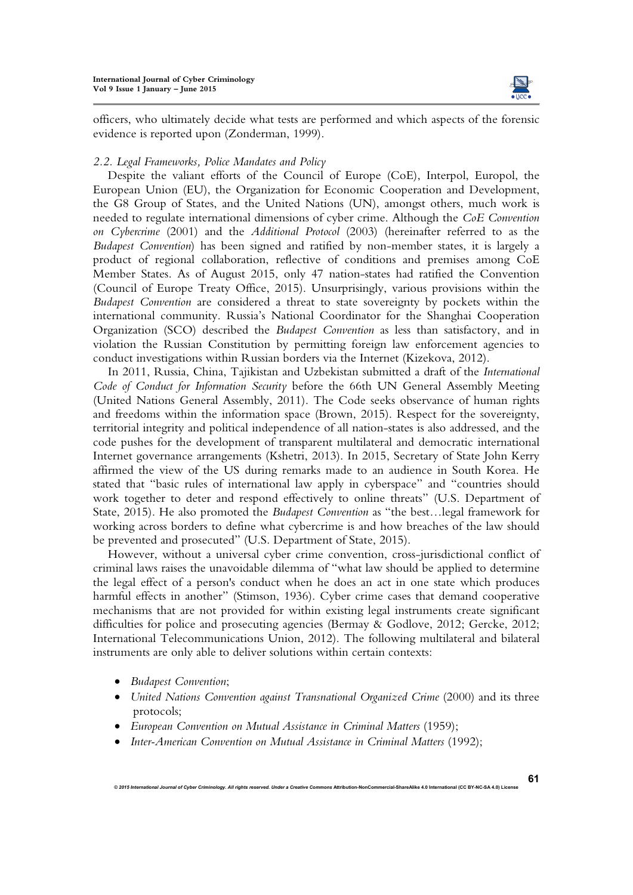

officers, who ultimately decide what tests are performed and which aspects of the forensic evidence is reported upon (Zonderman, 1999).

## *2.2. Legal Frameworks, Police Mandates and Policy*

Despite the valiant efforts of the Council of Europe (CoE), Interpol, Europol, the European Union (EU), the Organization for Economic Cooperation and Development, the G8 Group of States, and the United Nations (UN), amongst others, much work is needed to regulate international dimensions of cyber crime. Although the *CoE Convention on Cybercrime* (2001) and the *Additional Protocol* (2003) (hereinafter referred to as the *Budapest Convention*) has been signed and ratified by non-member states, it is largely a product of regional collaboration, reflective of conditions and premises among CoE Member States. As of August 2015, only 47 nation-states had ratified the Convention (Council of Europe Treaty Office, 2015). Unsurprisingly, various provisions within the *Budapest Convention* are considered a threat to state sovereignty by pockets within the international community. Russia's National Coordinator for the Shanghai Cooperation Organization (SCO) described the *Budapest Convention* as less than satisfactory, and in violation the Russian Constitution by permitting foreign law enforcement agencies to conduct investigations within Russian borders via the Internet (Kizekova, 2012).

In 2011, Russia, China, Tajikistan and Uzbekistan submitted a draft of the *International Code of Conduct for Information Security* before the 66th UN General Assembly Meeting (United Nations General Assembly, 2011). The Code seeks observance of human rights and freedoms within the information space (Brown, 2015). Respect for the sovereignty, territorial integrity and political independence of all nation-states is also addressed, and the code pushes for the development of transparent multilateral and democratic international Internet governance arrangements (Kshetri, 2013). In 2015, Secretary of State John Kerry affirmed the view of the US during remarks made to an audience in South Korea. He stated that "basic rules of international law apply in cyberspace" and "countries should work together to deter and respond effectively to online threats" (U.S. Department of State, 2015). He also promoted the *Budapest Convention* as "the best…legal framework for working across borders to define what cybercrime is and how breaches of the law should be prevented and prosecuted" (U.S. Department of State, 2015).

However, without a universal cyber crime convention, cross-jurisdictional conflict of criminal laws raises the unavoidable dilemma of "what law should be applied to determine the legal effect of a person's conduct when he does an act in one state which produces harmful effects in another" (Stimson, 1936). Cyber crime cases that demand cooperative mechanisms that are not provided for within existing legal instruments create significant difficulties for police and prosecuting agencies (Bermay & Godlove, 2012; Gercke, 2012; International Telecommunications Union, 2012). The following multilateral and bilateral instruments are only able to deliver solutions within certain contexts:

- *Budapest Convention*;
- *United Nations Convention against Transnational Organized Crime* (2000) and its three protocols;
- *European Convention on Mutual Assistance in Criminal Matters* (1959);
- *Inter-American Convention on Mutual Assistance in Criminal Matters* (1992);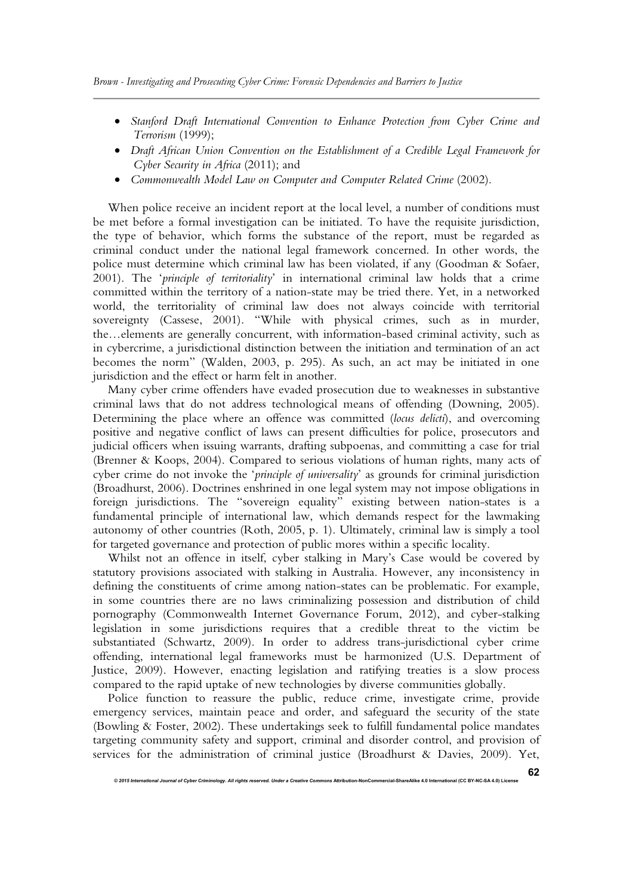- *Stanford Draft International Convention to Enhance Protection from Cyber Crime and Terrorism* (1999);
- *Draft African Union Convention on the Establishment of a Credible Legal Framework for Cyber Security in Africa* (2011); and
- *Commonwealth Model Law on Computer and Computer Related Crime* (2002).

When police receive an incident report at the local level, a number of conditions must be met before a formal investigation can be initiated. To have the requisite jurisdiction, the type of behavior, which forms the substance of the report, must be regarded as criminal conduct under the national legal framework concerned. In other words, the police must determine which criminal law has been violated, if any (Goodman & Sofaer, 2001). The '*principle of territoriality*' in international criminal law holds that a crime committed within the territory of a nation-state may be tried there. Yet, in a networked world, the territoriality of criminal law does not always coincide with territorial sovereignty (Cassese, 2001). "While with physical crimes, such as in murder, the…elements are generally concurrent, with information-based criminal activity, such as in cybercrime, a jurisdictional distinction between the initiation and termination of an act becomes the norm" (Walden, 2003, p. 295). As such, an act may be initiated in one jurisdiction and the effect or harm felt in another.

Many cyber crime offenders have evaded prosecution due to weaknesses in substantive criminal laws that do not address technological means of offending (Downing, 2005). Determining the place where an offence was committed (*locus delicti*), and overcoming positive and negative conflict of laws can present difficulties for police, prosecutors and judicial officers when issuing warrants, drafting subpoenas, and committing a case for trial (Brenner & Koops, 2004). Compared to serious violations of human rights, many acts of cyber crime do not invoke the '*principle of universality*' as grounds for criminal jurisdiction (Broadhurst, 2006). Doctrines enshrined in one legal system may not impose obligations in foreign jurisdictions. The "sovereign equality" existing between nation-states is a fundamental principle of international law, which demands respect for the lawmaking autonomy of other countries (Roth, 2005, p. 1). Ultimately, criminal law is simply a tool for targeted governance and protection of public mores within a specific locality.

Whilst not an offence in itself, cyber stalking in Mary's Case would be covered by statutory provisions associated with stalking in Australia. However, any inconsistency in defining the constituents of crime among nation-states can be problematic. For example, in some countries there are no laws criminalizing possession and distribution of child pornography (Commonwealth Internet Governance Forum, 2012), and cyber-stalking legislation in some jurisdictions requires that a credible threat to the victim be substantiated (Schwartz, 2009). In order to address trans-jurisdictional cyber crime offending, international legal frameworks must be harmonized (U.S. Department of Justice, 2009). However, enacting legislation and ratifying treaties is a slow process compared to the rapid uptake of new technologies by diverse communities globally.

Police function to reassure the public, reduce crime, investigate crime, provide emergency services, maintain peace and order, and safeguard the security of the state (Bowling & Foster, 2002). These undertakings seek to fulfill fundamental police mandates targeting community safety and support, criminal and disorder control, and provision of services for the administration of criminal justice (Broadhurst & Davies, 2009). Yet,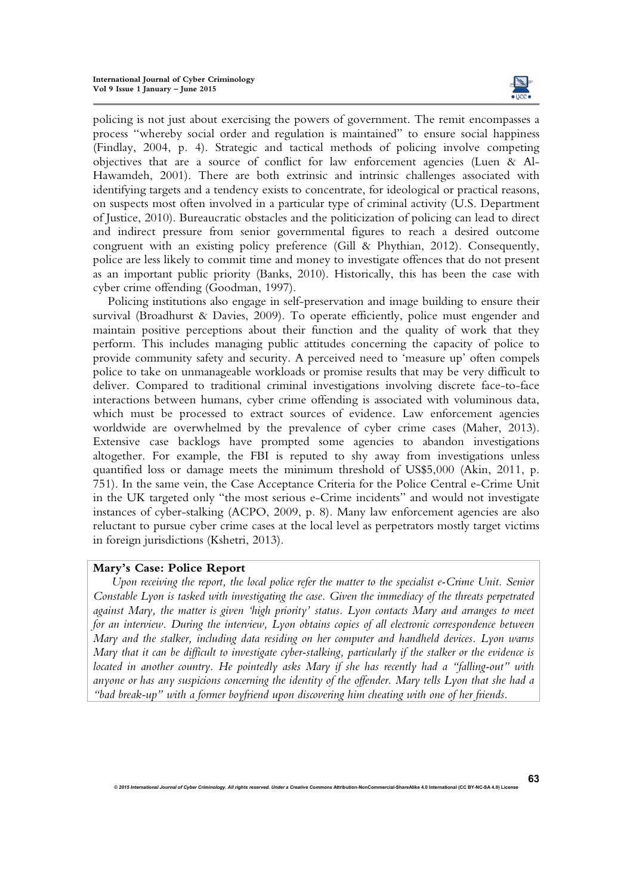

policing is not just about exercising the powers of government. The remit encompasses a process "whereby social order and regulation is maintained" to ensure social happiness (Findlay, 2004, p. 4). Strategic and tactical methods of policing involve competing objectives that are a source of conflict for law enforcement agencies (Luen & Al-Hawamdeh, 2001). There are both extrinsic and intrinsic challenges associated with identifying targets and a tendency exists to concentrate, for ideological or practical reasons, on suspects most often involved in a particular type of criminal activity (U.S. Department of Justice, 2010). Bureaucratic obstacles and the politicization of policing can lead to direct and indirect pressure from senior governmental figures to reach a desired outcome congruent with an existing policy preference (Gill & Phythian, 2012). Consequently, police are less likely to commit time and money to investigate offences that do not present as an important public priority (Banks, 2010). Historically, this has been the case with cyber crime offending (Goodman, 1997).

Policing institutions also engage in self-preservation and image building to ensure their survival (Broadhurst & Davies, 2009). To operate efficiently, police must engender and maintain positive perceptions about their function and the quality of work that they perform. This includes managing public attitudes concerning the capacity of police to provide community safety and security. A perceived need to 'measure up' often compels police to take on unmanageable workloads or promise results that may be very difficult to deliver. Compared to traditional criminal investigations involving discrete face-to-face interactions between humans, cyber crime offending is associated with voluminous data, which must be processed to extract sources of evidence. Law enforcement agencies worldwide are overwhelmed by the prevalence of cyber crime cases (Maher, 2013). Extensive case backlogs have prompted some agencies to abandon investigations altogether. For example, the FBI is reputed to shy away from investigations unless quantified loss or damage meets the minimum threshold of US\$5,000 (Akin, 2011, p. 751). In the same vein, the Case Acceptance Criteria for the Police Central e-Crime Unit in the UK targeted only "the most serious e-Crime incidents" and would not investigate instances of cyber-stalking (ACPO, 2009, p. 8). Many law enforcement agencies are also reluctant to pursue cyber crime cases at the local level as perpetrators mostly target victims in foreign jurisdictions (Kshetri, 2013).

## **Mary's Case: Police Report**

*Upon receiving the report, the local police refer the matter to the specialist e-Crime Unit. Senior Constable Lyon is tasked with investigating the case. Given the immediacy of the threats perpetrated against Mary, the matter is given 'high priority' status. Lyon contacts Mary and arranges to meet for an interview. During the interview, Lyon obtains copies of all electronic correspondence between Mary and the stalker, including data residing on her computer and handheld devices. Lyon warns Mary that it can be difficult to investigate cyber-stalking, particularly if the stalker or the evidence is located in another country. He pointedly asks Mary if she has recently had a "falling-out" with anyone or has any suspicions concerning the identity of the offender. Mary tells Lyon that she had a "bad break-up" with a former boyfriend upon discovering him cheating with one of her friends.*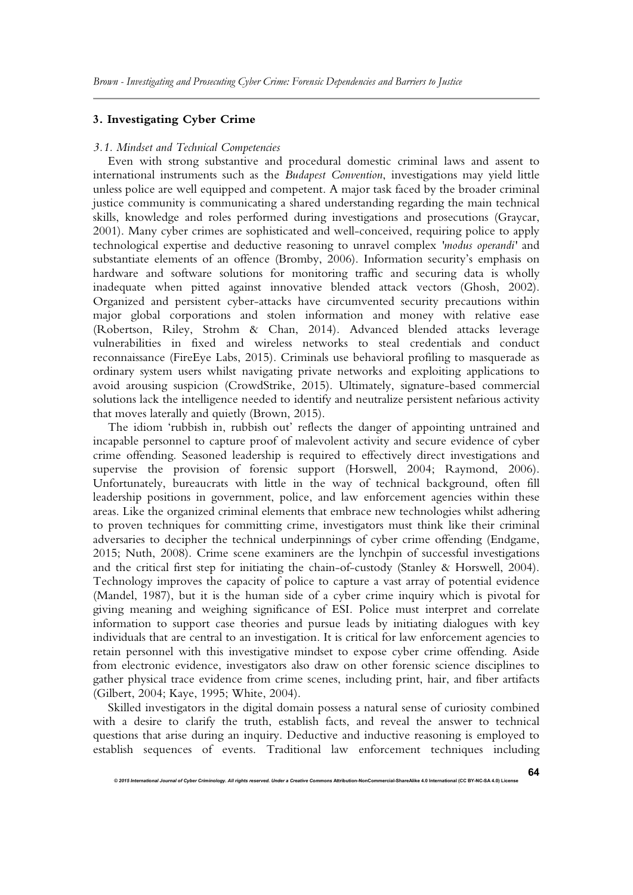## **3. Investigating Cyber Crime**

#### *3.1. Mindset and Technical Competencies*

Even with strong substantive and procedural domestic criminal laws and assent to international instruments such as the *Budapest Convention*, investigations may yield little unless police are well equipped and competent. A major task faced by the broader criminal justice community is communicating a shared understanding regarding the main technical skills, knowledge and roles performed during investigations and prosecutions (Graycar, 2001). Many cyber crimes are sophisticated and well-conceived, requiring police to apply technological expertise and deductive reasoning to unravel complex *'modus operandi'* and substantiate elements of an offence (Bromby, 2006). Information security's emphasis on hardware and software solutions for monitoring traffic and securing data is wholly inadequate when pitted against innovative blended attack vectors (Ghosh, 2002). Organized and persistent cyber-attacks have circumvented security precautions within major global corporations and stolen information and money with relative ease (Robertson, Riley, Strohm & Chan, 2014). Advanced blended attacks leverage vulnerabilities in fixed and wireless networks to steal credentials and conduct reconnaissance (FireEye Labs, 2015). Criminals use behavioral profiling to masquerade as ordinary system users whilst navigating private networks and exploiting applications to avoid arousing suspicion (CrowdStrike, 2015). Ultimately, signature-based commercial solutions lack the intelligence needed to identify and neutralize persistent nefarious activity that moves laterally and quietly (Brown, 2015).

The idiom 'rubbish in, rubbish out' reflects the danger of appointing untrained and incapable personnel to capture proof of malevolent activity and secure evidence of cyber crime offending. Seasoned leadership is required to effectively direct investigations and supervise the provision of forensic support (Horswell, 2004; Raymond, 2006). Unfortunately, bureaucrats with little in the way of technical background, often fill leadership positions in government, police, and law enforcement agencies within these areas. Like the organized criminal elements that embrace new technologies whilst adhering to proven techniques for committing crime, investigators must think like their criminal adversaries to decipher the technical underpinnings of cyber crime offending (Endgame, 2015; Nuth, 2008). Crime scene examiners are the lynchpin of successful investigations and the critical first step for initiating the chain-of-custody (Stanley & Horswell, 2004). Technology improves the capacity of police to capture a vast array of potential evidence (Mandel, 1987), but it is the human side of a cyber crime inquiry which is pivotal for giving meaning and weighing significance of ESI. Police must interpret and correlate information to support case theories and pursue leads by initiating dialogues with key individuals that are central to an investigation. It is critical for law enforcement agencies to retain personnel with this investigative mindset to expose cyber crime offending. Aside from electronic evidence, investigators also draw on other forensic science disciplines to gather physical trace evidence from crime scenes, including print, hair, and fiber artifacts (Gilbert, 2004; Kaye, 1995; White, 2004).

Skilled investigators in the digital domain possess a natural sense of curiosity combined with a desire to clarify the truth, establish facts, and reveal the answer to technical questions that arise during an inquiry. Deductive and inductive reasoning is employed to establish sequences of events. Traditional law enforcement techniques including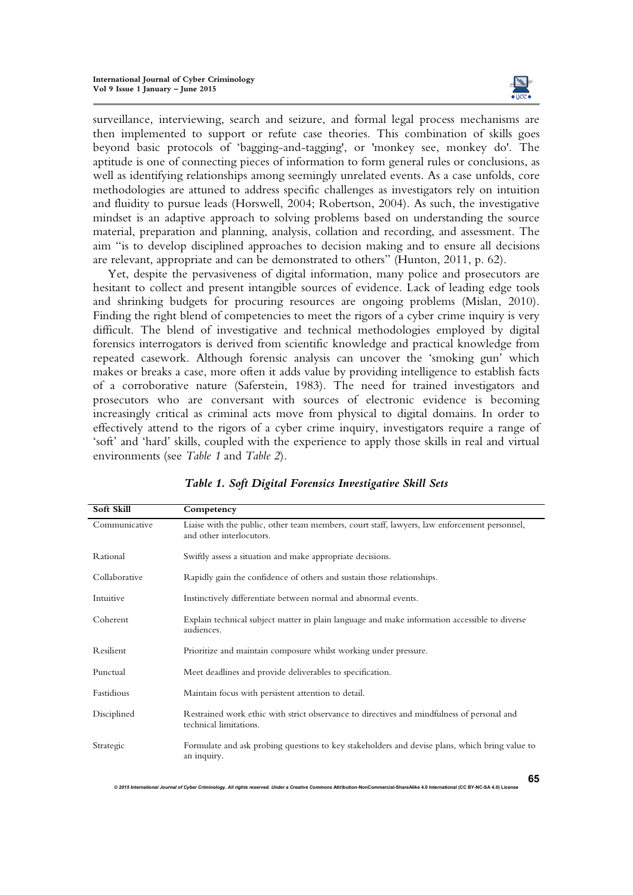

**65**

surveillance, interviewing, search and seizure, and formal legal process mechanisms are then implemented to support or refute case theories. This combination of skills goes beyond basic protocols of 'bagging-and-tagging', or 'monkey see, monkey do'. The aptitude is one of connecting pieces of information to form general rules or conclusions, as well as identifying relationships among seemingly unrelated events. As a case unfolds, core methodologies are attuned to address specific challenges as investigators rely on intuition and fluidity to pursue leads (Horswell, 2004; Robertson, 2004). As such, the investigative mindset is an adaptive approach to solving problems based on understanding the source material, preparation and planning, analysis, collation and recording, and assessment. The aim "is to develop disciplined approaches to decision making and to ensure all decisions are relevant, appropriate and can be demonstrated to others" (Hunton, 2011, p. 62).

Yet, despite the pervasiveness of digital information, many police and prosecutors are hesitant to collect and present intangible sources of evidence. Lack of leading edge tools and shrinking budgets for procuring resources are ongoing problems (Mislan, 2010). Finding the right blend of competencies to meet the rigors of a cyber crime inquiry is very difficult. The blend of investigative and technical methodologies employed by digital forensics interrogators is derived from scientific knowledge and practical knowledge from repeated casework. Although forensic analysis can uncover the 'smoking gun' which makes or breaks a case, more often it adds value by providing intelligence to establish facts of a corroborative nature (Saferstein, 1983). The need for trained investigators and prosecutors who are conversant with sources of electronic evidence is becoming increasingly critical as criminal acts move from physical to digital domains. In order to effectively attend to the rigors of a cyber crime inquiry, investigators require a range of 'soft' and 'hard' skills, coupled with the experience to apply those skills in real and virtual environments (see *Table 1* and *Table 2*).

| Soft Skill    | Competency                                                                                                               |
|---------------|--------------------------------------------------------------------------------------------------------------------------|
| Communicative | Liaise with the public, other team members, court staff, lawyers, law enforcement personnel,<br>and other interlocutors. |
| Rational      | Swiftly assess a situation and make appropriate decisions.                                                               |
| Collaborative | Rapidly gain the confidence of others and sustain those relationships.                                                   |
| Intuitive     | Instinctively differentiate between normal and abnormal events.                                                          |
| Coherent      | Explain technical subject matter in plain language and make information accessible to diverse<br>audiences.              |
| Resilient     | Prioritize and maintain composure whilst working under pressure.                                                         |
| Punctual      | Meet deadlines and provide deliverables to specification.                                                                |
| Fastidious    | Maintain focus with persistent attention to detail.                                                                      |
| Disciplined   | Restrained work ethic with strict observance to directives and mindfulness of personal and<br>technical limitations.     |
| Strategic     | Formulate and ask probing questions to key stakeholders and devise plans, which bring value to<br>an inquiry.            |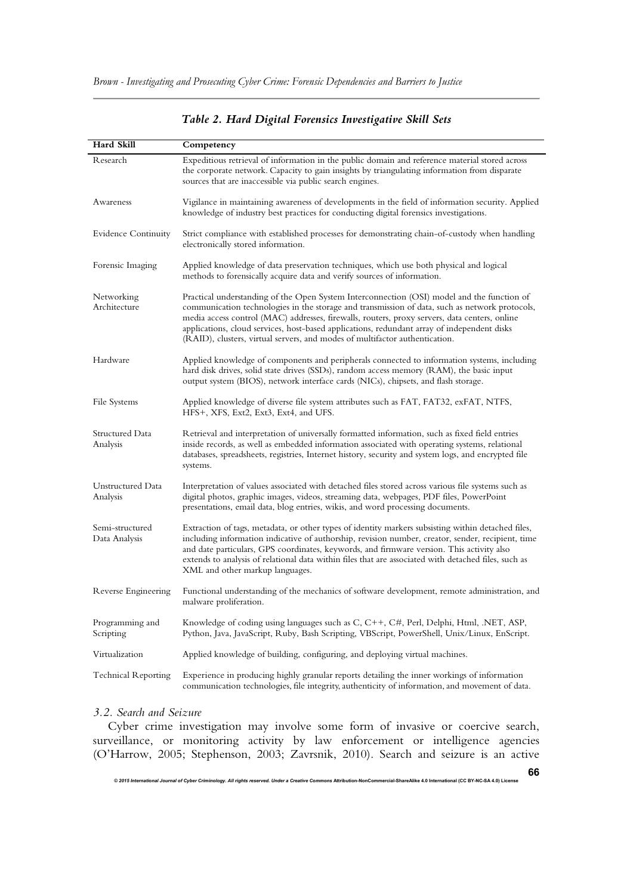| Hard Skill                       | Competency                                                                                                                                                                                                                                                                                                                                                                                                                                                                  |
|----------------------------------|-----------------------------------------------------------------------------------------------------------------------------------------------------------------------------------------------------------------------------------------------------------------------------------------------------------------------------------------------------------------------------------------------------------------------------------------------------------------------------|
| Research                         | Expeditious retrieval of information in the public domain and reference material stored across<br>the corporate network. Capacity to gain insights by triangulating information from disparate<br>sources that are inaccessible via public search engines.                                                                                                                                                                                                                  |
| Awareness                        | Vigilance in maintaining awareness of developments in the field of information security. Applied<br>knowledge of industry best practices for conducting digital forensics investigations.                                                                                                                                                                                                                                                                                   |
| <b>Evidence Continuity</b>       | Strict compliance with established processes for demonstrating chain-of-custody when handling<br>electronically stored information.                                                                                                                                                                                                                                                                                                                                         |
| Forensic Imaging                 | Applied knowledge of data preservation techniques, which use both physical and logical<br>methods to forensically acquire data and verify sources of information.                                                                                                                                                                                                                                                                                                           |
| Networking<br>Architecture       | Practical understanding of the Open System Interconnection (OSI) model and the function of<br>communication technologies in the storage and transmission of data, such as network protocols,<br>media access control (MAC) addresses, firewalls, routers, proxy servers, data centers, online<br>applications, cloud services, host-based applications, redundant array of independent disks<br>(RAID), clusters, virtual servers, and modes of multifactor authentication. |
| Hardware                         | Applied knowledge of components and peripherals connected to information systems, including<br>hard disk drives, solid state drives (SSDs), random access memory (RAM), the basic input<br>output system (BIOS), network interface cards (NICs), chipsets, and flash storage.                                                                                                                                                                                               |
| File Systems                     | Applied knowledge of diverse file system attributes such as FAT, FAT32, exFAT, NTFS,<br>HFS+, XFS, Ext2, Ext3, Ext4, and UFS.                                                                                                                                                                                                                                                                                                                                               |
| Structured Data<br>Analysis      | Retrieval and interpretation of universally formatted information, such as fixed field entries<br>inside records, as well as embedded information associated with operating systems, relational<br>databases, spreadsheets, registries, Internet history, security and system logs, and encrypted file<br>systems.                                                                                                                                                          |
| Unstructured Data<br>Analysis    | Interpretation of values associated with detached files stored across various file systems such as<br>digital photos, graphic images, videos, streaming data, webpages, PDF files, PowerPoint<br>presentations, email data, blog entries, wikis, and word processing documents.                                                                                                                                                                                             |
| Semi-structured<br>Data Analysis | Extraction of tags, metadata, or other types of identity markers subsisting within detached files,<br>including information indicative of authorship, revision number, creator, sender, recipient, time<br>and date particulars, GPS coordinates, keywords, and firmware version. This activity also<br>extends to analysis of relational data within files that are associated with detached files, such as<br>XML and other markup languages.                             |
| Reverse Engineering              | Functional understanding of the mechanics of software development, remote administration, and<br>malware proliferation.                                                                                                                                                                                                                                                                                                                                                     |
| Programming and<br>Scripting     | Knowledge of coding using languages such as C, C++, C#, Perl, Delphi, Html, .NET, ASP,<br>Python, Java, JavaScript, Ruby, Bash Scripting, VBScript, PowerShell, Unix/Linux, EnScript.                                                                                                                                                                                                                                                                                       |
| Virtualization                   | Applied knowledge of building, configuring, and deploying virtual machines.                                                                                                                                                                                                                                                                                                                                                                                                 |
| <b>Technical Reporting</b>       | Experience in producing highly granular reports detailing the inner workings of information<br>communication technologies, file integrity, authenticity of information, and movement of data.                                                                                                                                                                                                                                                                               |

## *Table 2. Hard Digital Forensics Investigative Skill Sets*

## *3.2. Search and Seizure*

Cyber crime investigation may involve some form of invasive or coercive search, surveillance, or monitoring activity by law enforcement or intelligence agencies (O'Harrow, 2005; Stephenson, 2003; Zavrsnik, 2010). Search and seizure is an active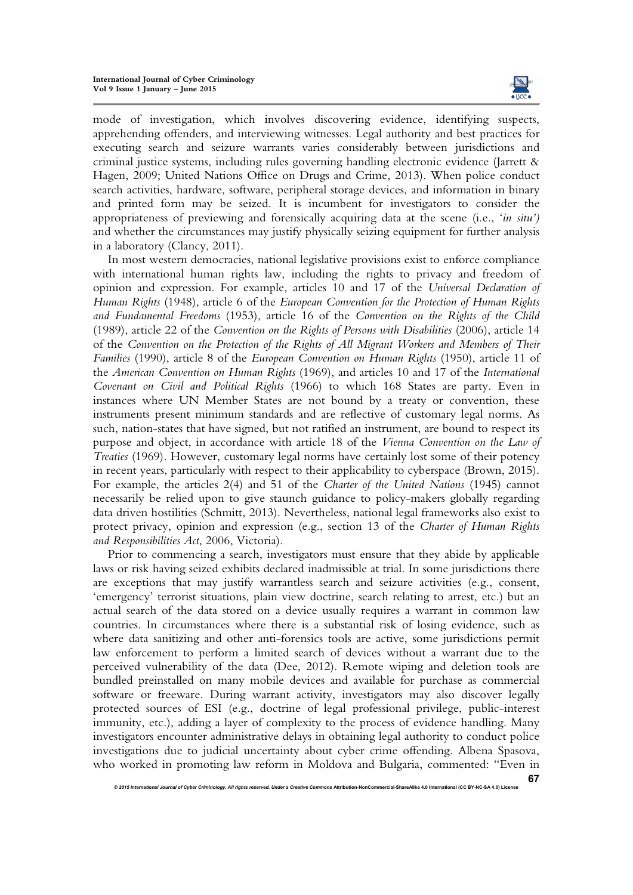

**67**

mode of investigation, which involves discovering evidence, identifying suspects, apprehending offenders, and interviewing witnesses. Legal authority and best practices for executing search and seizure warrants varies considerably between jurisdictions and criminal justice systems, including rules governing handling electronic evidence (Jarrett & Hagen, 2009; United Nations Office on Drugs and Crime, 2013). When police conduct search activities, hardware, software, peripheral storage devices, and information in binary and printed form may be seized. It is incumbent for investigators to consider the appropriateness of previewing and forensically acquiring data at the scene (i.e., '*in situ')* and whether the circumstances may justify physically seizing equipment for further analysis in a laboratory (Clancy, 2011).

In most western democracies, national legislative provisions exist to enforce compliance with international human rights law, including the rights to privacy and freedom of opinion and expression. For example, articles 10 and 17 of the *Universal Declaration of Human Rights* (1948), article 6 of the *European Convention for the Protection of Human Rights and Fundamental Freedoms* (1953), article 16 of the *Convention on the Rights of the Child* (1989), article 22 of the *Convention on the Rights of Persons with Disabilities* (2006), article 14 of the *Convention on the Protection of the Rights of All Migrant Workers and Members of Their Families* (1990), article 8 of the *European Convention on Human Rights* (1950), article 11 of the *American Convention on Human Rights* (1969), and articles 10 and 17 of the *International Covenant on Civil and Political Rights* (1966) to which 168 States are party. Even in instances where UN Member States are not bound by a treaty or convention, these instruments present minimum standards and are reflective of customary legal norms. As such, nation-states that have signed, but not ratified an instrument, are bound to respect its purpose and object, in accordance with article 18 of the *Vienna Convention on the Law of Treaties* (1969). However, customary legal norms have certainly lost some of their potency in recent years, particularly with respect to their applicability to cyberspace (Brown, 2015). For example, the articles 2(4) and 51 of the *Charter of the United Nations* (1945) cannot necessarily be relied upon to give staunch guidance to policy-makers globally regarding data driven hostilities (Schmitt, 2013). Nevertheless, national legal frameworks also exist to protect privacy, opinion and expression (e.g., section 13 of the *Charter of Human Rights and Responsibilities Act*, 2006, Victoria).

Prior to commencing a search, investigators must ensure that they abide by applicable laws or risk having seized exhibits declared inadmissible at trial. In some jurisdictions there are exceptions that may justify warrantless search and seizure activities (e.g., consent, 'emergency' terrorist situations, plain view doctrine, search relating to arrest, etc.) but an actual search of the data stored on a device usually requires a warrant in common law countries. In circumstances where there is a substantial risk of losing evidence, such as where data sanitizing and other anti-forensics tools are active, some jurisdictions permit law enforcement to perform a limited search of devices without a warrant due to the perceived vulnerability of the data (Dee, 2012). Remote wiping and deletion tools are bundled preinstalled on many mobile devices and available for purchase as commercial software or freeware. During warrant activity, investigators may also discover legally protected sources of ESI (e.g., doctrine of legal professional privilege, public-interest immunity, etc.), adding a layer of complexity to the process of evidence handling. Many investigators encounter administrative delays in obtaining legal authority to conduct police investigations due to judicial uncertainty about cyber crime offending. Albena Spasova, who worked in promoting law reform in Moldova and Bulgaria, commented: "Even in

*<sup>© 2015</sup> International Journal of Cyber Criminology. All rights reserved. Under a Creative Commons* **Attribution-NonCommercial-ShareAlike 4.0 International (CC BY-NC-SA 4.0) License**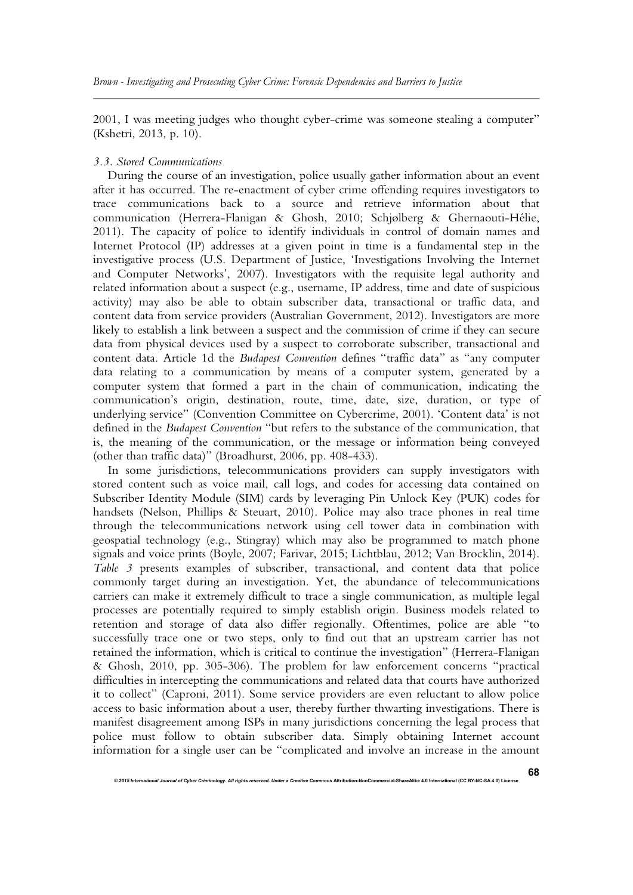2001, I was meeting judges who thought cyber-crime was someone stealing a computer" (Kshetri, 2013, p. 10).

### *3.3. Stored Communications*

During the course of an investigation, police usually gather information about an event after it has occurred. The re-enactment of cyber crime offending requires investigators to trace communications back to a source and retrieve information about that communication (Herrera-Flanigan & Ghosh, 2010; Schjølberg & Ghernaouti-Hélie, 2011). The capacity of police to identify individuals in control of domain names and Internet Protocol (IP) addresses at a given point in time is a fundamental step in the investigative process (U.S. Department of Justice, 'Investigations Involving the Internet and Computer Networks', 2007). Investigators with the requisite legal authority and related information about a suspect (e.g., username, IP address, time and date of suspicious activity) may also be able to obtain subscriber data, transactional or traffic data, and content data from service providers (Australian Government, 2012). Investigators are more likely to establish a link between a suspect and the commission of crime if they can secure data from physical devices used by a suspect to corroborate subscriber, transactional and content data. Article 1d the *Budapest Convention* defines "traffic data" as "any computer data relating to a communication by means of a computer system, generated by a computer system that formed a part in the chain of communication, indicating the communication's origin, destination, route, time, date, size, duration, or type of underlying service" (Convention Committee on Cybercrime, 2001). 'Content data' is not defined in the *Budapest Convention* "but refers to the substance of the communication, that is, the meaning of the communication, or the message or information being conveyed (other than traffic data)" (Broadhurst, 2006, pp. 408-433).

In some jurisdictions, telecommunications providers can supply investigators with stored content such as voice mail, call logs, and codes for accessing data contained on Subscriber Identity Module (SIM) cards by leveraging Pin Unlock Key (PUK) codes for handsets (Nelson, Phillips & Steuart, 2010). Police may also trace phones in real time through the telecommunications network using cell tower data in combination with geospatial technology (e.g., Stingray) which may also be programmed to match phone signals and voice prints (Boyle, 2007; Farivar, 2015; Lichtblau, 2012; Van Brocklin, 2014). *Table 3* presents examples of subscriber, transactional, and content data that police commonly target during an investigation. Yet, the abundance of telecommunications carriers can make it extremely difficult to trace a single communication, as multiple legal processes are potentially required to simply establish origin. Business models related to retention and storage of data also differ regionally. Oftentimes, police are able "to successfully trace one or two steps, only to find out that an upstream carrier has not retained the information, which is critical to continue the investigation" (Herrera-Flanigan & Ghosh, 2010, pp. 305-306). The problem for law enforcement concerns "practical difficulties in intercepting the communications and related data that courts have authorized it to collect" (Caproni, 2011). Some service providers are even reluctant to allow police access to basic information about a user, thereby further thwarting investigations. There is manifest disagreement among ISPs in many jurisdictions concerning the legal process that police must follow to obtain subscriber data. Simply obtaining Internet account information for a single user can be "complicated and involve an increase in the amount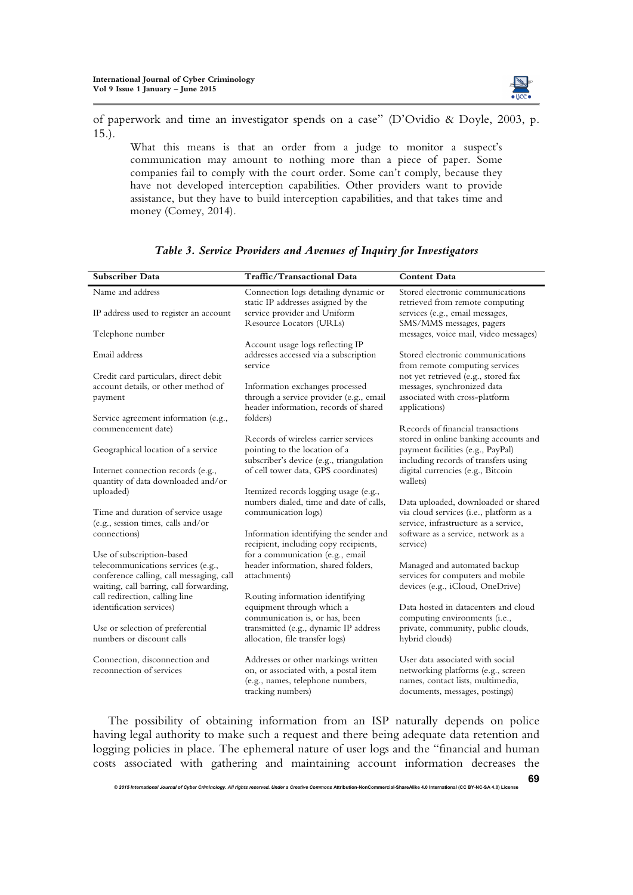

of paperwork and time an investigator spends on a case" (D'Ovidio & Doyle, 2003, p. 15.).

What this means is that an order from a judge to monitor a suspect's communication may amount to nothing more than a piece of paper. Some companies fail to comply with the court order. Some can't comply, because they have not developed interception capabilities. Other providers want to provide assistance, but they have to build interception capabilities, and that takes time and money (Comey, 2014).

| <b>Subscriber Data</b>                                                                                                                                 | Traffic/Transactional Data                                                                                                            | <b>Content Data</b>                                                                                                                           |
|--------------------------------------------------------------------------------------------------------------------------------------------------------|---------------------------------------------------------------------------------------------------------------------------------------|-----------------------------------------------------------------------------------------------------------------------------------------------|
| Name and address                                                                                                                                       | Connection logs detailing dynamic or<br>static IP addresses assigned by the                                                           | Stored electronic communications<br>retrieved from remote computing                                                                           |
| IP address used to register an account                                                                                                                 | service provider and Uniform<br>Resource Locators (URLs)                                                                              | services (e.g., email messages,<br>SMS/MMS messages, pagers                                                                                   |
| Telephone number                                                                                                                                       | Account usage logs reflecting IP                                                                                                      | messages, voice mail, video messages)                                                                                                         |
| Email address                                                                                                                                          | addresses accessed via a subscription<br>service                                                                                      | Stored electronic communications<br>from remote computing services                                                                            |
| Credit card particulars, direct debit<br>account details, or other method of<br>payment                                                                | Information exchanges processed<br>through a service provider (e.g., email<br>header information, records of shared                   | not yet retrieved (e.g., stored fax<br>messages, synchronized data<br>associated with cross-platform<br>applications)                         |
| Service agreement information (e.g.,<br>commencement date)                                                                                             | folders)                                                                                                                              | Records of financial transactions                                                                                                             |
| Geographical location of a service                                                                                                                     | Records of wireless carrier services<br>pointing to the location of a<br>subscriber's device (e.g., triangulation                     | stored in online banking accounts and<br>payment facilities (e.g., PayPal)<br>including records of transfers using                            |
| Internet connection records (e.g.,<br>quantity of data downloaded and/or                                                                               | of cell tower data, GPS coordinates)                                                                                                  | digital currencies (e.g., Bitcoin<br>wallets)                                                                                                 |
| uploaded)                                                                                                                                              | Itemized records logging usage (e.g.,<br>numbers dialed, time and date of calls,                                                      | Data uploaded, downloaded or shared                                                                                                           |
| Time and duration of service usage<br>(e.g., session times, calls and/or                                                                               | communication logs)                                                                                                                   | via cloud services (i.e., platform as a<br>service, infrastructure as a service,                                                              |
| connections)                                                                                                                                           | Information identifying the sender and<br>recipient, including copy recipients,                                                       | software as a service, network as a<br>service)                                                                                               |
| Use of subscription-based<br>telecommunications services (e.g.,<br>conference calling, call messaging, call<br>waiting, call barring, call forwarding, | for a communication (e.g., email<br>header information, shared folders,<br>attachments)                                               | Managed and automated backup<br>services for computers and mobile<br>devices (e.g., iCloud, OneDrive)                                         |
| call redirection, calling line<br>identification services)                                                                                             | Routing information identifying<br>equipment through which a                                                                          | Data hosted in datacenters and cloud                                                                                                          |
| Use or selection of preferential<br>numbers or discount calls                                                                                          | communication is, or has, been<br>transmitted (e.g., dynamic IP address<br>allocation, file transfer logs)                            | computing environments (i.e.,<br>private, community, public clouds,<br>hybrid clouds)                                                         |
| Connection, disconnection and<br>reconnection of services                                                                                              | Addresses or other markings written<br>on, or associated with, a postal item<br>(e.g., names, telephone numbers,<br>tracking numbers) | User data associated with social<br>networking platforms (e.g., screen<br>names, contact lists, multimedia,<br>documents, messages, postings) |

## *Table 3. Service Providers and Avenues of Inquiry for Investigators*

The possibility of obtaining information from an ISP naturally depends on police having legal authority to make such a request and there being adequate data retention and logging policies in place. The ephemeral nature of user logs and the "financial and human costs associated with gathering and maintaining account information decreases the

*© 2015 International Journal of Cyber Criminology. All rights reserved. Under a Creative Commons* **Attribution-NonCommercial-ShareAlike 4.0 International (CC BY-NC-SA 4.0) License** 

**69**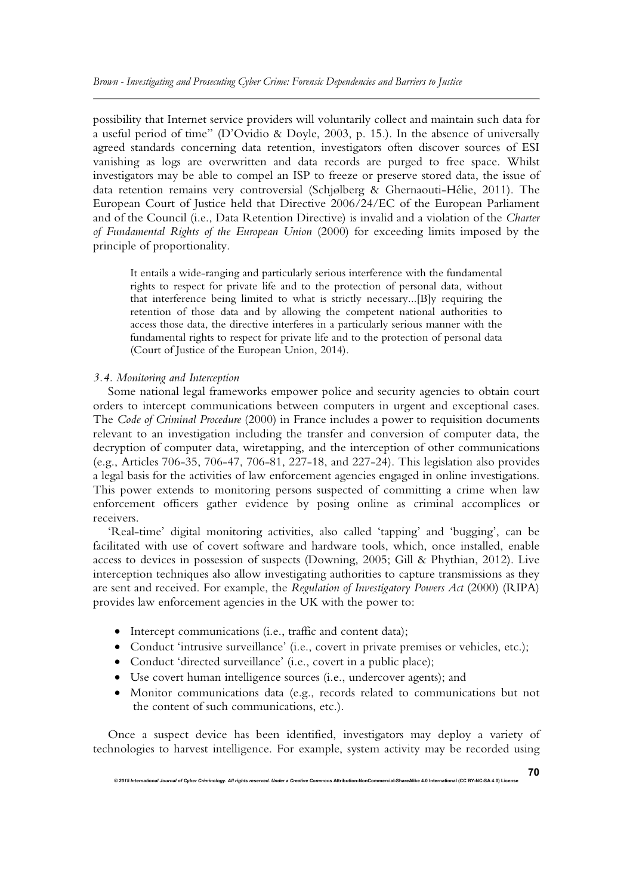possibility that Internet service providers will voluntarily collect and maintain such data for a useful period of time" (D'Ovidio & Doyle, 2003, p. 15.). In the absence of universally agreed standards concerning data retention, investigators often discover sources of ESI vanishing as logs are overwritten and data records are purged to free space. Whilst investigators may be able to compel an ISP to freeze or preserve stored data, the issue of data retention remains very controversial (Schjølberg & Ghernaouti-Hélie, 2011). The European Court of Justice held that Directive 2006/24/EC of the European Parliament and of the Council (i.e., Data Retention Directive) is invalid and a violation of the *Charter of Fundamental Rights of the European Union* (2000) for exceeding limits imposed by the principle of proportionality.

It entails a wide-ranging and particularly serious interference with the fundamental rights to respect for private life and to the protection of personal data, without that interference being limited to what is strictly necessary...[B]y requiring the retention of those data and by allowing the competent national authorities to access those data, the directive interferes in a particularly serious manner with the fundamental rights to respect for private life and to the protection of personal data (Court of Justice of the European Union, 2014).

## *3.4. Monitoring and Interception*

Some national legal frameworks empower police and security agencies to obtain court orders to intercept communications between computers in urgent and exceptional cases. The *Code of Criminal Procedure* (2000) in France includes a power to requisition documents relevant to an investigation including the transfer and conversion of computer data, the decryption of computer data, wiretapping, and the interception of other communications (e.g., Articles 706-35, 706-47, 706-81, 227-18, and 227-24). This legislation also provides a legal basis for the activities of law enforcement agencies engaged in online investigations. This power extends to monitoring persons suspected of committing a crime when law enforcement officers gather evidence by posing online as criminal accomplices or receivers.

'Real-time' digital monitoring activities, also called 'tapping' and 'bugging', can be facilitated with use of covert software and hardware tools, which, once installed, enable access to devices in possession of suspects (Downing, 2005; Gill & Phythian, 2012). Live interception techniques also allow investigating authorities to capture transmissions as they are sent and received. For example, the *Regulation of Investigatory Powers Act* (2000) (RIPA) provides law enforcement agencies in the UK with the power to:

- Intercept communications (i.e., traffic and content data);
- Conduct 'intrusive surveillance' (i.e., covert in private premises or vehicles, etc.);
- Conduct 'directed surveillance' (i.e., covert in a public place);
- Use covert human intelligence sources (i.e., undercover agents); and
- Monitor communications data (e.g., records related to communications but not the content of such communications, etc.).

Once a suspect device has been identified, investigators may deploy a variety of technologies to harvest intelligence. For example, system activity may be recorded using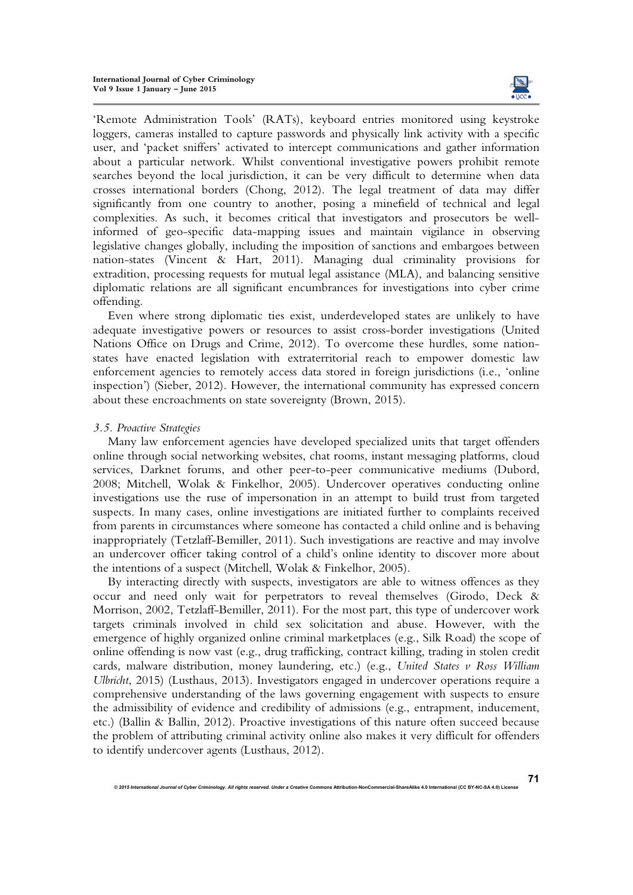

**71**

'Remote Administration Tools' (RATs), keyboard entries monitored using keystroke loggers, cameras installed to capture passwords and physically link activity with a specific user, and 'packet sniffers' activated to intercept communications and gather information about a particular network. Whilst conventional investigative powers prohibit remote searches beyond the local jurisdiction, it can be very difficult to determine when data crosses international borders (Chong, 2012). The legal treatment of data may differ significantly from one country to another, posing a minefield of technical and legal complexities. As such, it becomes critical that investigators and prosecutors be wellinformed of geo-specific data-mapping issues and maintain vigilance in observing legislative changes globally, including the imposition of sanctions and embargoes between nation-states (Vincent & Hart, 2011). Managing dual criminality provisions for extradition, processing requests for mutual legal assistance (MLA), and balancing sensitive diplomatic relations are all significant encumbrances for investigations into cyber crime offending.

Even where strong diplomatic ties exist, underdeveloped states are unlikely to have adequate investigative powers or resources to assist cross-border investigations (United Nations Office on Drugs and Crime, 2012). To overcome these hurdles, some nationstates have enacted legislation with extraterritorial reach to empower domestic law enforcement agencies to remotely access data stored in foreign jurisdictions (i.e., 'online inspection') (Sieber, 2012). However, the international community has expressed concern about these encroachments on state sovereignty (Brown, 2015).

## *3.5. Proactive Strategies*

Many law enforcement agencies have developed specialized units that target offenders online through social networking websites, chat rooms, instant messaging platforms, cloud services, Darknet forums, and other peer-to-peer communicative mediums (Dubord, 2008; Mitchell, Wolak & Finkelhor, 2005). Undercover operatives conducting online investigations use the ruse of impersonation in an attempt to build trust from targeted suspects. In many cases, online investigations are initiated further to complaints received from parents in circumstances where someone has contacted a child online and is behaving inappropriately (Tetzlaff-Bemiller, 2011). Such investigations are reactive and may involve an undercover officer taking control of a child's online identity to discover more about the intentions of a suspect (Mitchell, Wolak & Finkelhor, 2005).

By interacting directly with suspects, investigators are able to witness offences as they occur and need only wait for perpetrators to reveal themselves (Girodo, Deck & Morrison, 2002, Tetzlaff-Bemiller, 2011). For the most part, this type of undercover work targets criminals involved in child sex solicitation and abuse. However, with the emergence of highly organized online criminal marketplaces (e.g., Silk Road) the scope of online offending is now vast (e.g., drug trafficking, contract killing, trading in stolen credit cards, malware distribution, money laundering, etc.) (e.g., *United States v Ross William Ulbricht*, 2015) (Lusthaus, 2013). Investigators engaged in undercover operations require a comprehensive understanding of the laws governing engagement with suspects to ensure the admissibility of evidence and credibility of admissions (e.g., entrapment, inducement, etc.) (Ballin & Ballin, 2012). Proactive investigations of this nature often succeed because the problem of attributing criminal activity online also makes it very difficult for offenders to identify undercover agents (Lusthaus, 2012).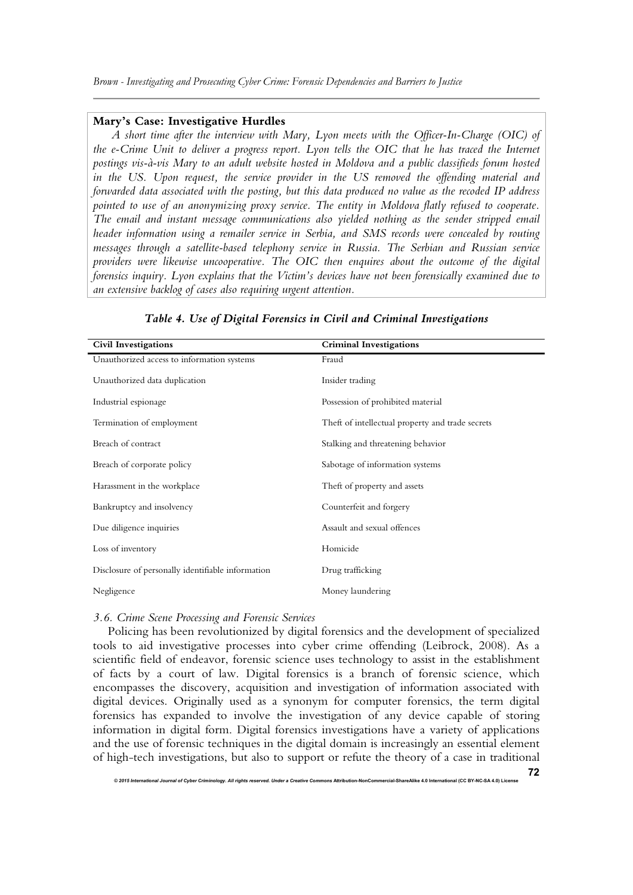#### **Mary's Case: Investigative Hurdles**

*A short time after the interview with Mary, Lyon meets with the Officer-In-Charge (OIC) of the e-Crime Unit to deliver a progress report. Lyon tells the OIC that he has traced the Internet postings vis-à-vis Mary to an adult website hosted in Moldova and a public classifieds forum hosted in the US. Upon request, the service provider in the US removed the offending material and forwarded data associated with the posting, but this data produced no value as the recoded IP address pointed to use of an anonymizing proxy service. The entity in Moldova flatly refused to cooperate. The email and instant message communications also yielded nothing as the sender stripped email header information using a remailer service in Serbia, and SMS records were concealed by routing messages through a satellite-based telephony service in Russia. The Serbian and Russian service providers were likewise uncooperative. The OIC then enquires about the outcome of the digital forensics inquiry. Lyon explains that the Victim's devices have not been forensically examined due to an extensive backlog of cases also requiring urgent attention.*

| <b>Civil Investigations</b>                       | <b>Criminal Investigations</b>                   |  |  |  |  |
|---------------------------------------------------|--------------------------------------------------|--|--|--|--|
| Unauthorized access to information systems        | Fraud                                            |  |  |  |  |
| Unauthorized data duplication                     | Insider trading                                  |  |  |  |  |
| Industrial espionage                              | Possession of prohibited material                |  |  |  |  |
| Termination of employment                         | Theft of intellectual property and trade secrets |  |  |  |  |
| Breach of contract                                | Stalking and threatening behavior                |  |  |  |  |
| Breach of corporate policy                        | Sabotage of information systems                  |  |  |  |  |
| Harassment in the workplace                       | Theft of property and assets                     |  |  |  |  |
| Bankruptcy and insolvency                         | Counterfeit and forgery                          |  |  |  |  |
| Due diligence inquiries                           | Assault and sexual offences                      |  |  |  |  |
| Loss of inventory                                 | Homicide                                         |  |  |  |  |
| Disclosure of personally identifiable information | Drug trafficking                                 |  |  |  |  |
| Negligence                                        | Money laundering                                 |  |  |  |  |

#### *Table 4. Use of Digital Forensics in Civil and Criminal Investigations*

#### *3.6. Crime Scene Processing and Forensic Services*

Policing has been revolutionized by digital forensics and the development of specialized tools to aid investigative processes into cyber crime offending (Leibrock, 2008). As a scientific field of endeavor, forensic science uses technology to assist in the establishment of facts by a court of law. Digital forensics is a branch of forensic science, which encompasses the discovery, acquisition and investigation of information associated with digital devices. Originally used as a synonym for computer forensics, the term digital forensics has expanded to involve the investigation of any device capable of storing information in digital form. Digital forensics investigations have a variety of applications and the use of forensic techniques in the digital domain is increasingly an essential element of high-tech investigations, but also to support or refute the theory of a case in traditional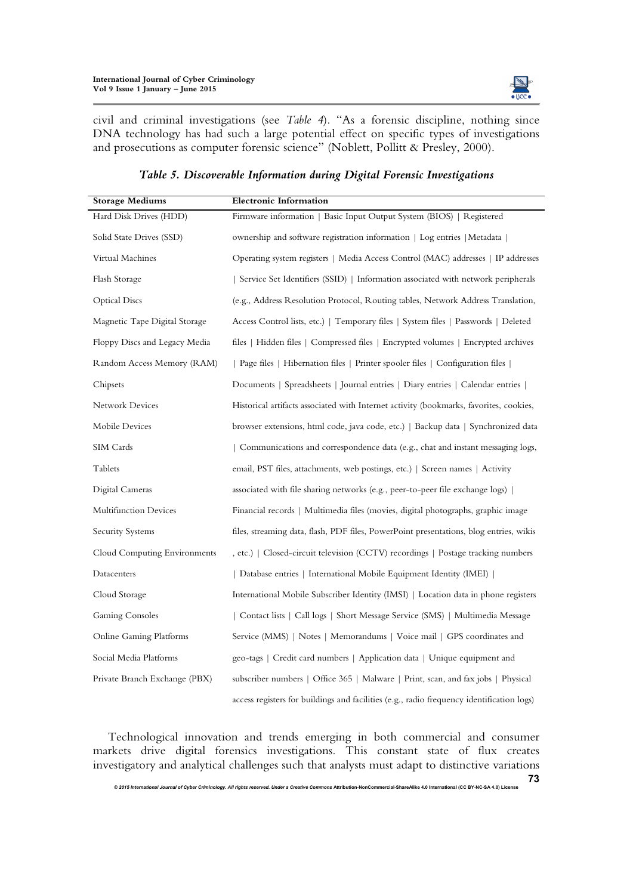

**73**

civil and criminal investigations (see *Table 4*). "As a forensic discipline, nothing since DNA technology has had such a large potential effect on specific types of investigations and prosecutions as computer forensic science" (Noblett, Pollitt & Presley, 2000).

| <b>Storage Mediums</b>        | <b>Electronic Information</b>                                                             |  |  |  |  |
|-------------------------------|-------------------------------------------------------------------------------------------|--|--|--|--|
| Hard Disk Drives (HDD)        | Firmware information   Basic Input Output System (BIOS)   Registered                      |  |  |  |  |
| Solid State Drives (SSD)      | ownership and software registration information   Log entries   Metadata                  |  |  |  |  |
| Virtual Machines              | Operating system registers   Media Access Control (MAC) addresses   IP addresses          |  |  |  |  |
| Flash Storage                 | Service Set Identifiers (SSID)   Information associated with network peripherals          |  |  |  |  |
| <b>Optical Discs</b>          | (e.g., Address Resolution Protocol, Routing tables, Network Address Translation,          |  |  |  |  |
| Magnetic Tape Digital Storage | Access Control lists, etc.)   Temporary files   System files   Passwords   Deleted        |  |  |  |  |
| Floppy Discs and Legacy Media | files   Hidden files   Compressed files   Encrypted volumes   Encrypted archives          |  |  |  |  |
| Random Access Memory (RAM)    | Page files   Hibernation files   Printer spooler files   Configuration files              |  |  |  |  |
| Chipsets                      | Documents   Spreadsheets   Journal entries   Diary entries   Calendar entries             |  |  |  |  |
| <b>Network Devices</b>        | Historical artifacts associated with Internet activity (bookmarks, favorites, cookies,    |  |  |  |  |
| Mobile Devices                | browser extensions, html code, java code, etc.)   Backup data   Synchronized data         |  |  |  |  |
| SIM Cards                     | Communications and correspondence data (e.g., chat and instant messaging logs,            |  |  |  |  |
| Tablets                       | email, PST files, attachments, web postings, etc.)   Screen names   Activity              |  |  |  |  |
| Digital Cameras               | associated with file sharing networks (e.g., peer-to-peer file exchange logs)             |  |  |  |  |
| Multifunction Devices         | Financial records   Multimedia files (movies, digital photographs, graphic image          |  |  |  |  |
| Security Systems              | files, streaming data, flash, PDF files, PowerPoint presentations, blog entries, wikis    |  |  |  |  |
| Cloud Computing Environments  | , etc.)   Closed-circuit television (CCTV) recordings   Postage tracking numbers          |  |  |  |  |
| Datacenters                   | Database entries   International Mobile Equipment Identity (IMEI)                         |  |  |  |  |
| Cloud Storage                 | International Mobile Subscriber Identity (IMSI)   Location data in phone registers        |  |  |  |  |
| <b>Gaming Consoles</b>        | Contact lists   Call logs   Short Message Service (SMS)   Multimedia Message              |  |  |  |  |
| Online Gaming Platforms       | Service (MMS)   Notes   Memorandums   Voice mail   GPS coordinates and                    |  |  |  |  |
| Social Media Platforms        | geo-tags   Credit card numbers   Application data   Unique equipment and                  |  |  |  |  |
| Private Branch Exchange (PBX) | subscriber numbers   Office 365   Malware   Print, scan, and fax jobs   Physical          |  |  |  |  |
|                               | access registers for buildings and facilities (e.g., radio frequency identification logs) |  |  |  |  |

## *Table 5. Discoverable Information during Digital Forensic Investigations*

Technological innovation and trends emerging in both commercial and consumer markets drive digital forensics investigations. This constant state of flux creates investigatory and analytical challenges such that analysts must adapt to distinctive variations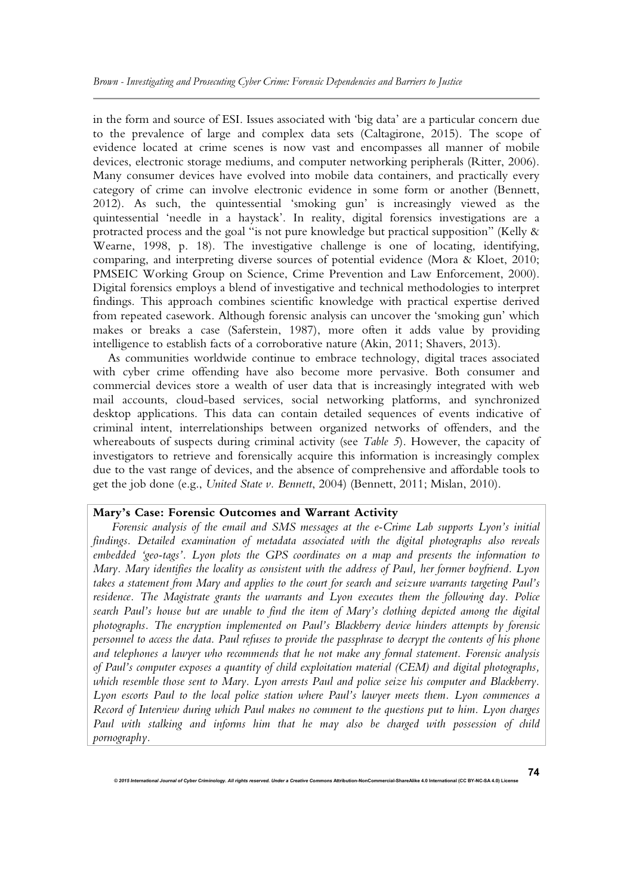in the form and source of ESI. Issues associated with 'big data' are a particular concern due to the prevalence of large and complex data sets (Caltagirone, 2015). The scope of evidence located at crime scenes is now vast and encompasses all manner of mobile devices, electronic storage mediums, and computer networking peripherals (Ritter, 2006). Many consumer devices have evolved into mobile data containers, and practically every category of crime can involve electronic evidence in some form or another (Bennett, 2012). As such, the quintessential 'smoking gun' is increasingly viewed as the quintessential 'needle in a haystack'. In reality, digital forensics investigations are a protracted process and the goal "is not pure knowledge but practical supposition" (Kelly & Wearne, 1998, p. 18). The investigative challenge is one of locating, identifying, comparing, and interpreting diverse sources of potential evidence (Mora & Kloet, 2010; PMSEIC Working Group on Science, Crime Prevention and Law Enforcement, 2000). Digital forensics employs a blend of investigative and technical methodologies to interpret findings. This approach combines scientific knowledge with practical expertise derived from repeated casework. Although forensic analysis can uncover the 'smoking gun' which makes or breaks a case (Saferstein, 1987), more often it adds value by providing intelligence to establish facts of a corroborative nature (Akin, 2011; Shavers, 2013).

As communities worldwide continue to embrace technology, digital traces associated with cyber crime offending have also become more pervasive. Both consumer and commercial devices store a wealth of user data that is increasingly integrated with web mail accounts, cloud-based services, social networking platforms, and synchronized desktop applications. This data can contain detailed sequences of events indicative of criminal intent, interrelationships between organized networks of offenders, and the whereabouts of suspects during criminal activity (see *Table 5*). However, the capacity of investigators to retrieve and forensically acquire this information is increasingly complex due to the vast range of devices, and the absence of comprehensive and affordable tools to get the job done (e.g., *United State v. Bennett*, 2004) (Bennett, 2011; Mislan, 2010).

#### **Mary's Case: Forensic Outcomes and Warrant Activity**

*Forensic analysis of the email and SMS messages at the e-Crime Lab supports Lyon's initial findings. Detailed examination of metadata associated with the digital photographs also reveals embedded 'geo-tags'. Lyon plots the GPS coordinates on a map and presents the information to Mary. Mary identifies the locality as consistent with the address of Paul, her former boyfriend. Lyon takes a statement from Mary and applies to the court for search and seizure warrants targeting Paul's residence. The Magistrate grants the warrants and Lyon executes them the following day. Police search Paul's house but are unable to find the item of Mary's clothing depicted among the digital photographs. The encryption implemented on Paul's Blackberry device hinders attempts by forensic personnel to access the data. Paul refuses to provide the passphrase to decrypt the contents of his phone and telephones a lawyer who recommends that he not make any formal statement. Forensic analysis of Paul's computer exposes a quantity of child exploitation material (CEM) and digital photographs, which resemble those sent to Mary. Lyon arrests Paul and police seize his computer and Blackberry. Lyon escorts Paul to the local police station where Paul's lawyer meets them. Lyon commences a Record of Interview during which Paul makes no comment to the questions put to him. Lyon charges Paul with stalking and informs him that he may also be charged with possession of child pornography.*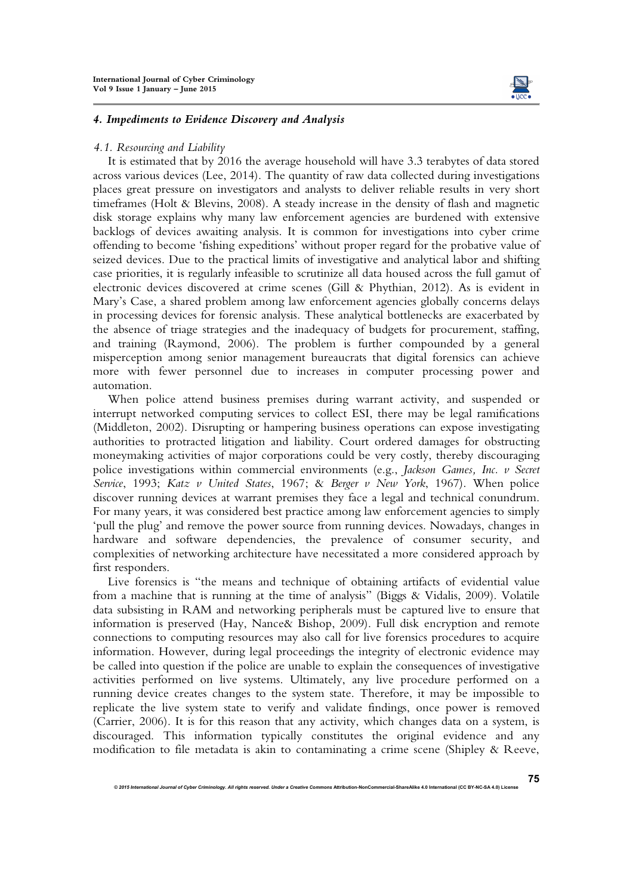

#### *4. Impediments to Evidence Discovery and Analysis*

#### *4.1. Resourcing and Liability*

It is estimated that by 2016 the average household will have 3.3 terabytes of data stored across various devices (Lee, 2014). The quantity of raw data collected during investigations places great pressure on investigators and analysts to deliver reliable results in very short timeframes (Holt & Blevins, 2008). A steady increase in the density of flash and magnetic disk storage explains why many law enforcement agencies are burdened with extensive backlogs of devices awaiting analysis. It is common for investigations into cyber crime offending to become 'fishing expeditions' without proper regard for the probative value of seized devices. Due to the practical limits of investigative and analytical labor and shifting case priorities, it is regularly infeasible to scrutinize all data housed across the full gamut of electronic devices discovered at crime scenes (Gill & Phythian, 2012). As is evident in Mary's Case, a shared problem among law enforcement agencies globally concerns delays in processing devices for forensic analysis. These analytical bottlenecks are exacerbated by the absence of triage strategies and the inadequacy of budgets for procurement, staffing, and training (Raymond, 2006). The problem is further compounded by a general misperception among senior management bureaucrats that digital forensics can achieve more with fewer personnel due to increases in computer processing power and automation.

When police attend business premises during warrant activity, and suspended or interrupt networked computing services to collect ESI, there may be legal ramifications (Middleton, 2002). Disrupting or hampering business operations can expose investigating authorities to protracted litigation and liability. Court ordered damages for obstructing moneymaking activities of major corporations could be very costly, thereby discouraging police investigations within commercial environments (e.g., *Jackson Games, Inc. v Secret Service*, 1993; *Katz v United States*, 1967; & *Berger v New York*, 1967). When police discover running devices at warrant premises they face a legal and technical conundrum. For many years, it was considered best practice among law enforcement agencies to simply 'pull the plug' and remove the power source from running devices. Nowadays, changes in hardware and software dependencies, the prevalence of consumer security, and complexities of networking architecture have necessitated a more considered approach by first responders.

Live forensics is "the means and technique of obtaining artifacts of evidential value from a machine that is running at the time of analysis" (Biggs & Vidalis, 2009). Volatile data subsisting in RAM and networking peripherals must be captured live to ensure that information is preserved (Hay, Nance& Bishop, 2009). Full disk encryption and remote connections to computing resources may also call for live forensics procedures to acquire information. However, during legal proceedings the integrity of electronic evidence may be called into question if the police are unable to explain the consequences of investigative activities performed on live systems. Ultimately, any live procedure performed on a running device creates changes to the system state. Therefore, it may be impossible to replicate the live system state to verify and validate findings, once power is removed (Carrier, 2006). It is for this reason that any activity, which changes data on a system, is discouraged. This information typically constitutes the original evidence and any modification to file metadata is akin to contaminating a crime scene (Shipley & Reeve,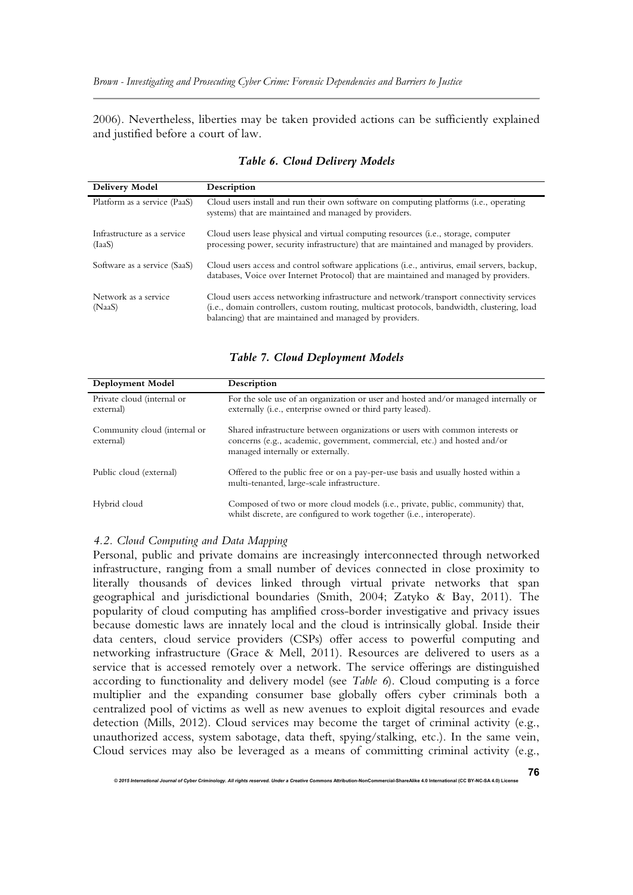2006). Nevertheless, liberties may be taken provided actions can be sufficiently explained and justified before a court of law.

| Delivery Model                        | Description                                                                                                                                                                                                                                         |
|---------------------------------------|-----------------------------------------------------------------------------------------------------------------------------------------------------------------------------------------------------------------------------------------------------|
| Platform as a service (PaaS)          | Cloud users install and run their own software on computing platforms (i.e., operating<br>systems) that are maintained and managed by providers.                                                                                                    |
| Infrastructure as a service<br>(IaaS) | Cloud users lease physical and virtual computing resources (i.e., storage, computer<br>processing power, security infrastructure) that are maintained and managed by providers.                                                                     |
| Software as a service (SaaS)          | Cloud users access and control software applications (i.e., antivirus, email servers, backup,<br>databases, Voice over Internet Protocol) that are maintained and managed by providers.                                                             |
| Network as a service<br>(NaaS)        | Cloud users access networking infrastructure and network/transport connectivity services<br>(i.e., domain controllers, custom routing, multicast protocols, bandwidth, clustering, load<br>balancing) that are maintained and managed by providers. |

## *Table 6. Cloud Delivery Models*

*Table 7. Cloud Deployment Models* 

| Deployment Model                          | Description                                                                                                                                                                                     |
|-------------------------------------------|-------------------------------------------------------------------------------------------------------------------------------------------------------------------------------------------------|
| Private cloud (internal or<br>external)   | For the sole use of an organization or user and hosted and/or managed internally or<br>externally (i.e., enterprise owned or third party leased).                                               |
| Community cloud (internal or<br>external) | Shared infrastructure between organizations or users with common interests or<br>concerns (e.g., academic, government, commercial, etc.) and hosted and/or<br>managed internally or externally. |
| Public cloud (external)                   | Offered to the public free or on a pay-per-use basis and usually hosted within a<br>multi-tenanted, large-scale infrastructure.                                                                 |
| Hybrid cloud                              | Composed of two or more cloud models (i.e., private, public, community) that,<br>whilst discrete, are configured to work together ( <i>i.e.</i> , interoperate).                                |

## *4.2. Cloud Computing and Data Mapping*

Personal, public and private domains are increasingly interconnected through networked infrastructure, ranging from a small number of devices connected in close proximity to literally thousands of devices linked through virtual private networks that span geographical and jurisdictional boundaries (Smith, 2004; Zatyko & Bay, 2011). The popularity of cloud computing has amplified cross-border investigative and privacy issues because domestic laws are innately local and the cloud is intrinsically global. Inside their data centers, cloud service providers (CSPs) offer access to powerful computing and networking infrastructure (Grace & Mell, 2011). Resources are delivered to users as a service that is accessed remotely over a network. The service offerings are distinguished according to functionality and delivery model (see *Table 6*). Cloud computing is a force multiplier and the expanding consumer base globally offers cyber criminals both a centralized pool of victims as well as new avenues to exploit digital resources and evade detection (Mills, 2012). Cloud services may become the target of criminal activity (e.g., unauthorized access, system sabotage, data theft, spying/stalking, etc.). In the same vein, Cloud services may also be leveraged as a means of committing criminal activity (e.g.,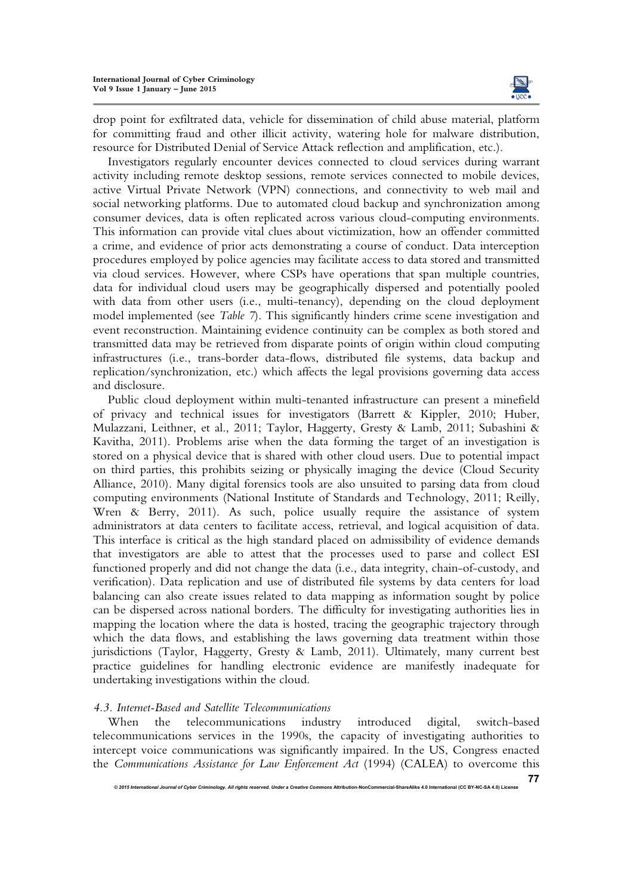

**77**

drop point for exfiltrated data, vehicle for dissemination of child abuse material, platform for committing fraud and other illicit activity, watering hole for malware distribution, resource for Distributed Denial of Service Attack reflection and amplification, etc.).

Investigators regularly encounter devices connected to cloud services during warrant activity including remote desktop sessions, remote services connected to mobile devices, active Virtual Private Network (VPN) connections, and connectivity to web mail and social networking platforms. Due to automated cloud backup and synchronization among consumer devices, data is often replicated across various cloud-computing environments. This information can provide vital clues about victimization, how an offender committed a crime, and evidence of prior acts demonstrating a course of conduct. Data interception procedures employed by police agencies may facilitate access to data stored and transmitted via cloud services. However, where CSPs have operations that span multiple countries, data for individual cloud users may be geographically dispersed and potentially pooled with data from other users (i.e., multi-tenancy), depending on the cloud deployment model implemented (see *Table 7*). This significantly hinders crime scene investigation and event reconstruction. Maintaining evidence continuity can be complex as both stored and transmitted data may be retrieved from disparate points of origin within cloud computing infrastructures (i.e., trans-border data-flows, distributed file systems, data backup and replication/synchronization, etc.) which affects the legal provisions governing data access and disclosure.

Public cloud deployment within multi-tenanted infrastructure can present a minefield of privacy and technical issues for investigators (Barrett & Kippler, 2010; Huber, Mulazzani, Leithner, et al., 2011; Taylor, Haggerty, Gresty & Lamb, 2011; Subashini & Kavitha, 2011). Problems arise when the data forming the target of an investigation is stored on a physical device that is shared with other cloud users. Due to potential impact on third parties, this prohibits seizing or physically imaging the device (Cloud Security Alliance, 2010). Many digital forensics tools are also unsuited to parsing data from cloud computing environments (National Institute of Standards and Technology, 2011; Reilly, Wren & Berry, 2011). As such, police usually require the assistance of system administrators at data centers to facilitate access, retrieval, and logical acquisition of data. This interface is critical as the high standard placed on admissibility of evidence demands that investigators are able to attest that the processes used to parse and collect ESI functioned properly and did not change the data (i.e., data integrity, chain-of-custody, and verification). Data replication and use of distributed file systems by data centers for load balancing can also create issues related to data mapping as information sought by police can be dispersed across national borders. The difficulty for investigating authorities lies in mapping the location where the data is hosted, tracing the geographic trajectory through which the data flows, and establishing the laws governing data treatment within those jurisdictions (Taylor, Haggerty, Gresty & Lamb, 2011). Ultimately, many current best practice guidelines for handling electronic evidence are manifestly inadequate for undertaking investigations within the cloud.

## *4.3. Internet-Based and Satellite Telecommunications*

When the telecommunications industry introduced digital, switch-based telecommunications services in the 1990s, the capacity of investigating authorities to intercept voice communications was significantly impaired. In the US, Congress enacted the *Communications Assistance for Law Enforcement Act* (1994) (CALEA) to overcome this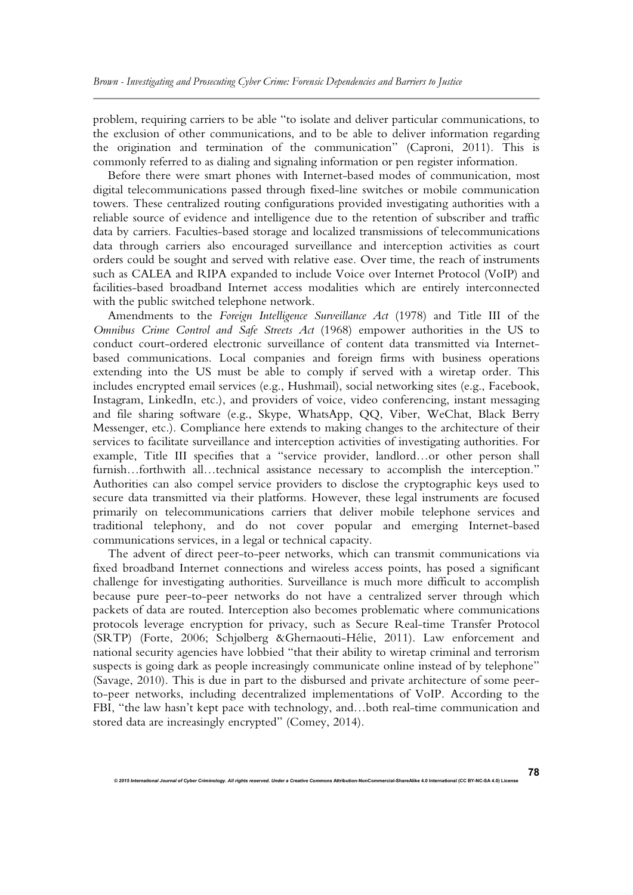problem, requiring carriers to be able "to isolate and deliver particular communications, to the exclusion of other communications, and to be able to deliver information regarding the origination and termination of the communication" (Caproni, 2011). This is commonly referred to as dialing and signaling information or pen register information.

Before there were smart phones with Internet-based modes of communication, most digital telecommunications passed through fixed-line switches or mobile communication towers. These centralized routing configurations provided investigating authorities with a reliable source of evidence and intelligence due to the retention of subscriber and traffic data by carriers. Faculties-based storage and localized transmissions of telecommunications data through carriers also encouraged surveillance and interception activities as court orders could be sought and served with relative ease. Over time, the reach of instruments such as CALEA and RIPA expanded to include Voice over Internet Protocol (VoIP) and facilities-based broadband Internet access modalities which are entirely interconnected with the public switched telephone network.

Amendments to the *Foreign Intelligence Surveillance Act* (1978) and Title III of the *Omnibus Crime Control and Safe Streets Act* (1968) empower authorities in the US to conduct court-ordered electronic surveillance of content data transmitted via Internetbased communications. Local companies and foreign firms with business operations extending into the US must be able to comply if served with a wiretap order. This includes encrypted email services (e.g., Hushmail), social networking sites (e.g., Facebook, Instagram, LinkedIn, etc.), and providers of voice, video conferencing, instant messaging and file sharing software (e.g., Skype, WhatsApp, QQ, Viber, WeChat, Black Berry Messenger, etc.). Compliance here extends to making changes to the architecture of their services to facilitate surveillance and interception activities of investigating authorities. For example, Title III specifies that a "service provider, landlord…or other person shall furnish…forthwith all…technical assistance necessary to accomplish the interception." Authorities can also compel service providers to disclose the cryptographic keys used to secure data transmitted via their platforms. However, these legal instruments are focused primarily on telecommunications carriers that deliver mobile telephone services and traditional telephony, and do not cover popular and emerging Internet-based communications services, in a legal or technical capacity.

The advent of direct peer-to-peer networks, which can transmit communications via fixed broadband Internet connections and wireless access points, has posed a significant challenge for investigating authorities. Surveillance is much more difficult to accomplish because pure peer-to-peer networks do not have a centralized server through which packets of data are routed. Interception also becomes problematic where communications protocols leverage encryption for privacy, such as Secure Real-time Transfer Protocol (SRTP) (Forte, 2006; Schjølberg &Ghernaouti-Hélie, 2011). Law enforcement and national security agencies have lobbied "that their ability to wiretap criminal and terrorism suspects is going dark as people increasingly communicate online instead of by telephone" (Savage, 2010). This is due in part to the disbursed and private architecture of some peerto-peer networks, including decentralized implementations of VoIP. According to the FBI, "the law hasn't kept pace with technology, and…both real-time communication and stored data are increasingly encrypted" (Comey, 2014).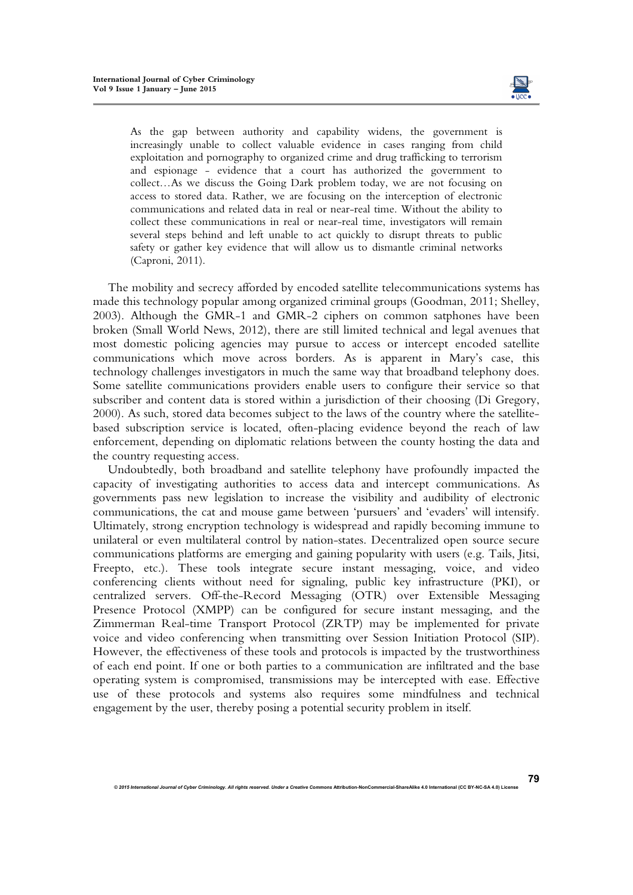

**79**

As the gap between authority and capability widens, the government is increasingly unable to collect valuable evidence in cases ranging from child exploitation and pornography to organized crime and drug trafficking to terrorism and espionage - evidence that a court has authorized the government to collect…As we discuss the Going Dark problem today, we are not focusing on access to stored data. Rather, we are focusing on the interception of electronic communications and related data in real or near-real time. Without the ability to collect these communications in real or near-real time, investigators will remain several steps behind and left unable to act quickly to disrupt threats to public safety or gather key evidence that will allow us to dismantle criminal networks (Caproni, 2011).

The mobility and secrecy afforded by encoded satellite telecommunications systems has made this technology popular among organized criminal groups (Goodman, 2011; Shelley, 2003). Although the GMR-1 and GMR-2 ciphers on common satphones have been broken (Small World News, 2012), there are still limited technical and legal avenues that most domestic policing agencies may pursue to access or intercept encoded satellite communications which move across borders. As is apparent in Mary's case, this technology challenges investigators in much the same way that broadband telephony does. Some satellite communications providers enable users to configure their service so that subscriber and content data is stored within a jurisdiction of their choosing (Di Gregory, 2000). As such, stored data becomes subject to the laws of the country where the satellitebased subscription service is located, often-placing evidence beyond the reach of law enforcement, depending on diplomatic relations between the county hosting the data and the country requesting access.

Undoubtedly, both broadband and satellite telephony have profoundly impacted the capacity of investigating authorities to access data and intercept communications. As governments pass new legislation to increase the visibility and audibility of electronic communications, the cat and mouse game between 'pursuers' and 'evaders' will intensify. Ultimately, strong encryption technology is widespread and rapidly becoming immune to unilateral or even multilateral control by nation-states. Decentralized open source secure communications platforms are emerging and gaining popularity with users (e.g. Tails, Jitsi, Freepto, etc.). These tools integrate secure instant messaging, voice, and video conferencing clients without need for signaling, public key infrastructure (PKI), or centralized servers. Off-the-Record Messaging (OTR) over Extensible Messaging Presence Protocol (XMPP) can be configured for secure instant messaging, and the Zimmerman Real-time Transport Protocol (ZRTP) may be implemented for private voice and video conferencing when transmitting over Session Initiation Protocol (SIP). However, the effectiveness of these tools and protocols is impacted by the trustworthiness of each end point. If one or both parties to a communication are infiltrated and the base operating system is compromised, transmissions may be intercepted with ease. Effective use of these protocols and systems also requires some mindfulness and technical engagement by the user, thereby posing a potential security problem in itself.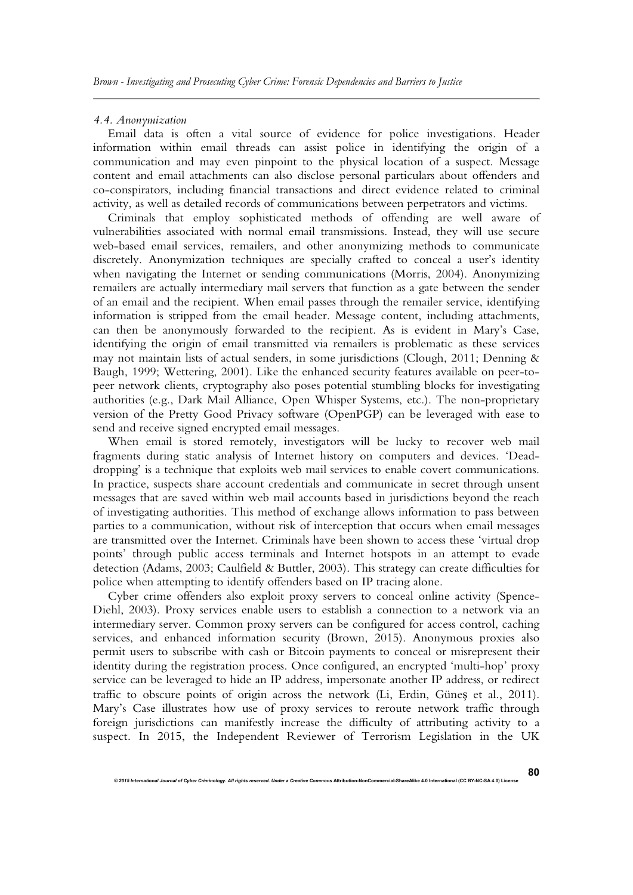#### *4.4. Anonymization*

Email data is often a vital source of evidence for police investigations. Header information within email threads can assist police in identifying the origin of a communication and may even pinpoint to the physical location of a suspect. Message content and email attachments can also disclose personal particulars about offenders and co-conspirators, including financial transactions and direct evidence related to criminal activity, as well as detailed records of communications between perpetrators and victims.

Criminals that employ sophisticated methods of offending are well aware of vulnerabilities associated with normal email transmissions. Instead, they will use secure web-based email services, remailers, and other anonymizing methods to communicate discretely. Anonymization techniques are specially crafted to conceal a user's identity when navigating the Internet or sending communications (Morris, 2004). Anonymizing remailers are actually intermediary mail servers that function as a gate between the sender of an email and the recipient. When email passes through the remailer service, identifying information is stripped from the email header. Message content, including attachments, can then be anonymously forwarded to the recipient. As is evident in Mary's Case, identifying the origin of email transmitted via remailers is problematic as these services may not maintain lists of actual senders, in some jurisdictions (Clough, 2011; Denning & Baugh, 1999; Wettering, 2001). Like the enhanced security features available on peer-topeer network clients, cryptography also poses potential stumbling blocks for investigating authorities (e.g., Dark Mail Alliance, Open Whisper Systems, etc.). The non-proprietary version of the Pretty Good Privacy software (OpenPGP) can be leveraged with ease to send and receive signed encrypted email messages.

When email is stored remotely, investigators will be lucky to recover web mail fragments during static analysis of Internet history on computers and devices. 'Deaddropping' is a technique that exploits web mail services to enable covert communications. In practice, suspects share account credentials and communicate in secret through unsent messages that are saved within web mail accounts based in jurisdictions beyond the reach of investigating authorities. This method of exchange allows information to pass between parties to a communication, without risk of interception that occurs when email messages are transmitted over the Internet. Criminals have been shown to access these 'virtual drop points' through public access terminals and Internet hotspots in an attempt to evade detection (Adams, 2003; Caulfield & Buttler, 2003). This strategy can create difficulties for police when attempting to identify offenders based on IP tracing alone.

Cyber crime offenders also exploit proxy servers to conceal online activity (Spence-Diehl, 2003). Proxy services enable users to establish a connection to a network via an intermediary server. Common proxy servers can be configured for access control, caching services, and enhanced information security (Brown, 2015). Anonymous proxies also permit users to subscribe with cash or Bitcoin payments to conceal or misrepresent their identity during the registration process. Once configured, an encrypted 'multi-hop' proxy service can be leveraged to hide an IP address, impersonate another IP address, or redirect traffic to obscure points of origin across the network (Li, Erdin, Güneş et al., 2011). Mary's Case illustrates how use of proxy services to reroute network traffic through foreign jurisdictions can manifestly increase the difficulty of attributing activity to a suspect. In 2015, the Independent Reviewer of Terrorism Legislation in the UK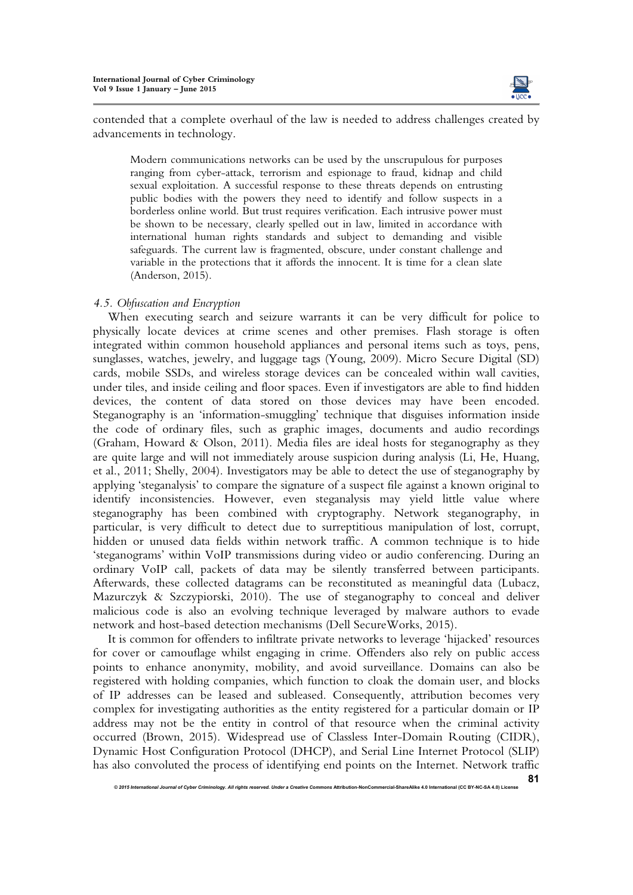

**81**

contended that a complete overhaul of the law is needed to address challenges created by advancements in technology.

Modern communications networks can be used by the unscrupulous for purposes ranging from cyber-attack, terrorism and espionage to fraud, kidnap and child sexual exploitation. A successful response to these threats depends on entrusting public bodies with the powers they need to identify and follow suspects in a borderless online world. But trust requires verification. Each intrusive power must be shown to be necessary, clearly spelled out in law, limited in accordance with international human rights standards and subject to demanding and visible safeguards. The current law is fragmented, obscure, under constant challenge and variable in the protections that it affords the innocent. It is time for a clean slate (Anderson, 2015).

## *4.5. Obfuscation and Encryption*

When executing search and seizure warrants it can be very difficult for police to physically locate devices at crime scenes and other premises. Flash storage is often integrated within common household appliances and personal items such as toys, pens, sunglasses, watches, jewelry, and luggage tags (Young, 2009). Micro Secure Digital (SD) cards, mobile SSDs, and wireless storage devices can be concealed within wall cavities, under tiles, and inside ceiling and floor spaces. Even if investigators are able to find hidden devices, the content of data stored on those devices may have been encoded. Steganography is an 'information-smuggling' technique that disguises information inside the code of ordinary files, such as graphic images, documents and audio recordings (Graham, Howard & Olson, 2011). Media files are ideal hosts for steganography as they are quite large and will not immediately arouse suspicion during analysis (Li, He, Huang, et al., 2011; Shelly, 2004). Investigators may be able to detect the use of steganography by applying 'steganalysis' to compare the signature of a suspect file against a known original to identify inconsistencies. However, even steganalysis may yield little value where steganography has been combined with cryptography. Network steganography, in particular, is very difficult to detect due to surreptitious manipulation of lost, corrupt, hidden or unused data fields within network traffic. A common technique is to hide 'steganograms' within VoIP transmissions during video or audio conferencing. During an ordinary VoIP call, packets of data may be silently transferred between participants. Afterwards, these collected datagrams can be reconstituted as meaningful data (Lubacz, Mazurczyk & Szczypiorski, 2010). The use of steganography to conceal and deliver malicious code is also an evolving technique leveraged by malware authors to evade network and host-based detection mechanisms (Dell SecureWorks, 2015).

It is common for offenders to infiltrate private networks to leverage 'hijacked' resources for cover or camouflage whilst engaging in crime. Offenders also rely on public access points to enhance anonymity, mobility, and avoid surveillance. Domains can also be registered with holding companies, which function to cloak the domain user, and blocks of IP addresses can be leased and subleased. Consequently, attribution becomes very complex for investigating authorities as the entity registered for a particular domain or IP address may not be the entity in control of that resource when the criminal activity occurred (Brown, 2015). Widespread use of Classless Inter-Domain Routing (CIDR), Dynamic Host Configuration Protocol (DHCP), and Serial Line Internet Protocol (SLIP) has also convoluted the process of identifying end points on the Internet. Network traffic

*<sup>© 2015</sup> International Journal of Cyber Criminology. All rights reserved. Under a Creative Commons* **Attribution-NonCommercial-ShareAlike 4.0 International (CC BY-NC-SA 4.0) License**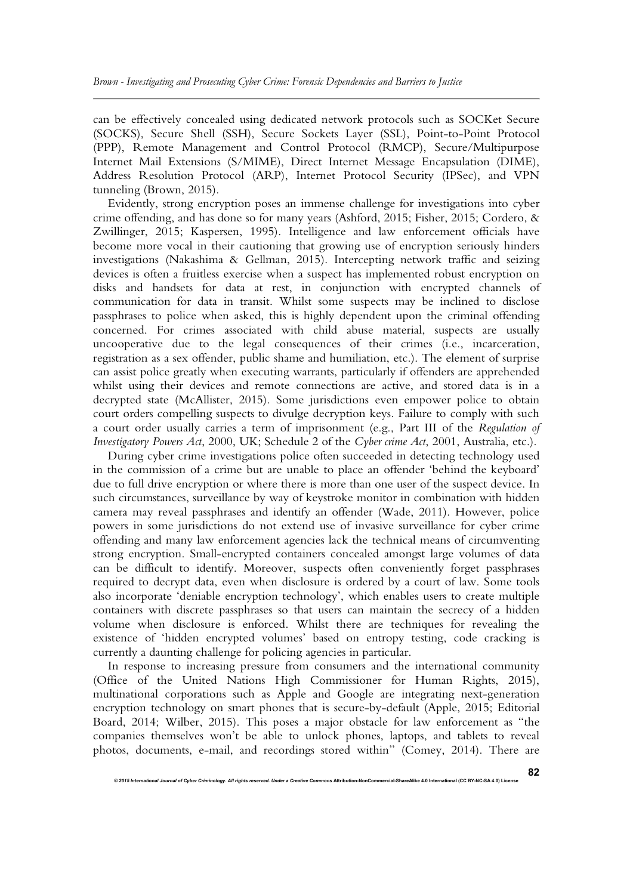can be effectively concealed using dedicated network protocols such as SOCKet Secure (SOCKS), Secure Shell (SSH), Secure Sockets Layer (SSL), Point-to-Point Protocol (PPP), Remote Management and Control Protocol (RMCP), Secure/Multipurpose Internet Mail Extensions (S/MIME), Direct Internet Message Encapsulation (DIME), Address Resolution Protocol (ARP), Internet Protocol Security (IPSec), and VPN tunneling (Brown, 2015).

Evidently, strong encryption poses an immense challenge for investigations into cyber crime offending, and has done so for many years (Ashford, 2015; Fisher, 2015; Cordero, & Zwillinger, 2015; Kaspersen, 1995). Intelligence and law enforcement officials have become more vocal in their cautioning that growing use of encryption seriously hinders investigations (Nakashima & Gellman, 2015). Intercepting network traffic and seizing devices is often a fruitless exercise when a suspect has implemented robust encryption on disks and handsets for data at rest, in conjunction with encrypted channels of communication for data in transit. Whilst some suspects may be inclined to disclose passphrases to police when asked, this is highly dependent upon the criminal offending concerned. For crimes associated with child abuse material, suspects are usually uncooperative due to the legal consequences of their crimes (i.e., incarceration, registration as a sex offender, public shame and humiliation, etc.). The element of surprise can assist police greatly when executing warrants, particularly if offenders are apprehended whilst using their devices and remote connections are active, and stored data is in a decrypted state (McAllister, 2015). Some jurisdictions even empower police to obtain court orders compelling suspects to divulge decryption keys. Failure to comply with such a court order usually carries a term of imprisonment (e.g., Part III of the *Regulation of Investigatory Powers Act*, 2000, UK; Schedule 2 of the *Cyber crime Act*, 2001, Australia, etc.).

During cyber crime investigations police often succeeded in detecting technology used in the commission of a crime but are unable to place an offender 'behind the keyboard' due to full drive encryption or where there is more than one user of the suspect device. In such circumstances, surveillance by way of keystroke monitor in combination with hidden camera may reveal passphrases and identify an offender (Wade, 2011). However, police powers in some jurisdictions do not extend use of invasive surveillance for cyber crime offending and many law enforcement agencies lack the technical means of circumventing strong encryption. Small-encrypted containers concealed amongst large volumes of data can be difficult to identify. Moreover, suspects often conveniently forget passphrases required to decrypt data, even when disclosure is ordered by a court of law. Some tools also incorporate 'deniable encryption technology', which enables users to create multiple containers with discrete passphrases so that users can maintain the secrecy of a hidden volume when disclosure is enforced. Whilst there are techniques for revealing the existence of 'hidden encrypted volumes' based on entropy testing, code cracking is currently a daunting challenge for policing agencies in particular.

In response to increasing pressure from consumers and the international community (Office of the United Nations High Commissioner for Human Rights, 2015), multinational corporations such as Apple and Google are integrating next-generation encryption technology on smart phones that is secure-by-default (Apple, 2015; Editorial Board, 2014; Wilber, 2015). This poses a major obstacle for law enforcement as "the companies themselves won't be able to unlock phones, laptops, and tablets to reveal photos, documents, e-mail, and recordings stored within" (Comey, 2014). There are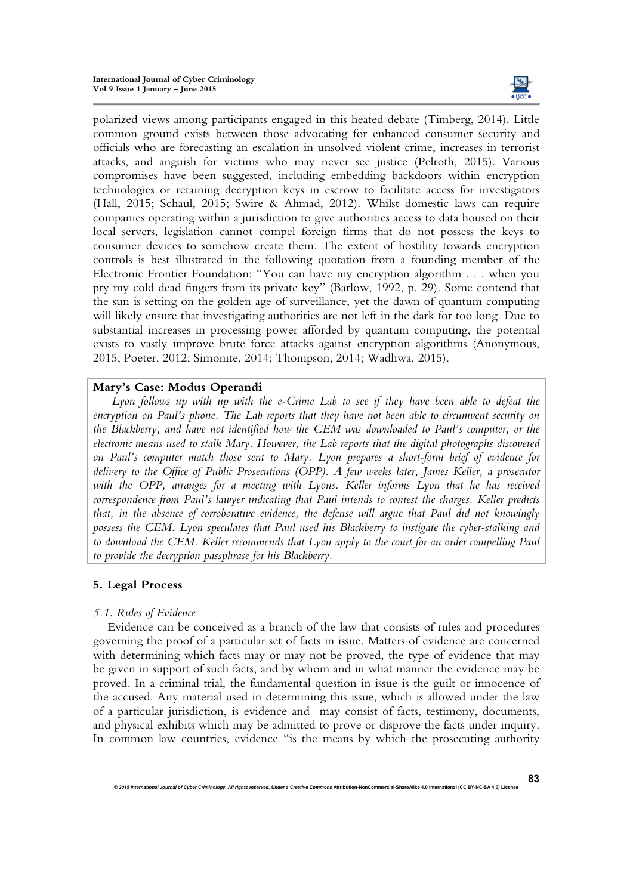

polarized views among participants engaged in this heated debate (Timberg, 2014). Little common ground exists between those advocating for enhanced consumer security and officials who are forecasting an escalation in unsolved violent crime, increases in terrorist attacks, and anguish for victims who may never see justice (Pelroth, 2015). Various compromises have been suggested, including embedding backdoors within encryption technologies or retaining decryption keys in escrow to facilitate access for investigators (Hall, 2015; Schaul, 2015; Swire & Ahmad, 2012). Whilst domestic laws can require companies operating within a jurisdiction to give authorities access to data housed on their local servers, legislation cannot compel foreign firms that do not possess the keys to consumer devices to somehow create them. The extent of hostility towards encryption controls is best illustrated in the following quotation from a founding member of the Electronic Frontier Foundation: "You can have my encryption algorithm . . . when you pry my cold dead fingers from its private key" (Barlow, 1992, p. 29). Some contend that the sun is setting on the golden age of surveillance, yet the dawn of quantum computing will likely ensure that investigating authorities are not left in the dark for too long. Due to substantial increases in processing power afforded by quantum computing, the potential exists to vastly improve brute force attacks against encryption algorithms (Anonymous, 2015; Poeter, 2012; Simonite, 2014; Thompson, 2014; Wadhwa, 2015).

## **Mary's Case: Modus Operandi**

*Lyon follows up with up with the e-Crime Lab to see if they have been able to defeat the encryption on Paul's phone. The Lab reports that they have not been able to circumvent security on the Blackberry, and have not identified how the CEM was downloaded to Paul's computer, or the electronic means used to stalk Mary. However, the Lab reports that the digital photographs discovered on Paul's computer match those sent to Mary. Lyon prepares a short-form brief of evidence for delivery to the Office of Public Prosecutions (OPP). A few weeks later, James Keller, a prosecutor*  with the OPP, arranges for a meeting with Lyons. Keller informs Lyon that he has received *correspondence from Paul's lawyer indicating that Paul intends to contest the charges. Keller predicts that, in the absence of corroborative evidence, the defense will argue that Paul did not knowingly possess the CEM. Lyon speculates that Paul used his Blackberry to instigate the cyber-stalking and to download the CEM. Keller recommends that Lyon apply to the court for an order compelling Paul to provide the decryption passphrase for his Blackberry.*

## **5. Legal Process**

## *5.1. Rules of Evidence*

Evidence can be conceived as a branch of the law that consists of rules and procedures governing the proof of a particular set of facts in issue. Matters of evidence are concerned with determining which facts may or may not be proved, the type of evidence that may be given in support of such facts, and by whom and in what manner the evidence may be proved. In a criminal trial, the fundamental question in issue is the guilt or innocence of the accused. Any material used in determining this issue, which is allowed under the law of a particular jurisdiction, is evidence and may consist of facts, testimony, documents, and physical exhibits which may be admitted to prove or disprove the facts under inquiry. In common law countries, evidence "is the means by which the prosecuting authority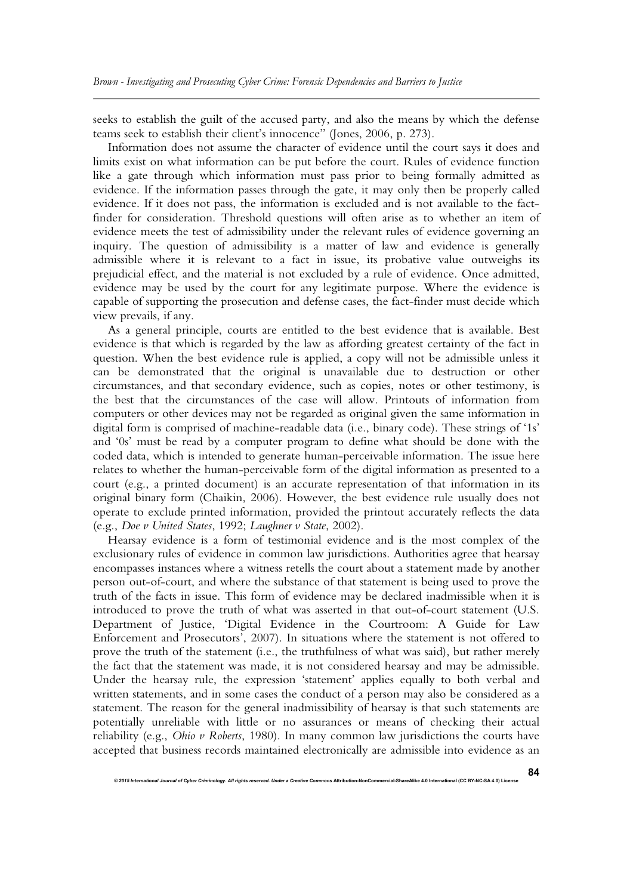seeks to establish the guilt of the accused party, and also the means by which the defense teams seek to establish their client's innocence" (Jones, 2006, p. 273).

Information does not assume the character of evidence until the court says it does and limits exist on what information can be put before the court. Rules of evidence function like a gate through which information must pass prior to being formally admitted as evidence. If the information passes through the gate, it may only then be properly called evidence. If it does not pass, the information is excluded and is not available to the factfinder for consideration. Threshold questions will often arise as to whether an item of evidence meets the test of admissibility under the relevant rules of evidence governing an inquiry. The question of admissibility is a matter of law and evidence is generally admissible where it is relevant to a fact in issue, its probative value outweighs its prejudicial effect, and the material is not excluded by a rule of evidence. Once admitted, evidence may be used by the court for any legitimate purpose. Where the evidence is capable of supporting the prosecution and defense cases, the fact-finder must decide which view prevails, if any.

As a general principle, courts are entitled to the best evidence that is available. Best evidence is that which is regarded by the law as affording greatest certainty of the fact in question. When the best evidence rule is applied, a copy will not be admissible unless it can be demonstrated that the original is unavailable due to destruction or other circumstances, and that secondary evidence, such as copies, notes or other testimony, is the best that the circumstances of the case will allow. Printouts of information from computers or other devices may not be regarded as original given the same information in digital form is comprised of machine-readable data (i.e., binary code). These strings of '1s' and '0s' must be read by a computer program to define what should be done with the coded data, which is intended to generate human-perceivable information. The issue here relates to whether the human-perceivable form of the digital information as presented to a court (e.g., a printed document) is an accurate representation of that information in its original binary form (Chaikin, 2006). However, the best evidence rule usually does not operate to exclude printed information, provided the printout accurately reflects the data (e.g., *Doe v United States*, 1992; *Laughner v State*, 2002).

Hearsay evidence is a form of testimonial evidence and is the most complex of the exclusionary rules of evidence in common law jurisdictions. Authorities agree that hearsay encompasses instances where a witness retells the court about a statement made by another person out-of-court, and where the substance of that statement is being used to prove the truth of the facts in issue. This form of evidence may be declared inadmissible when it is introduced to prove the truth of what was asserted in that out-of-court statement (U.S. Department of Justice, 'Digital Evidence in the Courtroom: A Guide for Law Enforcement and Prosecutors', 2007). In situations where the statement is not offered to prove the truth of the statement (i.e., the truthfulness of what was said), but rather merely the fact that the statement was made, it is not considered hearsay and may be admissible. Under the hearsay rule, the expression 'statement' applies equally to both verbal and written statements, and in some cases the conduct of a person may also be considered as a statement. The reason for the general inadmissibility of hearsay is that such statements are potentially unreliable with little or no assurances or means of checking their actual reliability (e.g., *Ohio v Roberts*, 1980). In many common law jurisdictions the courts have accepted that business records maintained electronically are admissible into evidence as an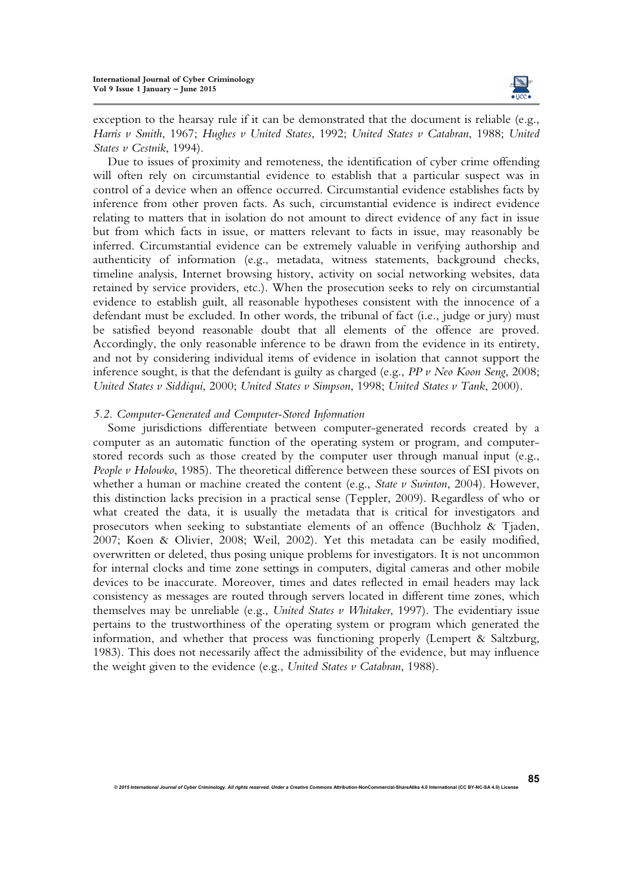

exception to the hearsay rule if it can be demonstrated that the document is reliable (e.g., *Harris v Smith*, 1967; *Hughes v United States*, 1992; *United States v Catabran*, 1988; *United States v Cestnik*, 1994).

Due to issues of proximity and remoteness, the identification of cyber crime offending will often rely on circumstantial evidence to establish that a particular suspect was in control of a device when an offence occurred. Circumstantial evidence establishes facts by inference from other proven facts. As such, circumstantial evidence is indirect evidence relating to matters that in isolation do not amount to direct evidence of any fact in issue but from which facts in issue, or matters relevant to facts in issue, may reasonably be inferred. Circumstantial evidence can be extremely valuable in verifying authorship and authenticity of information (e.g., metadata, witness statements, background checks, timeline analysis, Internet browsing history, activity on social networking websites, data retained by service providers, etc.). When the prosecution seeks to rely on circumstantial evidence to establish guilt, all reasonable hypotheses consistent with the innocence of a defendant must be excluded. In other words, the tribunal of fact (i.e., judge or jury) must be satisfied beyond reasonable doubt that all elements of the offence are proved. Accordingly, the only reasonable inference to be drawn from the evidence in its entirety, and not by considering individual items of evidence in isolation that cannot support the inference sought, is that the defendant is guilty as charged (e.g., *PP v Neo Koon Seng*, 2008; *United States v Siddiqui*, 2000; *United States v Simpson*, 1998; *United States v Tank*, 2000).

#### *5.2. Computer-Generated and Computer-Stored Information*

Some jurisdictions differentiate between computer-generated records created by a computer as an automatic function of the operating system or program, and computerstored records such as those created by the computer user through manual input (e.g., *People v Holowko*, 1985). The theoretical difference between these sources of ESI pivots on whether a human or machine created the content (e.g., *State v Swinton*, 2004). However, this distinction lacks precision in a practical sense (Teppler, 2009). Regardless of who or what created the data, it is usually the metadata that is critical for investigators and prosecutors when seeking to substantiate elements of an offence (Buchholz & Tjaden, 2007; Koen & Olivier, 2008; Weil, 2002). Yet this metadata can be easily modified, overwritten or deleted, thus posing unique problems for investigators. It is not uncommon for internal clocks and time zone settings in computers, digital cameras and other mobile devices to be inaccurate. Moreover, times and dates reflected in email headers may lack consistency as messages are routed through servers located in different time zones, which themselves may be unreliable (e.g., *United States v Whitaker*, 1997). The evidentiary issue pertains to the trustworthiness of the operating system or program which generated the information, and whether that process was functioning properly (Lempert & Saltzburg, 1983). This does not necessarily affect the admissibility of the evidence, but may influence the weight given to the evidence (e.g., *United States v Catabran*, 1988).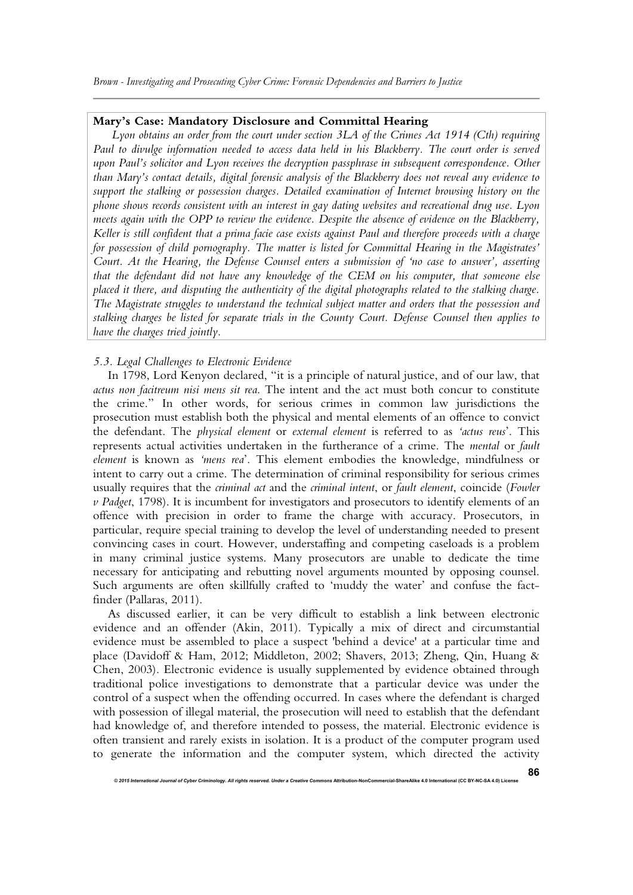*Brown - Investigating and Prosecuting Cyber Crime: Forensic Dependencies and Barriers to Justice*

## **Mary's Case: Mandatory Disclosure and Committal Hearing**

*Lyon obtains an order from the court under section 3LA of the Crimes Act 1914 (Cth) requiring Paul to divulge information needed to access data held in his Blackberry. The court order is served upon Paul's solicitor and Lyon receives the decryption passphrase in subsequent correspondence. Other than Mary's contact details, digital forensic analysis of the Blackberry does not reveal any evidence to support the stalking or possession charges. Detailed examination of Internet browsing history on the phone shows records consistent with an interest in gay dating websites and recreational drug use. Lyon meets again with the OPP to review the evidence. Despite the absence of evidence on the Blackberry, Keller is still confident that a prima facie case exists against Paul and therefore proceeds with a charge for possession of child pornography. The matter is listed for Committal Hearing in the Magistrates' Court. At the Hearing, the Defense Counsel enters a submission of 'no case to answer', asserting that the defendant did not have any knowledge of the CEM on his computer, that someone else placed it there, and disputing the authenticity of the digital photographs related to the stalking charge. The Magistrate struggles to understand the technical subject matter and orders that the possession and stalking charges be listed for separate trials in the County Court. Defense Counsel then applies to have the charges tried jointly.*

#### *5.3. Legal Challenges to Electronic Evidence*

In 1798, Lord Kenyon declared, "it is a principle of natural justice, and of our law, that *actus non facitreum nisi mens sit rea*. The intent and the act must both concur to constitute the crime." In other words, for serious crimes in common law jurisdictions the prosecution must establish both the physical and mental elements of an offence to convict the defendant. The *physical element* or *external element* is referred to as *'actus reus*'. This represents actual activities undertaken in the furtherance of a crime. The *mental* or *fault element* is known as *'mens rea*'. This element embodies the knowledge, mindfulness or intent to carry out a crime. The determination of criminal responsibility for serious crimes usually requires that the *criminal act* and the *criminal intent*, or *fault element*, coincide (*Fowler v Padget*, 1798). It is incumbent for investigators and prosecutors to identify elements of an offence with precision in order to frame the charge with accuracy. Prosecutors, in particular, require special training to develop the level of understanding needed to present convincing cases in court. However, understaffing and competing caseloads is a problem in many criminal justice systems. Many prosecutors are unable to dedicate the time necessary for anticipating and rebutting novel arguments mounted by opposing counsel. Such arguments are often skillfully crafted to 'muddy the water' and confuse the factfinder (Pallaras, 2011).

As discussed earlier, it can be very difficult to establish a link between electronic evidence and an offender (Akin, 2011). Typically a mix of direct and circumstantial evidence must be assembled to place a suspect 'behind a device' at a particular time and place (Davidoff & Ham, 2012; Middleton, 2002; Shavers, 2013; Zheng, Qin, Huang & Chen, 2003). Electronic evidence is usually supplemented by evidence obtained through traditional police investigations to demonstrate that a particular device was under the control of a suspect when the offending occurred. In cases where the defendant is charged with possession of illegal material, the prosecution will need to establish that the defendant had knowledge of, and therefore intended to possess, the material. Electronic evidence is often transient and rarely exists in isolation. It is a product of the computer program used to generate the information and the computer system, which directed the activity

**86**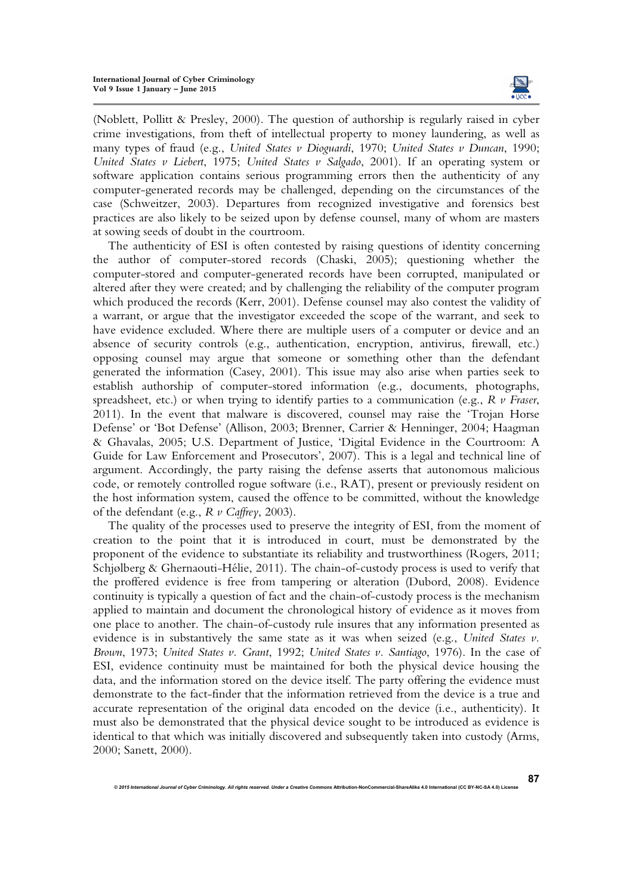

(Noblett, Pollitt & Presley, 2000). The question of authorship is regularly raised in cyber crime investigations, from theft of intellectual property to money laundering, as well as many types of fraud (e.g., *United States v Dioguardi*, 1970; *United States v Duncan*, 1990; *United States v Liebert*, 1975; *United States v Salgado*, 2001). If an operating system or software application contains serious programming errors then the authenticity of any computer-generated records may be challenged, depending on the circumstances of the case (Schweitzer, 2003). Departures from recognized investigative and forensics best practices are also likely to be seized upon by defense counsel, many of whom are masters at sowing seeds of doubt in the courtroom.

The authenticity of ESI is often contested by raising questions of identity concerning the author of computer-stored records (Chaski, 2005); questioning whether the computer-stored and computer-generated records have been corrupted, manipulated or altered after they were created; and by challenging the reliability of the computer program which produced the records (Kerr, 2001). Defense counsel may also contest the validity of a warrant, or argue that the investigator exceeded the scope of the warrant, and seek to have evidence excluded. Where there are multiple users of a computer or device and an absence of security controls (e.g., authentication, encryption, antivirus, firewall, etc.) opposing counsel may argue that someone or something other than the defendant generated the information (Casey, 2001). This issue may also arise when parties seek to establish authorship of computer-stored information (e.g., documents, photographs, spreadsheet, etc.) or when trying to identify parties to a communication (e.g., *R v Fraser*, 2011). In the event that malware is discovered, counsel may raise the 'Trojan Horse Defense' or 'Bot Defense' (Allison, 2003; Brenner, Carrier & Henninger, 2004; Haagman & Ghavalas, 2005; U.S. Department of Justice, 'Digital Evidence in the Courtroom: A Guide for Law Enforcement and Prosecutors', 2007). This is a legal and technical line of argument. Accordingly, the party raising the defense asserts that autonomous malicious code, or remotely controlled rogue software (i.e., RAT), present or previously resident on the host information system, caused the offence to be committed, without the knowledge of the defendant (e.g., *R v Caffrey*, 2003).

The quality of the processes used to preserve the integrity of ESI, from the moment of creation to the point that it is introduced in court, must be demonstrated by the proponent of the evidence to substantiate its reliability and trustworthiness (Rogers, 2011; Schjølberg & Ghernaouti-Hélie, 2011). The chain-of-custody process is used to verify that the proffered evidence is free from tampering or alteration (Dubord, 2008). Evidence continuity is typically a question of fact and the chain-of-custody process is the mechanism applied to maintain and document the chronological history of evidence as it moves from one place to another. The chain-of-custody rule insures that any information presented as evidence is in substantively the same state as it was when seized (e.g., *United States v. Brown*, 1973; *United States v. Grant*, 1992; *United States v. Santiago*, 1976). In the case of ESI, evidence continuity must be maintained for both the physical device housing the data, and the information stored on the device itself. The party offering the evidence must demonstrate to the fact-finder that the information retrieved from the device is a true and accurate representation of the original data encoded on the device (i.e., authenticity). It must also be demonstrated that the physical device sought to be introduced as evidence is identical to that which was initially discovered and subsequently taken into custody (Arms, 2000; Sanett, 2000).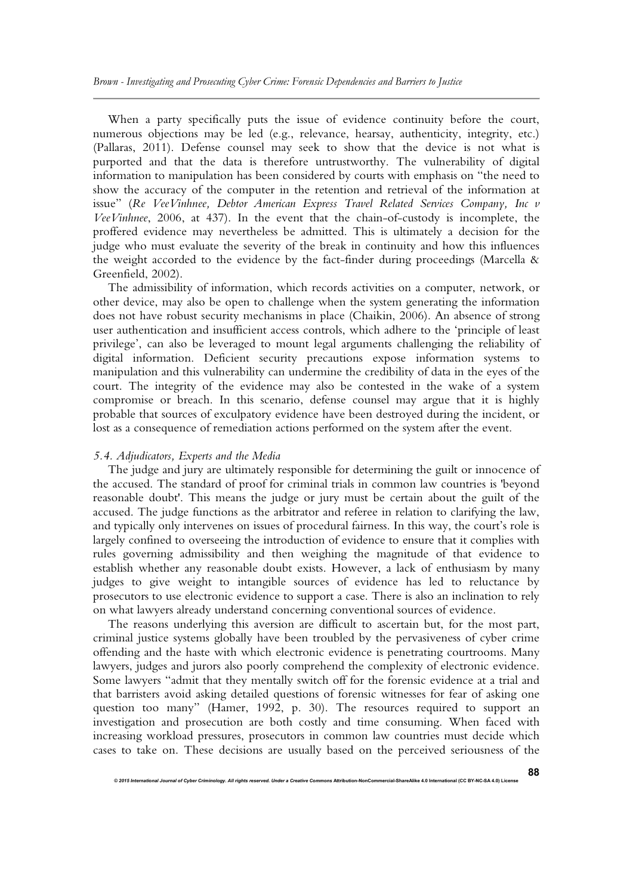When a party specifically puts the issue of evidence continuity before the court, numerous objections may be led (e.g., relevance, hearsay, authenticity, integrity, etc.) (Pallaras, 2011). Defense counsel may seek to show that the device is not what is purported and that the data is therefore untrustworthy. The vulnerability of digital information to manipulation has been considered by courts with emphasis on "the need to show the accuracy of the computer in the retention and retrieval of the information at issue" (*Re VeeVinhnee, Debtor American Express Travel Related Services Company, Inc v VeeVinhnee*, 2006, at 437). In the event that the chain-of-custody is incomplete, the proffered evidence may nevertheless be admitted. This is ultimately a decision for the judge who must evaluate the severity of the break in continuity and how this influences the weight accorded to the evidence by the fact-finder during proceedings (Marcella & Greenfield, 2002).

The admissibility of information, which records activities on a computer, network, or other device, may also be open to challenge when the system generating the information does not have robust security mechanisms in place (Chaikin, 2006). An absence of strong user authentication and insufficient access controls, which adhere to the 'principle of least privilege', can also be leveraged to mount legal arguments challenging the reliability of digital information. Deficient security precautions expose information systems to manipulation and this vulnerability can undermine the credibility of data in the eyes of the court. The integrity of the evidence may also be contested in the wake of a system compromise or breach. In this scenario, defense counsel may argue that it is highly probable that sources of exculpatory evidence have been destroyed during the incident, or lost as a consequence of remediation actions performed on the system after the event.

#### *5.4. Adjudicators, Experts and the Media*

The judge and jury are ultimately responsible for determining the guilt or innocence of the accused. The standard of proof for criminal trials in common law countries is 'beyond reasonable doubt'. This means the judge or jury must be certain about the guilt of the accused. The judge functions as the arbitrator and referee in relation to clarifying the law, and typically only intervenes on issues of procedural fairness. In this way, the court's role is largely confined to overseeing the introduction of evidence to ensure that it complies with rules governing admissibility and then weighing the magnitude of that evidence to establish whether any reasonable doubt exists. However, a lack of enthusiasm by many judges to give weight to intangible sources of evidence has led to reluctance by prosecutors to use electronic evidence to support a case. There is also an inclination to rely on what lawyers already understand concerning conventional sources of evidence.

The reasons underlying this aversion are difficult to ascertain but, for the most part, criminal justice systems globally have been troubled by the pervasiveness of cyber crime offending and the haste with which electronic evidence is penetrating courtrooms. Many lawyers, judges and jurors also poorly comprehend the complexity of electronic evidence. Some lawyers "admit that they mentally switch off for the forensic evidence at a trial and that barristers avoid asking detailed questions of forensic witnesses for fear of asking one question too many" (Hamer, 1992, p. 30). The resources required to support an investigation and prosecution are both costly and time consuming. When faced with increasing workload pressures, prosecutors in common law countries must decide which cases to take on. These decisions are usually based on the perceived seriousness of the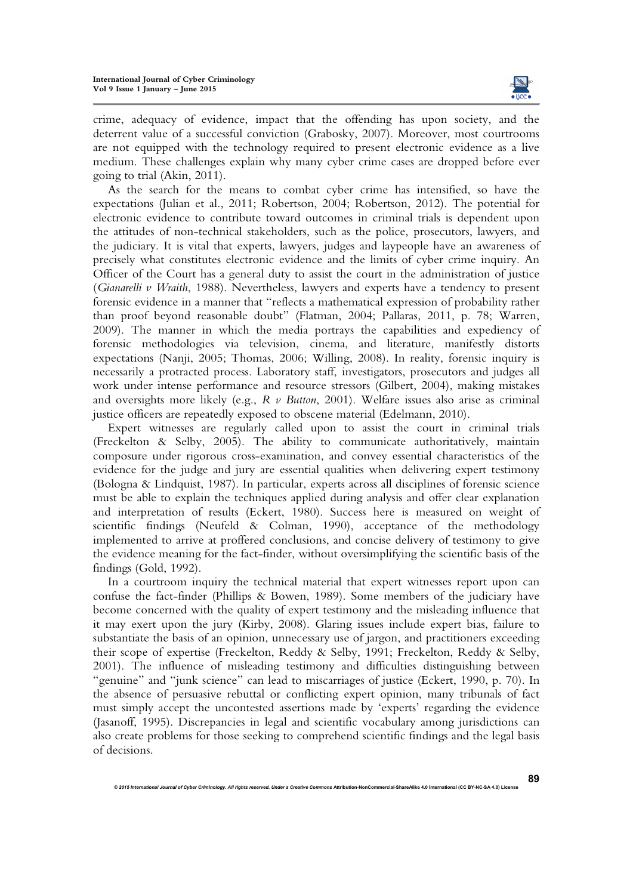

crime, adequacy of evidence, impact that the offending has upon society, and the deterrent value of a successful conviction (Grabosky, 2007). Moreover, most courtrooms are not equipped with the technology required to present electronic evidence as a live medium. These challenges explain why many cyber crime cases are dropped before ever going to trial (Akin, 2011).

As the search for the means to combat cyber crime has intensified, so have the expectations (Julian et al., 2011; Robertson, 2004; Robertson, 2012). The potential for electronic evidence to contribute toward outcomes in criminal trials is dependent upon the attitudes of non-technical stakeholders, such as the police, prosecutors, lawyers, and the judiciary. It is vital that experts, lawyers, judges and laypeople have an awareness of precisely what constitutes electronic evidence and the limits of cyber crime inquiry. An Officer of the Court has a general duty to assist the court in the administration of justice (*Gianarelli v Wraith*, 1988). Nevertheless, lawyers and experts have a tendency to present forensic evidence in a manner that "reflects a mathematical expression of probability rather than proof beyond reasonable doubt" (Flatman, 2004; Pallaras, 2011, p. 78; Warren, 2009). The manner in which the media portrays the capabilities and expediency of forensic methodologies via television, cinema, and literature, manifestly distorts expectations (Nanji, 2005; Thomas, 2006; Willing, 2008). In reality, forensic inquiry is necessarily a protracted process. Laboratory staff, investigators, prosecutors and judges all work under intense performance and resource stressors (Gilbert, 2004), making mistakes and oversights more likely (e.g., *R v Button*, 2001). Welfare issues also arise as criminal justice officers are repeatedly exposed to obscene material (Edelmann, 2010).

Expert witnesses are regularly called upon to assist the court in criminal trials (Freckelton & Selby, 2005). The ability to communicate authoritatively, maintain composure under rigorous cross-examination, and convey essential characteristics of the evidence for the judge and jury are essential qualities when delivering expert testimony (Bologna & Lindquist, 1987). In particular, experts across all disciplines of forensic science must be able to explain the techniques applied during analysis and offer clear explanation and interpretation of results (Eckert, 1980). Success here is measured on weight of scientific findings (Neufeld & Colman, 1990), acceptance of the methodology implemented to arrive at proffered conclusions, and concise delivery of testimony to give the evidence meaning for the fact-finder, without oversimplifying the scientific basis of the findings (Gold, 1992).

In a courtroom inquiry the technical material that expert witnesses report upon can confuse the fact-finder (Phillips & Bowen, 1989). Some members of the judiciary have become concerned with the quality of expert testimony and the misleading influence that it may exert upon the jury (Kirby, 2008). Glaring issues include expert bias, failure to substantiate the basis of an opinion, unnecessary use of jargon, and practitioners exceeding their scope of expertise (Freckelton, Reddy & Selby, 1991; Freckelton, Reddy & Selby, 2001). The influence of misleading testimony and difficulties distinguishing between "genuine" and "junk science" can lead to miscarriages of justice (Eckert, 1990, p. 70). In the absence of persuasive rebuttal or conflicting expert opinion, many tribunals of fact must simply accept the uncontested assertions made by 'experts' regarding the evidence (Jasanoff, 1995). Discrepancies in legal and scientific vocabulary among jurisdictions can also create problems for those seeking to comprehend scientific findings and the legal basis of decisions.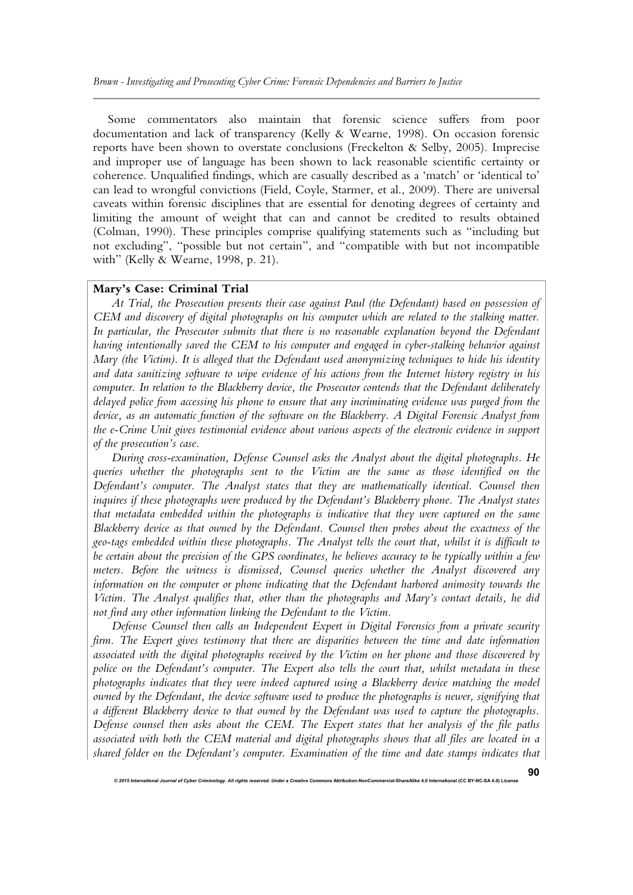Some commentators also maintain that forensic science suffers from poor documentation and lack of transparency (Kelly & Wearne, 1998). On occasion forensic reports have been shown to overstate conclusions (Freckelton & Selby, 2005). Imprecise and improper use of language has been shown to lack reasonable scientific certainty or coherence. Unqualified findings, which are casually described as a 'match' or 'identical to' can lead to wrongful convictions (Field, Coyle, Starmer, et al., 2009). There are universal caveats within forensic disciplines that are essential for denoting degrees of certainty and limiting the amount of weight that can and cannot be credited to results obtained (Colman, 1990). These principles comprise qualifying statements such as "including but not excluding", "possible but not certain", and "compatible with but not incompatible with" (Kelly & Wearne, 1998, p. 21).

## **Mary's Case: Criminal Trial**

*At Trial, the Prosecution presents their case against Paul (the Defendant) based on possession of CEM and discovery of digital photographs on his computer which are related to the stalking matter.*  In particular, the Prosecutor submits that there is no reasonable explanation beyond the Defendant *having intentionally saved the CEM to his computer and engaged in cyber-stalking behavior against Mary (the Victim). It is alleged that the Defendant used anonymizing techniques to hide his identity and data sanitizing software to wipe evidence of his actions from the Internet history registry in his computer. In relation to the Blackberry device, the Prosecutor contends that the Defendant deliberately delayed police from accessing his phone to ensure that any incriminating evidence was purged from the device, as an automatic function of the software on the Blackberry. A Digital Forensic Analyst from the e-Crime Unit gives testimonial evidence about various aspects of the electronic evidence in support of the prosecution's case.* 

*During cross-examination, Defense Counsel asks the Analyst about the digital photographs. He queries whether the photographs sent to the Victim are the same as those identified on the Defendant's computer. The Analyst states that they are mathematically identical. Counsel then inquires if these photographs were produced by the Defendant's Blackberry phone. The Analyst states that metadata embedded within the photographs is indicative that they were captured on the same Blackberry device as that owned by the Defendant. Counsel then probes about the exactness of the geo-tags embedded within these photographs. The Analyst tells the court that, whilst it is difficult to be certain about the precision of the GPS coordinates, he believes accuracy to be typically within a few meters. Before the witness is dismissed, Counsel queries whether the Analyst discovered any information on the computer or phone indicating that the Defendant harbored animosity towards the Victim. The Analyst qualifies that, other than the photographs and Mary's contact details, he did not find any other information linking the Defendant to the Victim.* 

*Defense Counsel then calls an Independent Expert in Digital Forensics from a private security firm. The Expert gives testimony that there are disparities between the time and date information associated with the digital photographs received by the Victim on her phone and those discovered by police on the Defendant's computer. The Expert also tells the court that, whilst metadata in these photographs indicates that they were indeed captured using a Blackberry device matching the model owned by the Defendant, the device software used to produce the photographs is newer, signifying that a different Blackberry device to that owned by the Defendant was used to capture the photographs. Defense counsel then asks about the CEM. The Expert states that her analysis of the file paths associated with both the CEM material and digital photographs shows that all files are located in a shared folder on the Defendant's computer. Examination of the time and date stamps indicates that*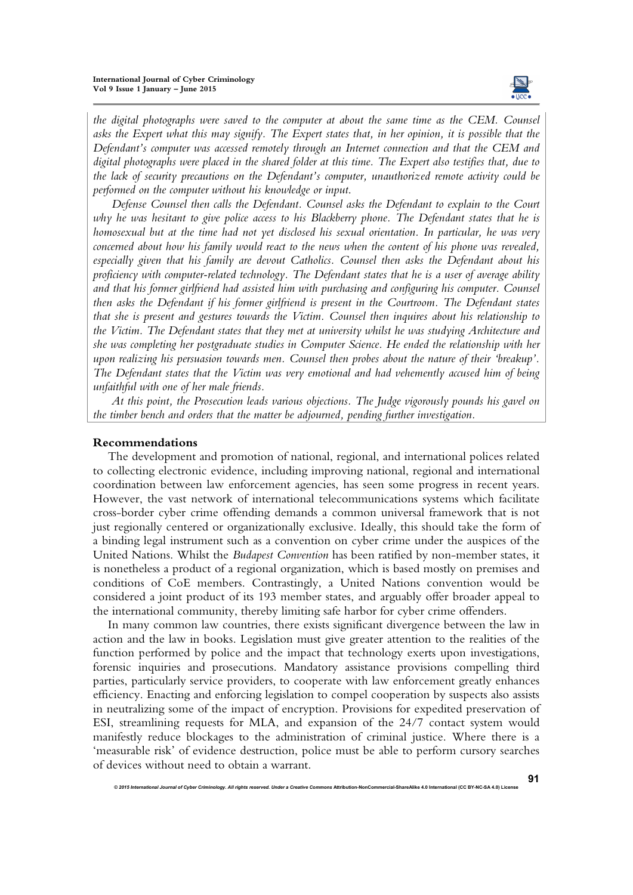

*the digital photographs were saved to the computer at about the same time as the CEM. Counsel asks the Expert what this may signify. The Expert states that, in her opinion, it is possible that the Defendant's computer was accessed remotely through an Internet connection and that the CEM and digital photographs were placed in the shared folder at this time. The Expert also testifies that, due to the lack of security precautions on the Defendant's computer, unauthorized remote activity could be performed on the computer without his knowledge or input*.

*Defense Counsel then calls the Defendant. Counsel asks the Defendant to explain to the Court why he was hesitant to give police access to his Blackberry phone. The Defendant states that he is homosexual but at the time had not yet disclosed his sexual orientation. In particular, he was very concerned about how his family would react to the news when the content of his phone was revealed, especially given that his family are devout Catholics. Counsel then asks the Defendant about his proficiency with computer-related technology. The Defendant states that he is a user of average ability and that his former girlfriend had assisted him with purchasing and configuring his computer. Counsel then asks the Defendant if his former girlfriend is present in the Courtroom. The Defendant states that she is present and gestures towards the Victim. Counsel then inquires about his relationship to the Victim. The Defendant states that they met at university whilst he was studying Architecture and she was completing her postgraduate studies in Computer Science. He ended the relationship with her upon realizing his persuasion towards men. Counsel then probes about the nature of their 'breakup'. The Defendant states that the Victim was very emotional and had vehemently accused him of being unfaithful with one of her male friends.* 

*At this point, the Prosecution leads various objections. The Judge vigorously pounds his gavel on the timber bench and orders that the matter be adjourned, pending further investigation.* 

#### **Recommendations**

The development and promotion of national, regional, and international polices related to collecting electronic evidence, including improving national, regional and international coordination between law enforcement agencies, has seen some progress in recent years. However, the vast network of international telecommunications systems which facilitate cross-border cyber crime offending demands a common universal framework that is not just regionally centered or organizationally exclusive. Ideally, this should take the form of a binding legal instrument such as a convention on cyber crime under the auspices of the United Nations. Whilst the *Budapest Convention* has been ratified by non-member states, it is nonetheless a product of a regional organization, which is based mostly on premises and conditions of CoE members. Contrastingly, a United Nations convention would be considered a joint product of its 193 member states, and arguably offer broader appeal to the international community, thereby limiting safe harbor for cyber crime offenders.

In many common law countries, there exists significant divergence between the law in action and the law in books. Legislation must give greater attention to the realities of the function performed by police and the impact that technology exerts upon investigations, forensic inquiries and prosecutions. Mandatory assistance provisions compelling third parties, particularly service providers, to cooperate with law enforcement greatly enhances efficiency. Enacting and enforcing legislation to compel cooperation by suspects also assists in neutralizing some of the impact of encryption. Provisions for expedited preservation of ESI, streamlining requests for MLA, and expansion of the 24/7 contact system would manifestly reduce blockages to the administration of criminal justice. Where there is a 'measurable risk' of evidence destruction, police must be able to perform cursory searches of devices without need to obtain a warrant.

**<sup>91</sup>**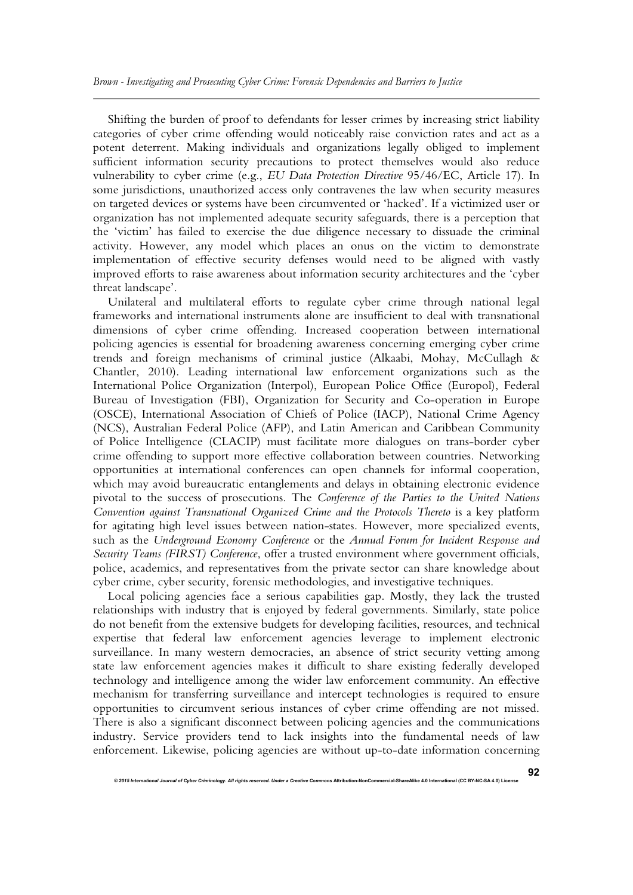Shifting the burden of proof to defendants for lesser crimes by increasing strict liability categories of cyber crime offending would noticeably raise conviction rates and act as a potent deterrent. Making individuals and organizations legally obliged to implement sufficient information security precautions to protect themselves would also reduce vulnerability to cyber crime (e.g., *EU Data Protection Directive* 95/46/EC, Article 17). In some jurisdictions, unauthorized access only contravenes the law when security measures on targeted devices or systems have been circumvented or 'hacked'. If a victimized user or organization has not implemented adequate security safeguards, there is a perception that the 'victim' has failed to exercise the due diligence necessary to dissuade the criminal activity. However, any model which places an onus on the victim to demonstrate implementation of effective security defenses would need to be aligned with vastly improved efforts to raise awareness about information security architectures and the 'cyber threat landscape'.

Unilateral and multilateral efforts to regulate cyber crime through national legal frameworks and international instruments alone are insufficient to deal with transnational dimensions of cyber crime offending. Increased cooperation between international policing agencies is essential for broadening awareness concerning emerging cyber crime trends and foreign mechanisms of criminal justice (Alkaabi, Mohay, McCullagh & Chantler, 2010). Leading international law enforcement organizations such as the International Police Organization (Interpol), European Police Office (Europol), Federal Bureau of Investigation (FBI), Organization for Security and Co-operation in Europe (OSCE), International Association of Chiefs of Police (IACP), National Crime Agency (NCS), Australian Federal Police (AFP), and Latin American and Caribbean Community of Police Intelligence (CLACIP) must facilitate more dialogues on trans-border cyber crime offending to support more effective collaboration between countries. Networking opportunities at international conferences can open channels for informal cooperation, which may avoid bureaucratic entanglements and delays in obtaining electronic evidence pivotal to the success of prosecutions. The *Conference of the Parties to the United Nations Convention against Transnational Organized Crime and the Protocols Thereto* is a key platform for agitating high level issues between nation-states. However, more specialized events, such as the *Underground Economy Conference* or the *Annual Forum for Incident Response and Security Teams (FIRST) Conference*, offer a trusted environment where government officials, police, academics, and representatives from the private sector can share knowledge about cyber crime, cyber security, forensic methodologies, and investigative techniques.

Local policing agencies face a serious capabilities gap. Mostly, they lack the trusted relationships with industry that is enjoyed by federal governments. Similarly, state police do not benefit from the extensive budgets for developing facilities, resources, and technical expertise that federal law enforcement agencies leverage to implement electronic surveillance. In many western democracies, an absence of strict security vetting among state law enforcement agencies makes it difficult to share existing federally developed technology and intelligence among the wider law enforcement community. An effective mechanism for transferring surveillance and intercept technologies is required to ensure opportunities to circumvent serious instances of cyber crime offending are not missed. There is also a significant disconnect between policing agencies and the communications industry. Service providers tend to lack insights into the fundamental needs of law enforcement. Likewise, policing agencies are without up-to-date information concerning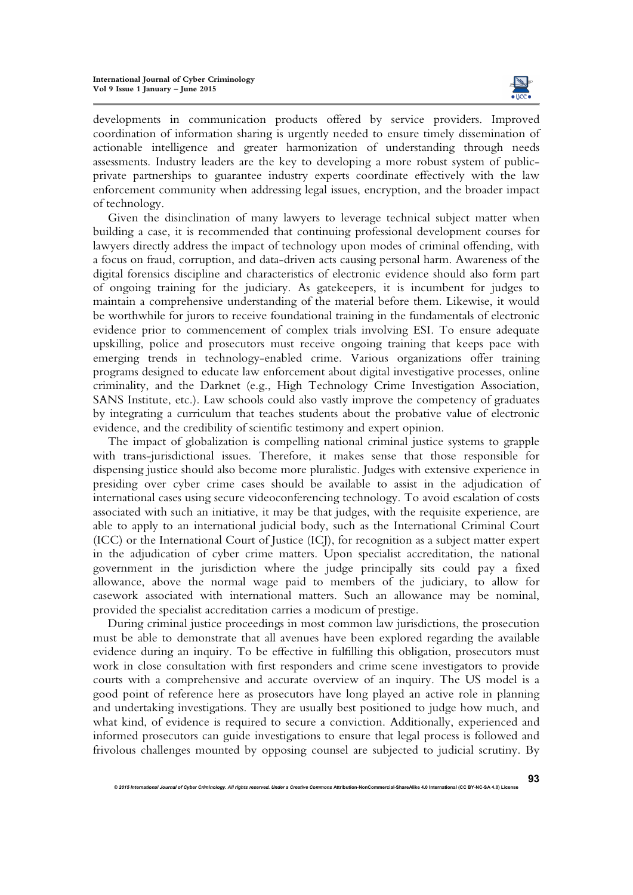

developments in communication products offered by service providers. Improved coordination of information sharing is urgently needed to ensure timely dissemination of actionable intelligence and greater harmonization of understanding through needs assessments. Industry leaders are the key to developing a more robust system of publicprivate partnerships to guarantee industry experts coordinate effectively with the law enforcement community when addressing legal issues, encryption, and the broader impact of technology.

Given the disinclination of many lawyers to leverage technical subject matter when building a case, it is recommended that continuing professional development courses for lawyers directly address the impact of technology upon modes of criminal offending, with a focus on fraud, corruption, and data-driven acts causing personal harm. Awareness of the digital forensics discipline and characteristics of electronic evidence should also form part of ongoing training for the judiciary. As gatekeepers, it is incumbent for judges to maintain a comprehensive understanding of the material before them. Likewise, it would be worthwhile for jurors to receive foundational training in the fundamentals of electronic evidence prior to commencement of complex trials involving ESI. To ensure adequate upskilling, police and prosecutors must receive ongoing training that keeps pace with emerging trends in technology-enabled crime. Various organizations offer training programs designed to educate law enforcement about digital investigative processes, online criminality, and the Darknet (e.g., High Technology Crime Investigation Association, SANS Institute, etc.). Law schools could also vastly improve the competency of graduates by integrating a curriculum that teaches students about the probative value of electronic evidence, and the credibility of scientific testimony and expert opinion.

The impact of globalization is compelling national criminal justice systems to grapple with trans-jurisdictional issues. Therefore, it makes sense that those responsible for dispensing justice should also become more pluralistic. Judges with extensive experience in presiding over cyber crime cases should be available to assist in the adjudication of international cases using secure videoconferencing technology. To avoid escalation of costs associated with such an initiative, it may be that judges, with the requisite experience, are able to apply to an international judicial body, such as the International Criminal Court (ICC) or the International Court of Justice (ICJ), for recognition as a subject matter expert in the adjudication of cyber crime matters. Upon specialist accreditation, the national government in the jurisdiction where the judge principally sits could pay a fixed allowance, above the normal wage paid to members of the judiciary, to allow for casework associated with international matters. Such an allowance may be nominal, provided the specialist accreditation carries a modicum of prestige.

During criminal justice proceedings in most common law jurisdictions, the prosecution must be able to demonstrate that all avenues have been explored regarding the available evidence during an inquiry. To be effective in fulfilling this obligation, prosecutors must work in close consultation with first responders and crime scene investigators to provide courts with a comprehensive and accurate overview of an inquiry. The US model is a good point of reference here as prosecutors have long played an active role in planning and undertaking investigations. They are usually best positioned to judge how much, and what kind, of evidence is required to secure a conviction. Additionally, experienced and informed prosecutors can guide investigations to ensure that legal process is followed and frivolous challenges mounted by opposing counsel are subjected to judicial scrutiny. By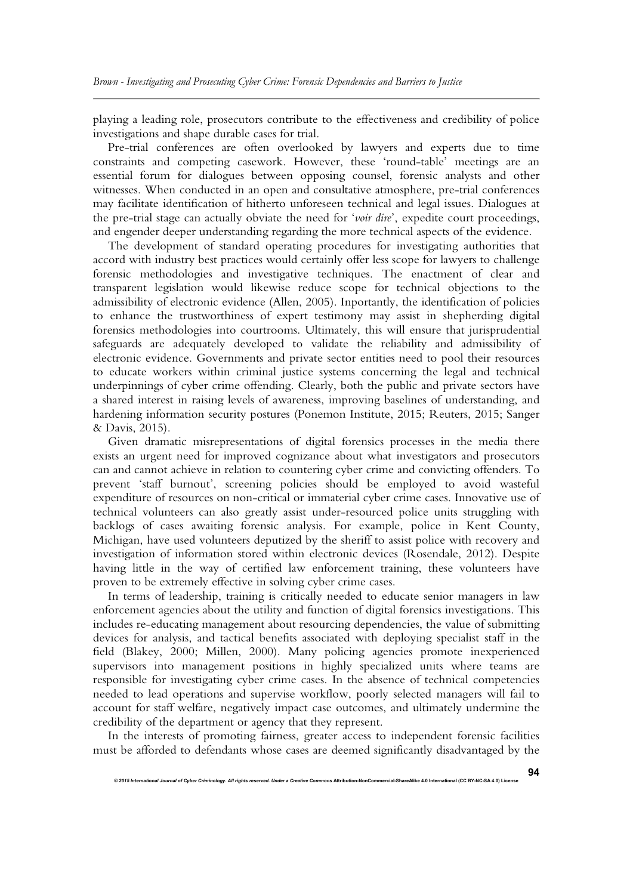playing a leading role, prosecutors contribute to the effectiveness and credibility of police investigations and shape durable cases for trial.

Pre-trial conferences are often overlooked by lawyers and experts due to time constraints and competing casework. However, these 'round-table' meetings are an essential forum for dialogues between opposing counsel, forensic analysts and other witnesses. When conducted in an open and consultative atmosphere, pre-trial conferences may facilitate identification of hitherto unforeseen technical and legal issues. Dialogues at the pre-trial stage can actually obviate the need for '*voir dire*', expedite court proceedings, and engender deeper understanding regarding the more technical aspects of the evidence.

The development of standard operating procedures for investigating authorities that accord with industry best practices would certainly offer less scope for lawyers to challenge forensic methodologies and investigative techniques. The enactment of clear and transparent legislation would likewise reduce scope for technical objections to the admissibility of electronic evidence (Allen, 2005). Inportantly, the identification of policies to enhance the trustworthiness of expert testimony may assist in shepherding digital forensics methodologies into courtrooms. Ultimately, this will ensure that jurisprudential safeguards are adequately developed to validate the reliability and admissibility of electronic evidence. Governments and private sector entities need to pool their resources to educate workers within criminal justice systems concerning the legal and technical underpinnings of cyber crime offending. Clearly, both the public and private sectors have a shared interest in raising levels of awareness, improving baselines of understanding, and hardening information security postures (Ponemon Institute, 2015; Reuters, 2015; Sanger & Davis, 2015).

Given dramatic misrepresentations of digital forensics processes in the media there exists an urgent need for improved cognizance about what investigators and prosecutors can and cannot achieve in relation to countering cyber crime and convicting offenders. To prevent 'staff burnout', screening policies should be employed to avoid wasteful expenditure of resources on non-critical or immaterial cyber crime cases. Innovative use of technical volunteers can also greatly assist under-resourced police units struggling with backlogs of cases awaiting forensic analysis. For example, police in Kent County, Michigan, have used volunteers deputized by the sheriff to assist police with recovery and investigation of information stored within electronic devices (Rosendale, 2012). Despite having little in the way of certified law enforcement training, these volunteers have proven to be extremely effective in solving cyber crime cases.

In terms of leadership, training is critically needed to educate senior managers in law enforcement agencies about the utility and function of digital forensics investigations. This includes re-educating management about resourcing dependencies, the value of submitting devices for analysis, and tactical benefits associated with deploying specialist staff in the field (Blakey, 2000; Millen, 2000). Many policing agencies promote inexperienced supervisors into management positions in highly specialized units where teams are responsible for investigating cyber crime cases. In the absence of technical competencies needed to lead operations and supervise workflow, poorly selected managers will fail to account for staff welfare, negatively impact case outcomes, and ultimately undermine the credibility of the department or agency that they represent.

In the interests of promoting fairness, greater access to independent forensic facilities must be afforded to defendants whose cases are deemed significantly disadvantaged by the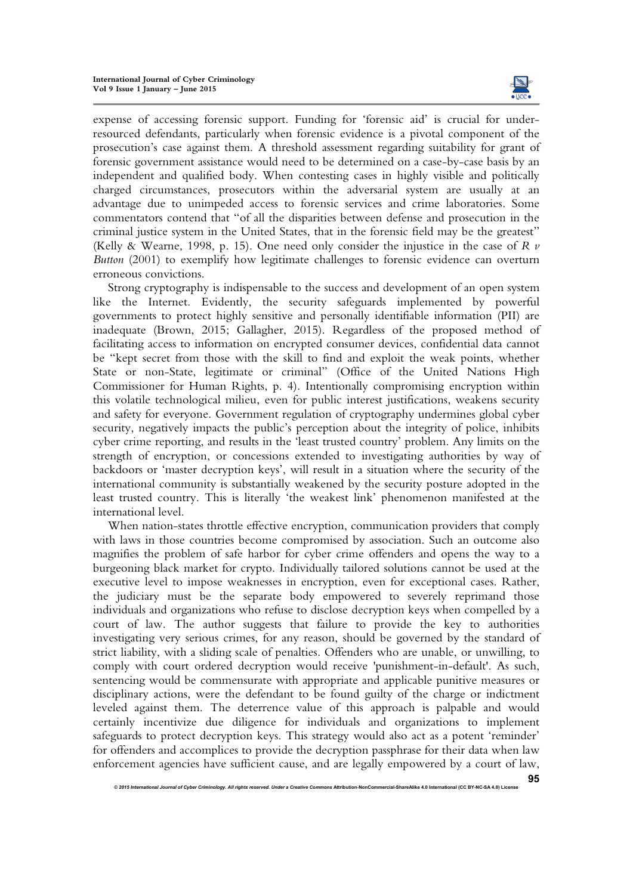

**95**

expense of accessing forensic support. Funding for 'forensic aid' is crucial for underresourced defendants, particularly when forensic evidence is a pivotal component of the prosecution's case against them. A threshold assessment regarding suitability for grant of forensic government assistance would need to be determined on a case-by-case basis by an independent and qualified body. When contesting cases in highly visible and politically charged circumstances, prosecutors within the adversarial system are usually at an advantage due to unimpeded access to forensic services and crime laboratories. Some commentators contend that "of all the disparities between defense and prosecution in the criminal justice system in the United States, that in the forensic field may be the greatest" (Kelly & Wearne, 1998, p. 15). One need only consider the injustice in the case of *R v Button* (2001) to exemplify how legitimate challenges to forensic evidence can overturn erroneous convictions.

Strong cryptography is indispensable to the success and development of an open system like the Internet. Evidently, the security safeguards implemented by powerful governments to protect highly sensitive and personally identifiable information (PII) are inadequate (Brown, 2015; Gallagher, 2015). Regardless of the proposed method of facilitating access to information on encrypted consumer devices, confidential data cannot be "kept secret from those with the skill to find and exploit the weak points, whether State or non-State, legitimate or criminal" (Office of the United Nations High Commissioner for Human Rights, p. 4). Intentionally compromising encryption within this volatile technological milieu, even for public interest justifications, weakens security and safety for everyone. Government regulation of cryptography undermines global cyber security, negatively impacts the public's perception about the integrity of police, inhibits cyber crime reporting, and results in the 'least trusted country' problem. Any limits on the strength of encryption, or concessions extended to investigating authorities by way of backdoors or 'master decryption keys', will result in a situation where the security of the international community is substantially weakened by the security posture adopted in the least trusted country. This is literally 'the weakest link' phenomenon manifested at the international level.

When nation-states throttle effective encryption, communication providers that comply with laws in those countries become compromised by association. Such an outcome also magnifies the problem of safe harbor for cyber crime offenders and opens the way to a burgeoning black market for crypto. Individually tailored solutions cannot be used at the executive level to impose weaknesses in encryption, even for exceptional cases. Rather, the judiciary must be the separate body empowered to severely reprimand those individuals and organizations who refuse to disclose decryption keys when compelled by a court of law. The author suggests that failure to provide the key to authorities investigating very serious crimes, for any reason, should be governed by the standard of strict liability, with a sliding scale of penalties. Offenders who are unable, or unwilling, to comply with court ordered decryption would receive 'punishment-in-default'. As such, sentencing would be commensurate with appropriate and applicable punitive measures or disciplinary actions, were the defendant to be found guilty of the charge or indictment leveled against them. The deterrence value of this approach is palpable and would certainly incentivize due diligence for individuals and organizations to implement safeguards to protect decryption keys. This strategy would also act as a potent 'reminder' for offenders and accomplices to provide the decryption passphrase for their data when law enforcement agencies have sufficient cause, and are legally empowered by a court of law,

*<sup>© 2015</sup> International Journal of Cyber Criminology. All rights reserved. Under a Creative Commons* **Attribution-NonCommercial-ShareAlike 4.0 International (CC BY-NC-SA 4.0) License**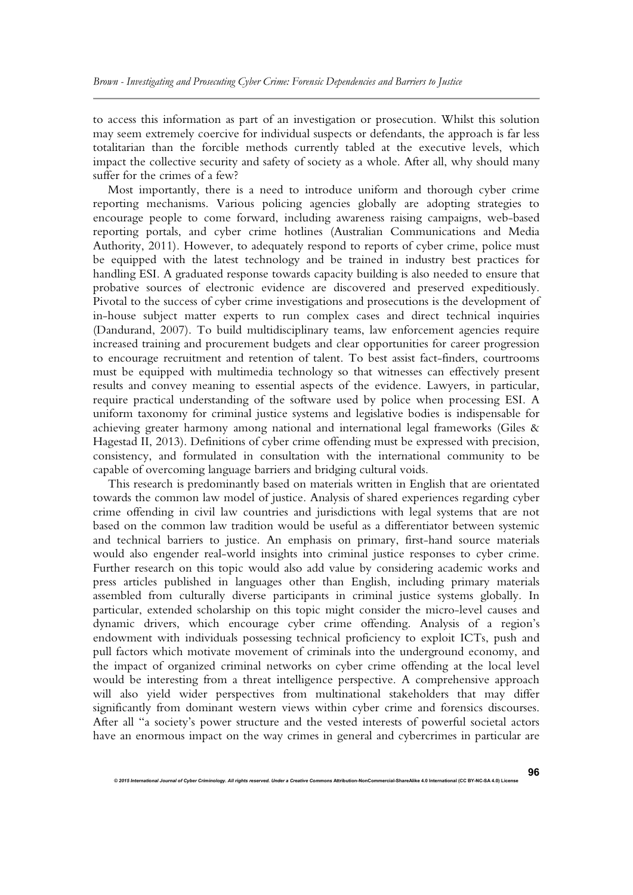to access this information as part of an investigation or prosecution. Whilst this solution may seem extremely coercive for individual suspects or defendants, the approach is far less totalitarian than the forcible methods currently tabled at the executive levels, which impact the collective security and safety of society as a whole. After all, why should many suffer for the crimes of a few?

Most importantly, there is a need to introduce uniform and thorough cyber crime reporting mechanisms. Various policing agencies globally are adopting strategies to encourage people to come forward, including awareness raising campaigns, web-based reporting portals, and cyber crime hotlines (Australian Communications and Media Authority, 2011). However, to adequately respond to reports of cyber crime, police must be equipped with the latest technology and be trained in industry best practices for handling ESI. A graduated response towards capacity building is also needed to ensure that probative sources of electronic evidence are discovered and preserved expeditiously. Pivotal to the success of cyber crime investigations and prosecutions is the development of in-house subject matter experts to run complex cases and direct technical inquiries (Dandurand, 2007). To build multidisciplinary teams, law enforcement agencies require increased training and procurement budgets and clear opportunities for career progression to encourage recruitment and retention of talent. To best assist fact-finders, courtrooms must be equipped with multimedia technology so that witnesses can effectively present results and convey meaning to essential aspects of the evidence. Lawyers, in particular, require practical understanding of the software used by police when processing ESI. A uniform taxonomy for criminal justice systems and legislative bodies is indispensable for achieving greater harmony among national and international legal frameworks (Giles & Hagestad II, 2013). Definitions of cyber crime offending must be expressed with precision, consistency, and formulated in consultation with the international community to be capable of overcoming language barriers and bridging cultural voids.

This research is predominantly based on materials written in English that are orientated towards the common law model of justice. Analysis of shared experiences regarding cyber crime offending in civil law countries and jurisdictions with legal systems that are not based on the common law tradition would be useful as a differentiator between systemic and technical barriers to justice. An emphasis on primary, first-hand source materials would also engender real-world insights into criminal justice responses to cyber crime. Further research on this topic would also add value by considering academic works and press articles published in languages other than English, including primary materials assembled from culturally diverse participants in criminal justice systems globally. In particular, extended scholarship on this topic might consider the micro-level causes and dynamic drivers, which encourage cyber crime offending. Analysis of a region's endowment with individuals possessing technical proficiency to exploit ICTs, push and pull factors which motivate movement of criminals into the underground economy, and the impact of organized criminal networks on cyber crime offending at the local level would be interesting from a threat intelligence perspective. A comprehensive approach will also yield wider perspectives from multinational stakeholders that may differ significantly from dominant western views within cyber crime and forensics discourses. After all "a society's power structure and the vested interests of powerful societal actors have an enormous impact on the way crimes in general and cybercrimes in particular are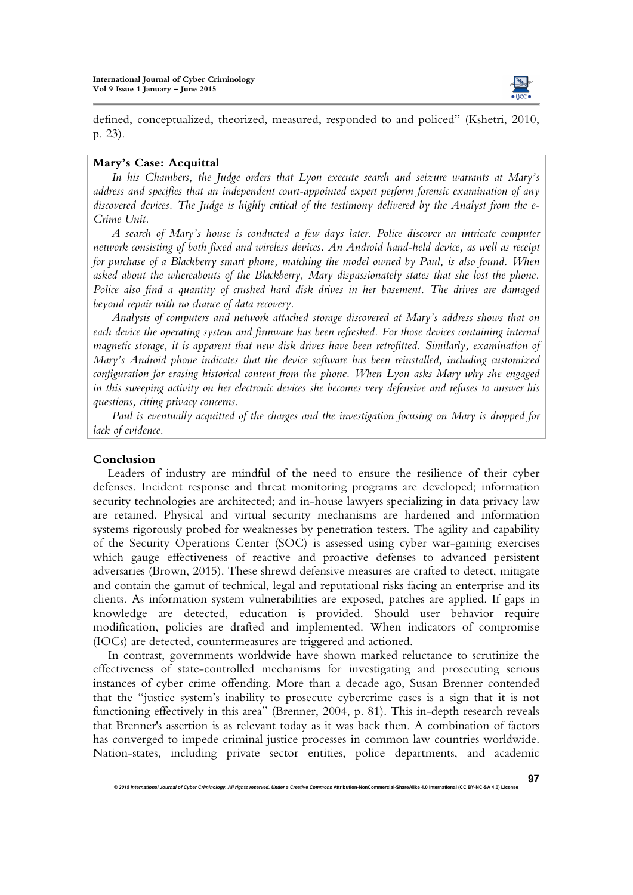

defined, conceptualized, theorized, measured, responded to and policed" (Kshetri, 2010, p. 23).

## **Mary's Case: Acquittal**

*In his Chambers, the Judge orders that Lyon execute search and seizure warrants at Mary's address and specifies that an independent court-appointed expert perform forensic examination of any discovered devices. The Judge is highly critical of the testimony delivered by the Analyst from the e-Crime Unit.* 

*A search of Mary's house is conducted a few days later. Police discover an intricate computer network consisting of both fixed and wireless devices. An Android hand-held device, as well as receipt for purchase of a Blackberry smart phone, matching the model owned by Paul, is also found. When asked about the whereabouts of the Blackberry, Mary dispassionately states that she lost the phone. Police also find a quantity of crushed hard disk drives in her basement. The drives are damaged beyond repair with no chance of data recovery.* 

*Analysis of computers and network attached storage discovered at Mary's address shows that on each device the operating system and firmware has been refreshed. For those devices containing internal magnetic storage, it is apparent that new disk drives have been retrofitted. Similarly, examination of Mary's Android phone indicates that the device software has been reinstalled, including customized configuration for erasing historical content from the phone. When Lyon asks Mary why she engaged in this sweeping activity on her electronic devices she becomes very defensive and refuses to answer his questions, citing privacy concerns.* 

*Paul is eventually acquitted of the charges and the investigation focusing on Mary is dropped for lack of evidence.* 

## **Conclusion**

Leaders of industry are mindful of the need to ensure the resilience of their cyber defenses. Incident response and threat monitoring programs are developed; information security technologies are architected; and in-house lawyers specializing in data privacy law are retained. Physical and virtual security mechanisms are hardened and information systems rigorously probed for weaknesses by penetration testers. The agility and capability of the Security Operations Center (SOC) is assessed using cyber war-gaming exercises which gauge effectiveness of reactive and proactive defenses to advanced persistent adversaries (Brown, 2015). These shrewd defensive measures are crafted to detect, mitigate and contain the gamut of technical, legal and reputational risks facing an enterprise and its clients. As information system vulnerabilities are exposed, patches are applied. If gaps in knowledge are detected, education is provided. Should user behavior require modification, policies are drafted and implemented. When indicators of compromise (IOCs) are detected, countermeasures are triggered and actioned.

In contrast, governments worldwide have shown marked reluctance to scrutinize the effectiveness of state-controlled mechanisms for investigating and prosecuting serious instances of cyber crime offending. More than a decade ago, Susan Brenner contended that the "justice system's inability to prosecute cybercrime cases is a sign that it is not functioning effectively in this area" (Brenner, 2004, p. 81). This in-depth research reveals that Brenner's assertion is as relevant today as it was back then. A combination of factors has converged to impede criminal justice processes in common law countries worldwide. Nation-states, including private sector entities, police departments, and academic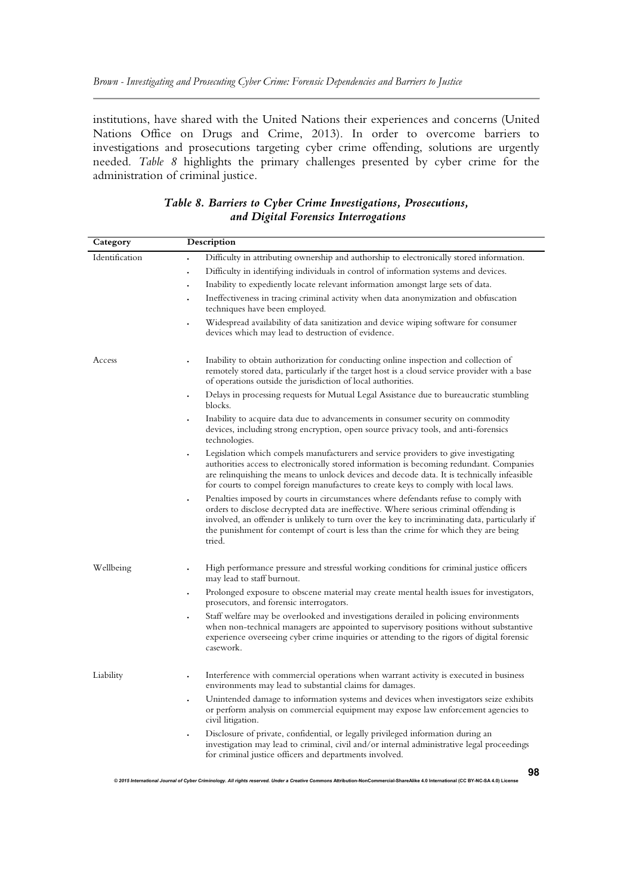institutions, have shared with the United Nations their experiences and concerns (United Nations Office on Drugs and Crime, 2013). In order to overcome barriers to investigations and prosecutions targeting cyber crime offending, solutions are urgently needed. *Table 8* highlights the primary challenges presented by cyber crime for the administration of criminal justice.

| Category       | Description                                                                                                                                                                                                                                                                                                                                                                                   |  |  |  |  |
|----------------|-----------------------------------------------------------------------------------------------------------------------------------------------------------------------------------------------------------------------------------------------------------------------------------------------------------------------------------------------------------------------------------------------|--|--|--|--|
| Identification | Difficulty in attributing ownership and authorship to electronically stored information.                                                                                                                                                                                                                                                                                                      |  |  |  |  |
|                | Difficulty in identifying individuals in control of information systems and devices.<br>$\ddot{\phantom{a}}$                                                                                                                                                                                                                                                                                  |  |  |  |  |
|                | Inability to expediently locate relevant information amongst large sets of data.<br>$\ddot{\phantom{0}}$                                                                                                                                                                                                                                                                                      |  |  |  |  |
|                | Ineffectiveness in tracing criminal activity when data anonymization and obfuscation<br>$\ddot{\phantom{0}}$<br>techniques have been employed.                                                                                                                                                                                                                                                |  |  |  |  |
|                | Widespread availability of data sanitization and device wiping software for consumer<br>devices which may lead to destruction of evidence.                                                                                                                                                                                                                                                    |  |  |  |  |
| Access         | Inability to obtain authorization for conducting online inspection and collection of<br>remotely stored data, particularly if the target host is a cloud service provider with a base<br>of operations outside the jurisdiction of local authorities.                                                                                                                                         |  |  |  |  |
|                | Delays in processing requests for Mutual Legal Assistance due to bureaucratic stumbling<br>blocks.                                                                                                                                                                                                                                                                                            |  |  |  |  |
|                | Inability to acquire data due to advancements in consumer security on commodity<br>devices, including strong encryption, open source privacy tools, and anti-forensics<br>technologies.                                                                                                                                                                                                       |  |  |  |  |
|                | Legislation which compels manufacturers and service providers to give investigating<br>authorities access to electronically stored information is becoming redundant. Companies<br>are relinquishing the means to unlock devices and decode data. It is technically infeasible<br>for courts to compel foreign manufactures to create keys to comply with local laws.                         |  |  |  |  |
|                | Penalties imposed by courts in circumstances where defendants refuse to comply with<br>$\bullet$<br>orders to disclose decrypted data are ineffective. Where serious criminal offending is<br>involved, an offender is unlikely to turn over the key to incriminating data, particularly if<br>the punishment for contempt of court is less than the crime for which they are being<br>tried. |  |  |  |  |
| Wellbeing      | High performance pressure and stressful working conditions for criminal justice officers<br>may lead to staff burnout.                                                                                                                                                                                                                                                                        |  |  |  |  |
|                | Prolonged exposure to obscene material may create mental health issues for investigators,<br>$\bullet$<br>prosecutors, and forensic interrogators.                                                                                                                                                                                                                                            |  |  |  |  |
|                | Staff welfare may be overlooked and investigations derailed in policing environments<br>when non-technical managers are appointed to supervisory positions without substantive<br>experience overseeing cyber crime inquiries or attending to the rigors of digital forensic<br>casework.                                                                                                     |  |  |  |  |
| Liability      | Interference with commercial operations when warrant activity is executed in business<br>environments may lead to substantial claims for damages.                                                                                                                                                                                                                                             |  |  |  |  |
|                | Unintended damage to information systems and devices when investigators seize exhibits<br>or perform analysis on commercial equipment may expose law enforcement agencies to<br>civil litigation.                                                                                                                                                                                             |  |  |  |  |
|                | Disclosure of private, confidential, or legally privileged information during an<br>investigation may lead to criminal, civil and/or internal administrative legal proceedings<br>for criminal justice officers and departments involved.                                                                                                                                                     |  |  |  |  |
|                | 98                                                                                                                                                                                                                                                                                                                                                                                            |  |  |  |  |

## *Table 8. Barriers to Cyber Crime Investigations, Prosecutions, and Digital Forensics Interrogations*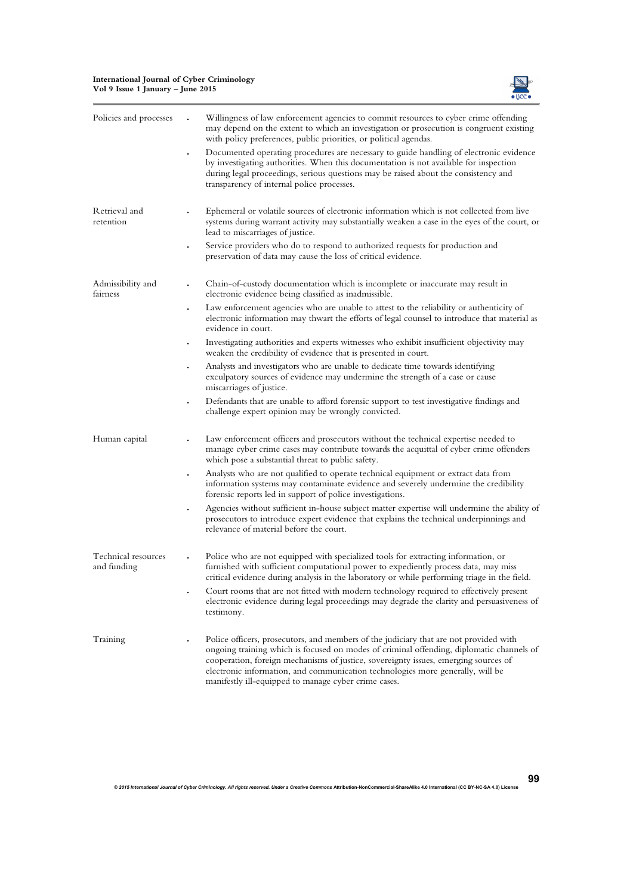#### **International Journal of Cyber Criminology Vol 9 Issue 1 January – June 2015**



| Policies and processes             | Willingness of law enforcement agencies to commit resources to cyber crime offending<br>may depend on the extent to which an investigation or prosecution is congruent existing<br>with policy preferences, public priorities, or political agendas.                                                                                                                                                               |
|------------------------------------|--------------------------------------------------------------------------------------------------------------------------------------------------------------------------------------------------------------------------------------------------------------------------------------------------------------------------------------------------------------------------------------------------------------------|
|                                    | Documented operating procedures are necessary to guide handling of electronic evidence<br>by investigating authorities. When this documentation is not available for inspection<br>during legal proceedings, serious questions may be raised about the consistency and<br>transparency of internal police processes.                                                                                               |
| Retrieval and<br>retention         | Ephemeral or volatile sources of electronic information which is not collected from live<br>systems during warrant activity may substantially weaken a case in the eyes of the court, or<br>lead to miscarriages of justice.                                                                                                                                                                                       |
|                                    | Service providers who do to respond to authorized requests for production and<br>preservation of data may cause the loss of critical evidence.                                                                                                                                                                                                                                                                     |
| Admissibility and<br>fairness      | Chain-of-custody documentation which is incomplete or inaccurate may result in<br>electronic evidence being classified as inadmissible.                                                                                                                                                                                                                                                                            |
|                                    | Law enforcement agencies who are unable to attest to the reliability or authenticity of<br>electronic information may thwart the efforts of legal counsel to introduce that material as<br>evidence in court.                                                                                                                                                                                                      |
|                                    | Investigating authorities and experts witnesses who exhibit insufficient objectivity may<br>weaken the credibility of evidence that is presented in court.                                                                                                                                                                                                                                                         |
|                                    | Analysts and investigators who are unable to dedicate time towards identifying<br>exculpatory sources of evidence may undermine the strength of a case or cause<br>miscarriages of justice.                                                                                                                                                                                                                        |
|                                    | Defendants that are unable to afford forensic support to test investigative findings and<br>challenge expert opinion may be wrongly convicted.                                                                                                                                                                                                                                                                     |
| Human capital                      | Law enforcement officers and prosecutors without the technical expertise needed to<br>manage cyber crime cases may contribute towards the acquittal of cyber crime offenders<br>which pose a substantial threat to public safety.                                                                                                                                                                                  |
|                                    | Analysts who are not qualified to operate technical equipment or extract data from<br>information systems may contaminate evidence and severely undermine the credibility<br>forensic reports led in support of police investigations.                                                                                                                                                                             |
|                                    | Agencies without sufficient in-house subject matter expertise will undermine the ability of<br>prosecutors to introduce expert evidence that explains the technical underpinnings and<br>relevance of material before the court.                                                                                                                                                                                   |
| Technical resources<br>and funding | Police who are not equipped with specialized tools for extracting information, or<br>furnished with sufficient computational power to expediently process data, may miss<br>critical evidence during analysis in the laboratory or while performing triage in the field.                                                                                                                                           |
|                                    | Court rooms that are not fitted with modern technology required to effectively present<br>electronic evidence during legal proceedings may degrade the clarity and persuasiveness of<br>testimony.                                                                                                                                                                                                                 |
| Training                           | Police officers, prosecutors, and members of the judiciary that are not provided with<br>ongoing training which is focused on modes of criminal offending, diplomatic channels of<br>cooperation, foreign mechanisms of justice, sovereignty issues, emerging sources of<br>electronic information, and communication technologies more generally, will be<br>manifestly ill-equipped to manage cyber crime cases. |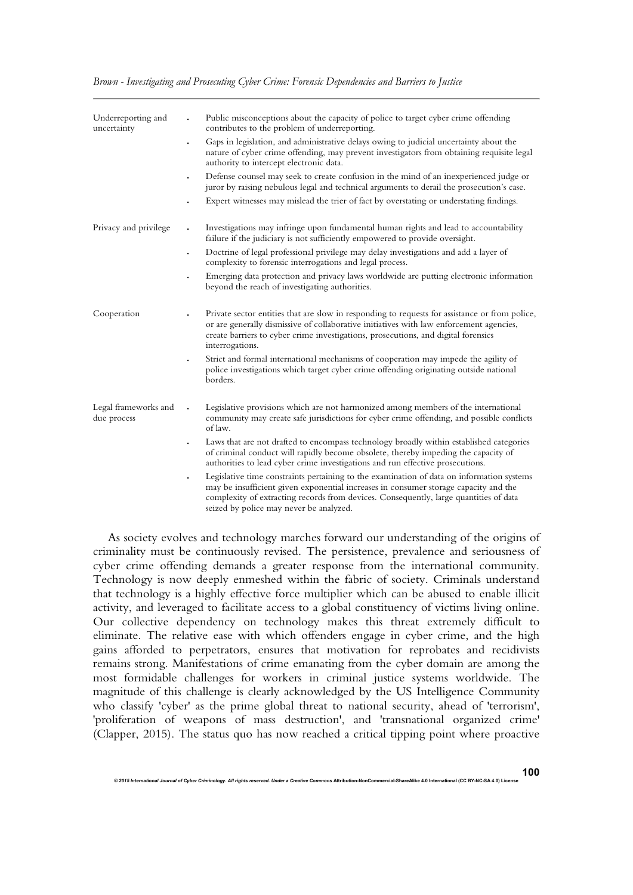|  | Brown - Investigating and Prosecuting Cyber Crime: Forensic Dependencies and Barriers to Justice |  |  |  |  |
|--|--------------------------------------------------------------------------------------------------|--|--|--|--|
|  |                                                                                                  |  |  |  |  |

| Underreporting and<br>uncertainty   | Public misconceptions about the capacity of police to target cyber crime offending<br>$\ddot{\phantom{0}}$<br>contributes to the problem of underreporting.                                                                                                                                                                        |
|-------------------------------------|------------------------------------------------------------------------------------------------------------------------------------------------------------------------------------------------------------------------------------------------------------------------------------------------------------------------------------|
|                                     | Gaps in legislation, and administrative delays owing to judicial uncertainty about the<br>$\bullet$<br>nature of cyber crime offending, may prevent investigators from obtaining requisite legal<br>authority to intercept electronic data.                                                                                        |
|                                     | Defense counsel may seek to create confusion in the mind of an inexperienced judge or<br>$\bullet$<br>juror by raising nebulous legal and technical arguments to derail the prosecution's case.                                                                                                                                    |
|                                     | Expert witnesses may mislead the trier of fact by overstating or understating findings.                                                                                                                                                                                                                                            |
| Privacy and privilege               | Investigations may infringe upon fundamental human rights and lead to accountability<br>$\ddot{\phantom{0}}$<br>failure if the judiciary is not sufficiently empowered to provide oversight.                                                                                                                                       |
|                                     | Doctrine of legal professional privilege may delay investigations and add a layer of<br>$\bullet$<br>complexity to forensic interrogations and legal process.                                                                                                                                                                      |
|                                     | Emerging data protection and privacy laws worldwide are putting electronic information<br>$\bullet$<br>beyond the reach of investigating authorities.                                                                                                                                                                              |
| Cooperation                         | Private sector entities that are slow in responding to requests for assistance or from police,<br>or are generally dismissive of collaborative initiatives with law enforcement agencies,<br>create barriers to cyber crime investigations, prosecutions, and digital forensics<br>interrogations.                                 |
|                                     | Strict and formal international mechanisms of cooperation may impede the agility of<br>police investigations which target cyber crime offending originating outside national<br>borders.                                                                                                                                           |
| Legal frameworks and<br>due process | Legislative provisions which are not harmonized among members of the international<br>community may create safe jurisdictions for cyber crime offending, and possible conflicts<br>of law.                                                                                                                                         |
|                                     | Laws that are not drafted to encompass technology broadly within established categories<br>of criminal conduct will rapidly become obsolete, thereby impeding the capacity of<br>authorities to lead cyber crime investigations and run effective prosecutions.                                                                    |
|                                     | Legislative time constraints pertaining to the examination of data on information systems<br>$\bullet$<br>may be insufficient given exponential increases in consumer storage capacity and the<br>complexity of extracting records from devices. Consequently, large quantities of data<br>seized by police may never be analyzed. |

As society evolves and technology marches forward our understanding of the origins of criminality must be continuously revised. The persistence, prevalence and seriousness of cyber crime offending demands a greater response from the international community. Technology is now deeply enmeshed within the fabric of society. Criminals understand that technology is a highly effective force multiplier which can be abused to enable illicit activity, and leveraged to facilitate access to a global constituency of victims living online. Our collective dependency on technology makes this threat extremely difficult to eliminate. The relative ease with which offenders engage in cyber crime, and the high gains afforded to perpetrators, ensures that motivation for reprobates and recidivists remains strong. Manifestations of crime emanating from the cyber domain are among the most formidable challenges for workers in criminal justice systems worldwide. The magnitude of this challenge is clearly acknowledged by the US Intelligence Community who classify 'cyber' as the prime global threat to national security, ahead of 'terrorism', 'proliferation of weapons of mass destruction', and 'transnational organized crime' (Clapper, 2015). The status quo has now reached a critical tipping point where proactive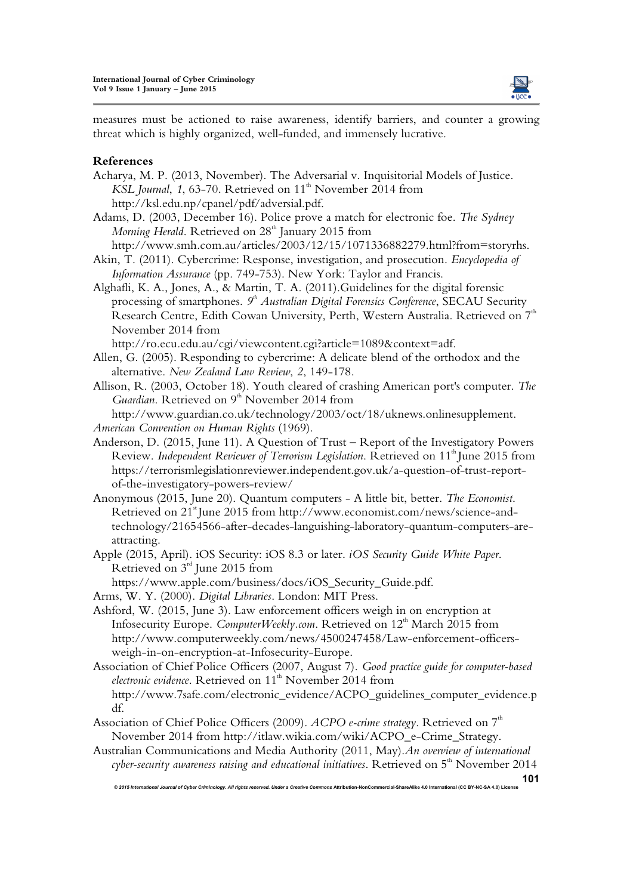

measures must be actioned to raise awareness, identify barriers, and counter a growing threat which is highly organized, well-funded, and immensely lucrative.

## **References**

- Acharya, M. P. (2013, November). The Adversarial v. Inquisitorial Models of Justice. *KSL Journal*, 1, 63-70. Retrieved on 11<sup>th</sup> November 2014 from http://ksl.edu.np/cpanel/pdf/adversial.pdf.
- Adams, D. (2003, December 16). Police prove a match for electronic foe. *The Sydney Morning Herald*. Retrieved on 28<sup>th</sup> January 2015 from

http://www.smh.com.au/articles/2003/12/15/1071336882279.html?from=storyrhs.

- Akin, T. (2011). Cybercrime: Response, investigation, and prosecution. *Encyclopedia of Information Assurance* (pp. 749-753). New York: Taylor and Francis.
- Alghafli, K. A., Jones, A., & Martin, T. A. (2011).Guidelines for the digital forensic processing of smartphones.  $9<sup>th</sup>$  Australian Digital Forensics Conference, SECAU Security Research Centre, Edith Cowan University, Perth, Western Australia. Retrieved on 7<sup>th</sup> November 2014 from

http://ro.ecu.edu.au/cgi/viewcontent.cgi?article=1089&context=adf.

- Allen, G. (2005). Responding to cybercrime: A delicate blend of the orthodox and the alternative. *New Zealand Law Review*, *2*, 149-178.
- Allison, R. (2003, October 18). Youth cleared of crashing American port's computer. *The*  Guardian. Retrieved on 9<sup>th</sup> November 2014 from http://www.guardian.co.uk/technology/2003/oct/18/uknews.onlinesupplement.
- *American Convention on Human Rights* (1969).
- Anderson, D. (2015, June 11). A Question of Trust Report of the Investigatory Powers Review. *Independent Reviewer of Terrorism Legislation*. Retrieved on 11<sup>th</sup> June 2015 from https://terrorismlegislationreviewer.independent.gov.uk/a-question-of-trust-reportof-the-investigatory-powers-review/
- Anonymous (2015, June 20). Quantum computers A little bit, better. *The Economist*. Retrieved on 21<sup>st</sup> June 2015 from http://www.economist.com/news/science-andtechnology/21654566-after-decades-languishing-laboratory-quantum-computers-areattracting.
- Apple (2015, April). iOS Security: iOS 8.3 or later. *iOS Security Guide White Paper*. Retrieved on 3<sup>rd</sup> June 2015 from

https://www.apple.com/business/docs/iOS\_Security\_Guide.pdf.

Arms, W. Y. (2000). *Digital Libraries*. London: MIT Press.

- Ashford, W. (2015, June 3). Law enforcement officers weigh in on encryption at Infosecurity Europe. *ComputerWeekly.com*. Retrieved on 12<sup>th</sup> March 2015 from http://www.computerweekly.com/news/4500247458/Law-enforcement-officersweigh-in-on-encryption-at-Infosecurity-Europe.
- Association of Chief Police Officers (2007, August 7). *Good practice guide for computer-based electronic evidence*. Retrieved on 11<sup>th</sup> November 2014 from http://www.7safe.com/electronic\_evidence/ACPO\_guidelines\_computer\_evidence.p df.
- Association of Chief Police Officers (2009). *ACPO e-crime strategy*. Retrieved on 7<sup>th</sup> November 2014 from http://itlaw.wikia.com/wiki/ACPO\_e-Crime\_Strategy.
- Australian Communications and Media Authority (2011, May).*An overview of international cyber-security awareness raising and educational initiatives.* Retrieved on 5<sup>th</sup> November 2014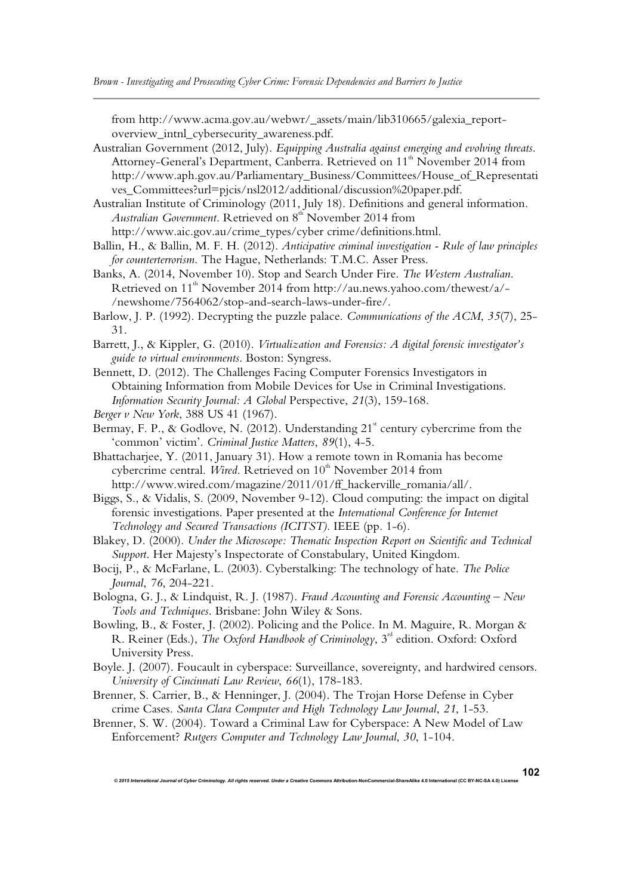from http://www.acma.gov.au/webwr/\_assets/main/lib310665/galexia\_reportoverview\_intnl\_cybersecurity\_awareness.pdf.

Australian Government (2012, July). *Equipping Australia against emerging and evolving threats*. Attorney-General's Department, Canberra. Retrieved on 11<sup>th</sup> November 2014 from http://www.aph.gov.au/Parliamentary\_Business/Committees/House\_of\_Representati ves\_Committees?url=pjcis/nsl2012/additional/discussion%20paper.pdf.

Australian Institute of Criminology (2011, July 18). Definitions and general information. *Australian Government*. Retrieved on  $8<sup>th</sup>$  November 2014 from http://www.aic.gov.au/crime\_types/cyber crime/definitions.html.

Ballin, H., & Ballin, M. F. H. (2012). *Anticipative criminal investigation - Rule of law principles for counterterrorism*. The Hague, Netherlands: T.M.C. Asser Press.

Banks, A. (2014, November 10). Stop and Search Under Fire. *The Western Australian*. Retrieved on 11<sup>th</sup> November 2014 from http://au.news.yahoo.com/thewest/a/-/newshome/7564062/stop-and-search-laws-under-fire/.

Barlow, J. P. (1992). Decrypting the puzzle palace. *Communications of the ACM*, *35*(7), 25- 31.

Barrett, J., & Kippler, G. (2010). *Virtualization and Forensics: A digital forensic investigator's guide to virtual environments*. Boston: Syngress.

Bennett, D. (2012). The Challenges Facing Computer Forensics Investigators in Obtaining Information from Mobile Devices for Use in Criminal Investigations. *Information Security Journal: A Global* Perspective, *21*(3), 159-168.

*Berger v New York*, 388 US 41 (1967).

Bermay, F. P., & Godlove, N. (2012). Understanding  $21^*$  century cybercrime from the 'common' victim'. *Criminal Justice Matters*, *89*(1), 4-5.

Bhattacharjee, Y. (2011, January 31). How a remote town in Romania has become cybercrime central. *Wired*. Retrieved on 10<sup>th</sup> November 2014 from http://www.wired.com/magazine/2011/01/ff\_hackerville\_romania/all/.

Biggs, S., & Vidalis, S. (2009, November 9-12). Cloud computing: the impact on digital forensic investigations. Paper presented at the *International Conference for Internet Technology and Secured Transactions (ICITST)*. IEEE (pp. 1-6).

Blakey, D. (2000). *Under the Microscope: Thematic Inspection Report on Scientific and Technical Support*. Her Majesty's Inspectorate of Constabulary, United Kingdom.

Bocij, P., & McFarlane, L. (2003). Cyberstalking: The technology of hate. *The Police Journal*, *76*, 204-221.

Bologna, G. J., & Lindquist, R. J. (1987). *Fraud Accounting and Forensic Accounting – New Tools and Techniques*. Brisbane: John Wiley & Sons.

Bowling, B., & Foster, J. (2002). Policing and the Police. In M. Maguire, R. Morgan & R. Reiner (Eds.), *The Oxford Handbook of Criminology*, 3<sup>rd</sup> edition. Oxford: Oxford University Press.

Boyle. J. (2007). Foucault in cyberspace: Surveillance, sovereignty, and hardwired censors. *University of Cincinnati Law Review*, *66*(1), 178-183.

Brenner, S. Carrier, B., & Henninger, J. (2004). The Trojan Horse Defense in Cyber crime Cases. *Santa Clara Computer and High Technology Law Journal*, *21*, 1-53.

Brenner, S. W. (2004). Toward a Criminal Law for Cyberspace: A New Model of Law Enforcement? *Rutgers Computer and Technology Law Journal*, *30*, 1-104.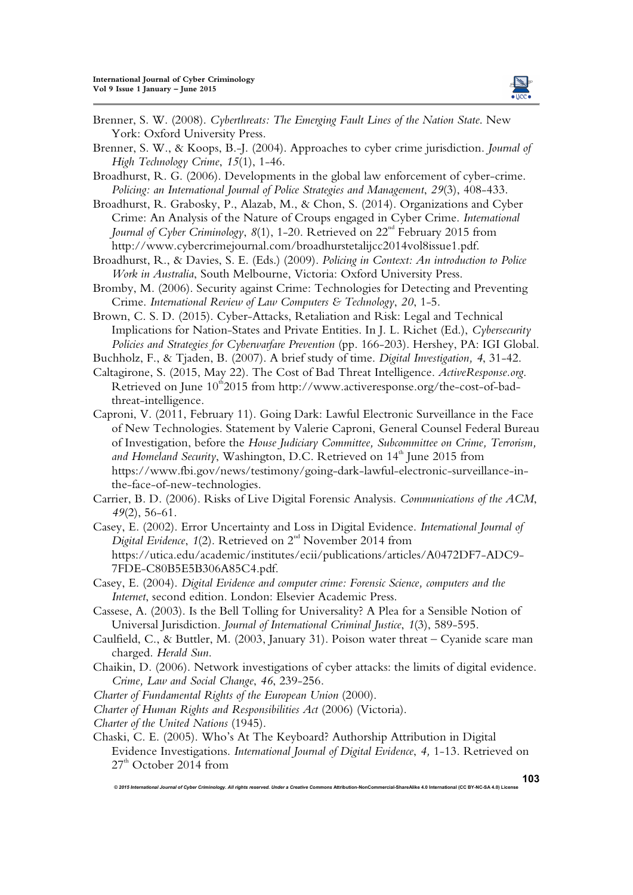

Brenner, S. W. (2008). *Cyberthreats: The Emerging Fault Lines of the Nation State*. New York: Oxford University Press.

Brenner, S. W., & Koops, B.-J. (2004). Approaches to cyber crime jurisdiction. *Journal of High Technology Crime*, *15*(1), 1-46.

- Broadhurst, R. G. (2006). Developments in the global law enforcement of cyber-crime. *Policing: an International Journal of Police Strategies and Management*, *29*(3), 408-433.
- Broadhurst, R. Grabosky, P., Alazab, M., & Chon, S. (2014). Organizations and Cyber Crime: An Analysis of the Nature of Croups engaged in Cyber Crime. *International Journal of Cyber Criminology*, 8(1), 1-20. Retrieved on 22<sup>nd</sup> February 2015 from http://www.cybercrimejournal.com/broadhurstetalijcc2014vol8issue1.pdf.
- Broadhurst, R., & Davies, S. E. (Eds.) (2009). *Policing in Context: An introduction to Police Work in Australia*, South Melbourne, Victoria: Oxford University Press.
- Bromby, M. (2006). Security against Crime: Technologies for Detecting and Preventing Crime. *International Review of Law Computers & Technology*, *20*, 1-5.

Brown, C. S. D. (2015). Cyber-Attacks, Retaliation and Risk: Legal and Technical Implications for Nation-States and Private Entities. In J. L. Richet (Ed.), *Cybersecurity Policies and Strategies for Cyberwarfare Prevention* (pp. 166-203). Hershey, PA: IGI Global.

Buchholz, F., & Tjaden, B. (2007). A brief study of time. *Digital Investigation, 4*, 31-42. Caltagirone, S. (2015, May 22). The Cost of Bad Threat Intelligence. *ActiveResponse.org*.

Retrieved on June  $10^{th}2015$  from http://www.activeresponse.org/the-cost-of-badthreat-intelligence.

Caproni, V. (2011, February 11). Going Dark: Lawful Electronic Surveillance in the Face of New Technologies. Statement by Valerie Caproni, General Counsel Federal Bureau of Investigation, before the *House Judiciary Committee, Subcommittee on Crime, Terrorism,*  and Homeland Security, Washington, D.C. Retrieved on 14<sup>th</sup> June 2015 from https://www.fbi.gov/news/testimony/going-dark-lawful-electronic-surveillance-inthe-face-of-new-technologies.

Carrier, B. D. (2006). Risks of Live Digital Forensic Analysis. *Communications of the ACM*, *49*(2), 56-61.

Casey, E. (2002). Error Uncertainty and Loss in Digital Evidence. *International Journal of Digital Evidence*, 1(2). Retrieved on 2<sup>nd</sup> November 2014 from https://utica.edu/academic/institutes/ecii/publications/articles/A0472DF7-ADC9- 7FDE-C80B5E5B306A85C4.pdf.

Casey, E. (2004). *Digital Evidence and computer crime: Forensic Science, computers and the Internet*, second edition. London: Elsevier Academic Press.

- Cassese, A. (2003). Is the Bell Tolling for Universality? A Plea for a Sensible Notion of Universal Jurisdiction. *Journal of International Criminal Justice*, *1*(3), 589-595.
- Caulfield, C., & Buttler, M. (2003, January 31). Poison water threat Cyanide scare man charged. *Herald Sun*.
- Chaikin, D. (2006). Network investigations of cyber attacks: the limits of digital evidence. *Crime, Law and Social Change*, *46*, 239-256.
- *Charter of Fundamental Rights of the European Union* (2000).

*Charter of Human Rights and Responsibilities Act* (2006) (Victoria).

*Charter of the United Nations* (1945).

Chaski, C. E. (2005). Who's At The Keyboard? Authorship Attribution in Digital Evidence Investigations. *International Journal of Digital Evidence*, *4,* 1-13. Retrieved on  $27<sup>th</sup>$  October 2014 from

*© 2015 International Journal of Cyber Criminology. All rights reserved. Under a Creative Commons* **Attribution-NonCommercial-ShareAlike 4.0 International (CC BY-NC-SA 4.0) License** 

**103**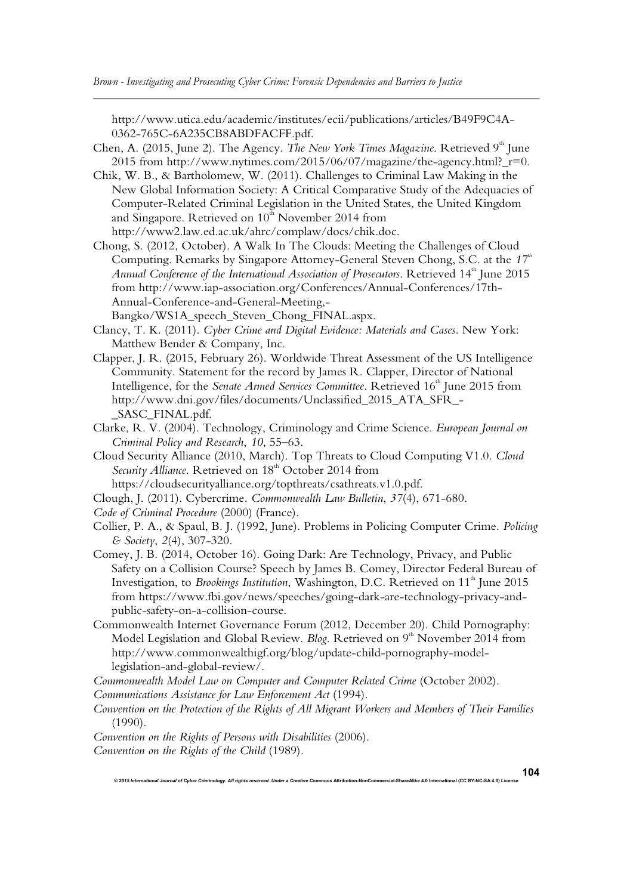http://www.utica.edu/academic/institutes/ecii/publications/articles/B49F9C4A-0362-765C-6A235CB8ABDFACFF.pdf.

- Chen, A. (2015, June 2). The Agency. *The New York Times Magazine*. Retrieved 9<sup>th</sup> June 2015 from http://www.nytimes.com/2015/06/07/magazine/the-agency.html?\_r=0.
- Chik, W. B., & Bartholomew, W. (2011). Challenges to Criminal Law Making in the New Global Information Society: A Critical Comparative Study of the Adequacies of Computer-Related Criminal Legislation in the United States, the United Kingdom and Singapore. Retrieved on  $10<sup>th</sup>$  November 2014 from http://www2.law.ed.ac.uk/ahrc/complaw/docs/chik.doc.
- Chong, S. (2012, October). A Walk In The Clouds: Meeting the Challenges of Cloud Computing. Remarks by Singapore Attorney-General Steven Chong, S.C. at the 17<sup>th</sup> *Annual Conference of the International Association of Prosecutors*. Retrieved 14<sup>th</sup> June 2015 from http://www.iap-association.org/Conferences/Annual-Conferences/17th-Annual-Conference-and-General-Meeting,- Bangko/WS1A\_speech\_Steven\_Chong\_FINAL.aspx.
- Clancy, T. K. (2011). *Cyber Crime and Digital Evidence: Materials and Cases*. New York: Matthew Bender & Company, Inc.
- Clapper, J. R. (2015, February 26). Worldwide Threat Assessment of the US Intelligence Community. Statement for the record by James R. Clapper, Director of National Intelligence, for the *Senate Armed Services Committee*. Retrieved 16<sup>th</sup> June 2015 from http://www.dni.gov/files/documents/Unclassified\_2015\_ATA\_SFR\_- \_SASC\_FINAL.pdf.
- Clarke, R. V. (2004). Technology, Criminology and Crime Science. *European Journal on Criminal Policy and Research*, *10*, 55–63.
- Cloud Security Alliance (2010, March). Top Threats to Cloud Computing V1.0. *Cloud*  Security Alliance. Retrieved on 18<sup>th</sup> October 2014 from
- https://cloudsecurityalliance.org/topthreats/csathreats.v1.0.pdf.
- Clough, J. (2011). Cybercrime. *Commonwealth Law Bulletin*, *37*(4), 671-680.
- *Code of Criminal Procedure* (2000) (France).
- Collier, P. A., & Spaul, B. J. (1992, June). Problems in Policing Computer Crime. *Policing & Society*, *2*(4), 307-320.
- Comey, J. B. (2014, October 16). Going Dark: Are Technology, Privacy, and Public Safety on a Collision Course? Speech by James B. Comey, Director Federal Bureau of Investigation, to *Brookings Institution*, Washington, D.C. Retrieved on 11<sup>th</sup> June 2015 from https://www.fbi.gov/news/speeches/going-dark-are-technology-privacy-andpublic-safety-on-a-collision-course.
- Commonwealth Internet Governance Forum (2012, December 20). Child Pornography: Model Legislation and Global Review. *Blog*. Retrieved on 9<sup>th</sup> November 2014 from http://www.commonwealthigf.org/blog/update-child-pornography-modellegislation-and-global-review/.

*Commonwealth Model Law on Computer and Computer Related Crime* (October 2002).

*Communications Assistance for Law Enforcement Act* (1994).

*Convention on the Protection of the Rights of All Migrant Workers and Members of Their Families* (1990).

*© 2015 International Journal of Cyber Criminology. All rights reserved. Under a Creative Commons* **Attribution-NonCommercial-ShareAlike 4.0 International (CC BY-NC-SA 4.0) License** 

*Convention on the Rights of Persons with Disabilities* (2006).

*Convention on the Rights of the Child* (1989).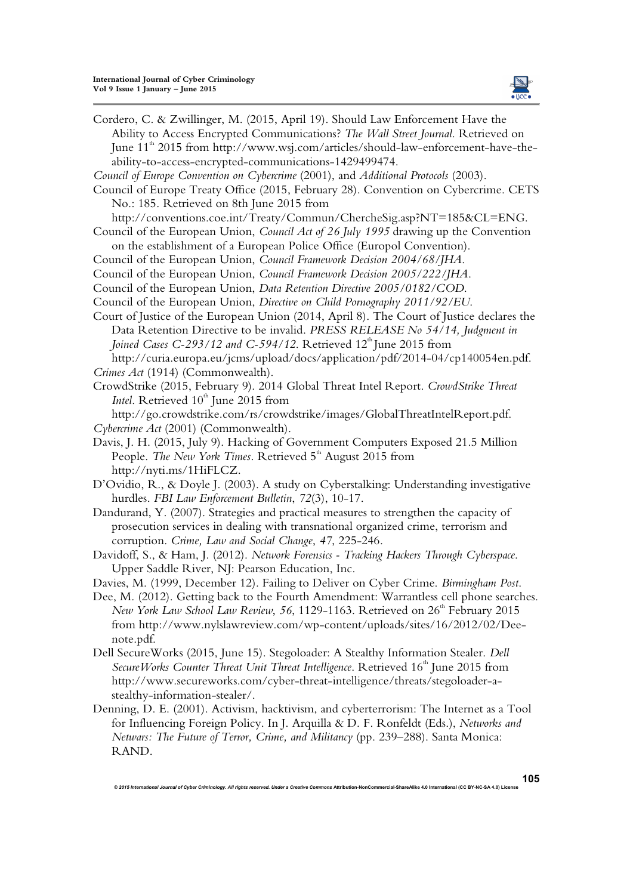

Cordero, C. & Zwillinger, M. (2015, April 19). Should Law Enforcement Have the Ability to Access Encrypted Communications? *The Wall Street Journal*. Retrieved on June 11<sup>th</sup> 2015 from http://www.wsj.com/articles/should-law-enforcement-have-theability-to-access-encrypted-communications-1429499474.

- *Council of Europe Convention on Cybercrime* (2001), and *Additional Protocols* (2003).
- Council of Europe Treaty Office (2015, February 28). Convention on Cybercrime. CETS No.: 185. Retrieved on 8th June 2015 from

http://conventions.coe.int/Treaty/Commun/ChercheSig.asp?NT=185&CL=ENG.

- Council of the European Union, *Council Act of 26 July 1995* drawing up the Convention on the establishment of a European Police Office (Europol Convention).
- 
- Council of the European Union, *Council Framework Decision 2004/68/JHA*. Council of the European Union, *Council Framework Decision 2005/222/JHA*.
- Council of the European Union, *Data Retention Directive 2005/0182/COD*.
- Council of the European Union, *Directive on Child Pornography 2011/92/EU*.
- Court of Justice of the European Union (2014, April 8). The Court of Justice declares the Data Retention Directive to be invalid. *PRESS RELEASE No 54/14, Judgment in Joined Cases C-293/12 and C-594/12*. Retrieved 12<sup>th</sup> June 2015 from http://curia.europa.eu/jcms/upload/docs/application/pdf/2014-04/cp140054en.pdf.
- *Crimes Act* (1914) (Commonwealth).
- CrowdStrike (2015, February 9). 2014 Global Threat Intel Report. *CrowdStrike Threat Intel.* Retrieved 10<sup>th</sup> June 2015 from

http://go.crowdstrike.com/rs/crowdstrike/images/GlobalThreatIntelReport.pdf. *Cybercrime Act* (2001) (Commonwealth).

- Davis, J. H. (2015, July 9). Hacking of Government Computers Exposed 21.5 Million People. *The New York Times*. Retrieved 5<sup>th</sup> August 2015 from http://nyti.ms/1HiFLCZ.
- D'Ovidio, R., & Doyle J. (2003). A study on Cyberstalking: Understanding investigative hurdles. *FBI Law Enforcement Bulletin*, *72*(3), 10-17.
- Dandurand, Y. (2007). Strategies and practical measures to strengthen the capacity of prosecution services in dealing with transnational organized crime, terrorism and corruption. *Crime, Law and Social Change*, *47*, 225-246.
- Davidoff, S., & Ham, J. (2012). *Network Forensics Tracking Hackers Through Cyberspace*. Upper Saddle River, NJ: Pearson Education, Inc.

Davies, M. (1999, December 12). Failing to Deliver on Cyber Crime. *Birmingham Post*.

- Dee, M. (2012). Getting back to the Fourth Amendment: Warrantless cell phone searches. *New York Law School Law Review, 56, 1129-1163. Retrieved on 26<sup>th</sup> February 2015* from http://www.nylslawreview.com/wp-content/uploads/sites/16/2012/02/Deenote.pdf.
- Dell SecureWorks (2015, June 15). Stegoloader: A Stealthy Information Stealer. *Dell*  Secure Works Counter Threat Unit Threat Intelligence. Retrieved 16<sup>th</sup> June 2015 from http://www.secureworks.com/cyber-threat-intelligence/threats/stegoloader-astealthy-information-stealer/.
- Denning, D. E. (2001). Activism, hacktivism, and cyberterrorism: The Internet as a Tool for Influencing Foreign Policy. In J. Arquilla & D. F. Ronfeldt (Eds.), *Networks and Netwars: The Future of Terror, Crime, and Militancy* (pp. 239–288). Santa Monica: RAND.

*© 2015 International Journal of Cyber Criminology. All rights reserved. Under a Creative Commons* **Attribution-NonCommercial-ShareAlike 4.0 International (CC BY-NC-SA 4.0) License** 

**105**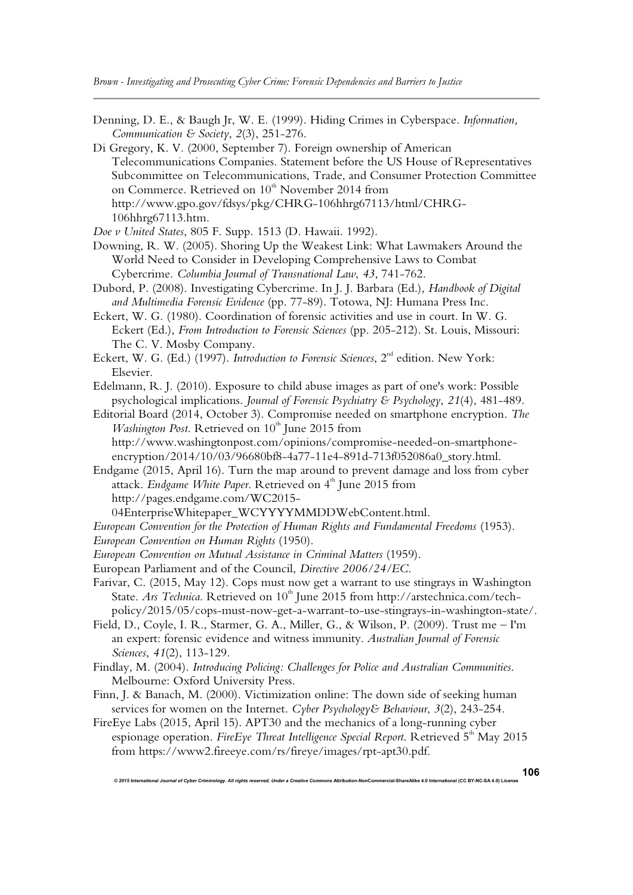- Denning, D. E., & Baugh Jr, W. E. (1999). Hiding Crimes in Cyberspace. *Information, Communication & Society*, *2*(3), 251-276.
- Di Gregory, K. V. (2000, September 7). Foreign ownership of American Telecommunications Companies. Statement before the US House of Representatives Subcommittee on Telecommunications, Trade, and Consumer Protection Committee on Commerce. Retrieved on  $10^{th}$  November 2014 from http://www.gpo.gov/fdsys/pkg/CHRG-106hhrg67113/html/CHRG-106hhrg67113.htm.
- *Doe v United States*, 805 F. Supp. 1513 (D. Hawaii. 1992).
- Downing, R. W. (2005). Shoring Up the Weakest Link: What Lawmakers Around the World Need to Consider in Developing Comprehensive Laws to Combat Cybercrime. *Columbia Journal of Transnational Law*, *43*, 741-762.
- Dubord, P. (2008). Investigating Cybercrime. In J. J. Barbara (Ed.), *Handbook of Digital and Multimedia Forensic Evidence* (pp. 77-89). Totowa, NJ: Humana Press Inc.
- Eckert, W. G. (1980). Coordination of forensic activities and use in court. In W. G. Eckert (Ed.), *From Introduction to Forensic Sciences* (pp. 205-212). St. Louis, Missouri: The C. V. Mosby Company.
- Eckert, W. G. (Ed.) (1997). *Introduction to Forensic Sciences*, 2<sup>nd</sup> edition. New York: Elsevier.
- Edelmann, R. J. (2010). Exposure to child abuse images as part of one's work: Possible psychological implications. *Journal of Forensic Psychiatry & Psychology*, *21*(4), 481-489.
- Editorial Board (2014, October 3). Compromise needed on smartphone encryption. *The Washington Post.* Retrieved on  $10<sup>th</sup>$  June 2015 from http://www.washingtonpost.com/opinions/compromise-needed-on-smartphoneencryption/2014/10/03/96680bf8-4a77-11e4-891d-713f052086a0\_story.html.
- Endgame (2015, April 16). Turn the map around to prevent damage and loss from cyber attack. *Endgame White Paper*. Retrieved on 4<sup>th</sup> June 2015 from http://pages.endgame.com/WC2015-

04EnterpriseWhitepaper\_WCYYYYMMDDWebContent.html.

- *European Convention for the Protection of Human Rights and Fundamental Freedoms* (1953).
- *European Convention on Human Rights* (1950).
- *European Convention on Mutual Assistance in Criminal Matters* (1959).
- European Parliament and of the Council, *Directive 2006/24/EC.*
- Farivar, C. (2015, May 12). Cops must now get a warrant to use stingrays in Washington State. *Ars Technica*. Retrieved on 10<sup>th</sup> June 2015 from http://arstechnica.com/techpolicy/2015/05/cops-must-now-get-a-warrant-to-use-stingrays-in-washington-state/.
- Field, D., Coyle, I. R., Starmer, G. A., Miller, G., & Wilson, P. (2009). Trust me I'm an expert: forensic evidence and witness immunity. *Australian Journal of Forensic Sciences*, *41*(2), 113-129.
- Findlay, M. (2004). *Introducing Policing: Challenges for Police and Australian Communities*. Melbourne: Oxford University Press.
- Finn, J. & Banach, M. (2000). Victimization online: The down side of seeking human services for women on the Internet. *Cyber Psychology& Behaviour*, *3*(2), 243-254.
- FireEye Labs (2015, April 15). APT30 and the mechanics of a long-running cyber espionage operation. *FireEye Threat Intelligence Special Report*. Retrieved 5<sup>th</sup> May 2015 from https://www2.fireeye.com/rs/fireye/images/rpt-apt30.pdf.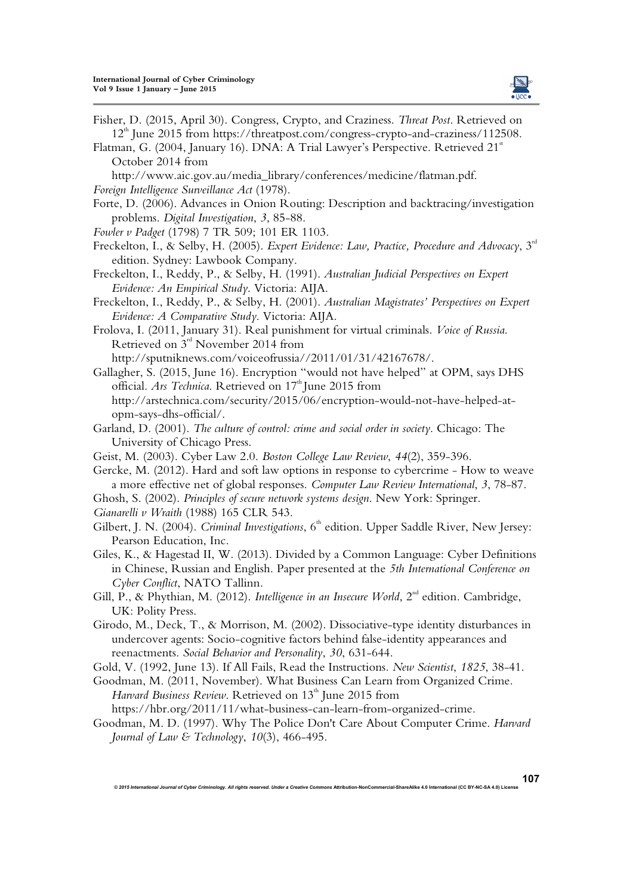

Fisher, D. (2015, April 30). Congress, Crypto, and Craziness. *Threat Post*. Retrieved on 12<sup>th</sup> June 2015 from https://threatpost.com/congress-crypto-and-craziness/112508.

Flatman, G. (2004, January 16). DNA: A Trial Lawyer's Perspective. Retrieved 21<sup>st</sup> October 2014 from

http://www.aic.gov.au/media\_library/conferences/medicine/flatman.pdf. *Foreign Intelligence Surveillance Act* (1978).

- Forte, D. (2006). Advances in Onion Routing: Description and backtracing/investigation problems. *Digital Investigation*, *3*, 85-88.
- *Fowler v Padget* (1798) 7 TR 509; 101 ER 1103.
- Freckelton, I., & Selby, H. (2005). *Expert Evidence: Law, Practice, Procedure and Advocacy*, 3rd edition. Sydney: Lawbook Company.
- Freckelton, I., Reddy, P., & Selby, H. (1991). *Australian Judicial Perspectives on Expert Evidence: An Empirical Study*. Victoria: AIJA.
- Freckelton, I., Reddy, P., & Selby, H. (2001). *Australian Magistrates' Perspectives on Expert Evidence: A Comparative Study*. Victoria: AIJA.

Frolova, I. (2011, January 31). Real punishment for virtual criminals. *Voice of Russia*. Retrieved on  $3<sup>rd</sup>$  November 2014 from http://sputniknews.com/voiceofrussia//2011/01/31/42167678/.

Gallagher, S. (2015, June 16). Encryption "would not have helped" at OPM, says DHS official. *Ars Technica*. Retrieved on 17<sup>th</sup> June 2015 from

http://arstechnica.com/security/2015/06/encryption-would-not-have-helped-atopm-says-dhs-official/.

- Garland, D. (2001). *The culture of control: crime and social order in society*. Chicago: The University of Chicago Press.
- Geist, M. (2003). Cyber Law 2.0. *Boston College Law Review*, *44*(2), 359-396.

Gercke, M. (2012). Hard and soft law options in response to cybercrime - How to weave a more effective net of global responses. *Computer Law Review International*, *3*, 78-87.

Ghosh, S. (2002). *Principles of secure network systems design*. New York: Springer.

- *Gianarelli v Wraith* (1988) 165 CLR 543.
- Gilbert, J. N. (2004). *Criminal Investigations*, 6<sup>th</sup> edition. Upper Saddle River, New Jersey: Pearson Education, Inc.
- Giles, K., & Hagestad II, W. (2013). Divided by a Common Language: Cyber Definitions in Chinese, Russian and English. Paper presented at the *5th International Conference on Cyber Conflict*, NATO Tallinn.
- Gill, P., & Phythian, M. (2012). *Intelligence in an Insecure World*, 2<sup>nd</sup> edition. Cambridge, UK: Polity Press.
- Girodo, M., Deck, T., & Morrison, M. (2002). Dissociative-type identity disturbances in undercover agents: Socio-cognitive factors behind false-identity appearances and reenactments. *Social Behavior and Personality*, *30*, 631-644.

Gold, V. (1992, June 13). If All Fails, Read the Instructions. *New Scientist*, *1825*, 38-41.

- Goodman, M. (2011, November). What Business Can Learn from Organized Crime. *Harvard Business Review.* Retrieved on 13<sup>th</sup> June 2015 from https://hbr.org/2011/11/what-business-can-learn-from-organized-crime.
- Goodman, M. D. (1997). Why The Police Don't Care About Computer Crime. *Harvard Journal of Law & Technology*, *10*(3), 466-495.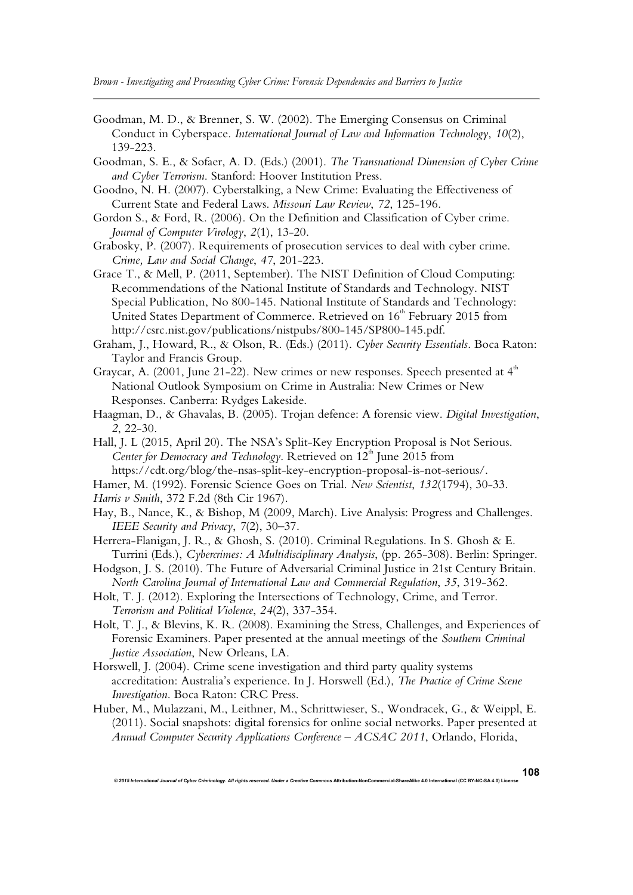- Goodman, M. D., & Brenner, S. W. (2002). The Emerging Consensus on Criminal Conduct in Cyberspace. *International Journal of Law and Information Technology*, *10*(2), 139-223.
- Goodman, S. E., & Sofaer, A. D. (Eds.) (2001). *The Transnational Dimension of Cyber Crime and Cyber Terrorism*. Stanford: Hoover Institution Press.
- Goodno, N. H. (2007). Cyberstalking, a New Crime: Evaluating the Effectiveness of Current State and Federal Laws. *Missouri Law Review*, *72*, 125-196.
- Gordon S., & Ford, R. (2006). On the Definition and Classification of Cyber crime. *Journal of Computer Virology*, *2*(1), 13-20.
- Grabosky, P. (2007). Requirements of prosecution services to deal with cyber crime. *Crime, Law and Social Change*, *47*, 201-223.
- Grace T., & Mell, P. (2011, September). The NIST Definition of Cloud Computing: Recommendations of the National Institute of Standards and Technology. NIST Special Publication, No 800-145. National Institute of Standards and Technology: United States Department of Commerce. Retrieved on 16<sup>th</sup> February 2015 from http://csrc.nist.gov/publications/nistpubs/800-145/SP800-145.pdf.
- Graham, J., Howard, R., & Olson, R. (Eds.) (2011). *Cyber Security Essentials*. Boca Raton: Taylor and Francis Group.
- Graycar, A. (2001, June 21-22). New crimes or new responses. Speech presented at  $4<sup>th</sup>$ National Outlook Symposium on Crime in Australia: New Crimes or New Responses. Canberra: Rydges Lakeside.
- Haagman, D., & Ghavalas, B. (2005). Trojan defence: A forensic view. *Digital Investigation*, *2*, 22-30.
- Hall, J. L (2015, April 20). The NSA's Split-Key Encryption Proposal is Not Serious. *Center for Democracy and Technology*. Retrieved on 12<sup>th</sup> June 2015 from https://cdt.org/blog/the-nsas-split-key-encryption-proposal-is-not-serious/.
- Hamer, M. (1992). Forensic Science Goes on Trial. *New Scientist*, *132*(1794), 30-33.
- *Harris v Smith*, 372 F.2d (8th Cir 1967).
- Hay, B., Nance, K., & Bishop, M (2009, March). Live Analysis: Progress and Challenges. *IEEE Security and Privacy*, *7*(2), 30–37.
- Herrera-Flanigan, J. R., & Ghosh, S. (2010). Criminal Regulations. In S. Ghosh & E. Turrini (Eds.), *Cybercrimes: A Multidisciplinary Analysis*, (pp. 265-308). Berlin: Springer.
- Hodgson, J. S. (2010). The Future of Adversarial Criminal Justice in 21st Century Britain. *North Carolina Journal of International Law and Commercial Regulation*, *35*, 319-362.
- Holt, T. J. (2012). Exploring the Intersections of Technology, Crime, and Terror. *Terrorism and Political Violence*, *24*(2), 337-354.
- Holt, T. J., & Blevins, K. R. (2008). Examining the Stress, Challenges, and Experiences of Forensic Examiners. Paper presented at the annual meetings of the *Southern Criminal Justice Association*, New Orleans, LA.
- Horswell, J. (2004). Crime scene investigation and third party quality systems accreditation: Australia's experience. In J. Horswell (Ed.), *The Practice of Crime Scene Investigation*. Boca Raton: CRC Press.
- Huber, M., Mulazzani, M., Leithner, M., Schrittwieser, S., Wondracek, G., & Weippl, E. (2011). Social snapshots: digital forensics for online social networks. Paper presented at *Annual Computer Security Applications Conference – ACSAC 2011*, Orlando, Florida,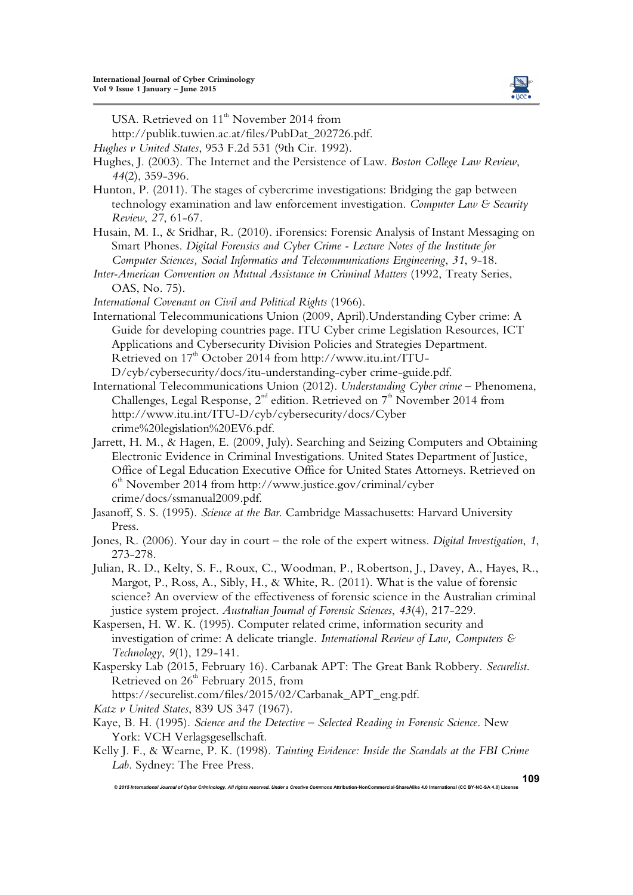

USA. Retrieved on  $11<sup>th</sup>$  November 2014 from

http://publik.tuwien.ac.at/files/PubDat\_202726.pdf.

*Hughes v United States*, 953 F.2d 531 (9th Cir. 1992).

- Hughes, J. (2003). The Internet and the Persistence of Law. *Boston College Law Review*, *44*(2), 359-396.
- Hunton, P. (2011). The stages of cybercrime investigations: Bridging the gap between technology examination and law enforcement investigation. *Computer Law & Security Review*, *27*, 61-67.
- Husain, M. I., & Sridhar, R. (2010). iForensics: Forensic Analysis of Instant Messaging on Smart Phones. *Digital Forensics and Cyber Crime - Lecture Notes of the Institute for Computer Sciences, Social Informatics and Telecommunications Engineering*, *31*, 9-18.
- *Inter-American Convention on Mutual Assistance in Criminal Matters* (1992, Treaty Series, OAS, No. 75).
- *International Covenant on Civil and Political Rights* (1966).
- International Telecommunications Union (2009, April).Understanding Cyber crime: A Guide for developing countries page. ITU Cyber crime Legislation Resources, ICT Applications and Cybersecurity Division Policies and Strategies Department. Retrieved on 17<sup>th</sup> October 2014 from http://www.itu.int/ITU-D/cyb/cybersecurity/docs/itu-understanding-cyber crime-guide.pdf.
- International Telecommunications Union (2012). *Understanding Cyber crime* Phenomena, Challenges, Legal Response,  $2^{nd}$  edition. Retrieved on  $7<sup>th</sup>$  November 2014 from http://www.itu.int/ITU-D/cyb/cybersecurity/docs/Cyber crime%20legislation%20EV6.pdf.
- Jarrett, H. M., & Hagen, E. (2009, July). Searching and Seizing Computers and Obtaining Electronic Evidence in Criminal Investigations. United States Department of Justice, Office of Legal Education Executive Office for United States Attorneys. Retrieved on 6 th November 2014 from http://www.justice.gov/criminal/cyber crime/docs/ssmanual2009.pdf.
- Jasanoff, S. S. (1995). *Science at the Bar*. Cambridge Massachusetts: Harvard University Press.

- Julian, R. D., Kelty, S. F., Roux, C., Woodman, P., Robertson, J., Davey, A., Hayes, R., Margot, P., Ross, A., Sibly, H., & White, R. (2011). What is the value of forensic science? An overview of the effectiveness of forensic science in the Australian criminal justice system project. *Australian Journal of Forensic Sciences*, *43*(4), 217-229.
- Kaspersen, H. W. K. (1995). Computer related crime, information security and investigation of crime: A delicate triangle. *International Review of Law, Computers & Technology*, *9*(1), 129-141.
- Kaspersky Lab (2015, February 16). Carbanak APT: The Great Bank Robbery. *Securelist*. Retrieved on  $26<sup>th</sup>$  February 2015, from

https://securelist.com/files/2015/02/Carbanak\_APT\_eng.pdf.

- *Katz v United States*, 839 US 347 (1967).
- Kaye, B. H. (1995). *Science and the Detective Selected Reading in Forensic Science*. New York: VCH Verlagsgesellschaft.
- Kelly J. F., & Wearne, P. K. (1998). *Tainting Evidence: Inside the Scandals at the FBI Crime Lab*. Sydney: The Free Press.

*© 2015 International Journal of Cyber Criminology. All rights reserved. Under a Creative Commons* **Attribution-NonCommercial-ShareAlike 4.0 International (CC BY-NC-SA 4.0) License** 

**109**

Jones, R. (2006). Your day in court – the role of the expert witness. *Digital Investigation*, *1*, 273-278.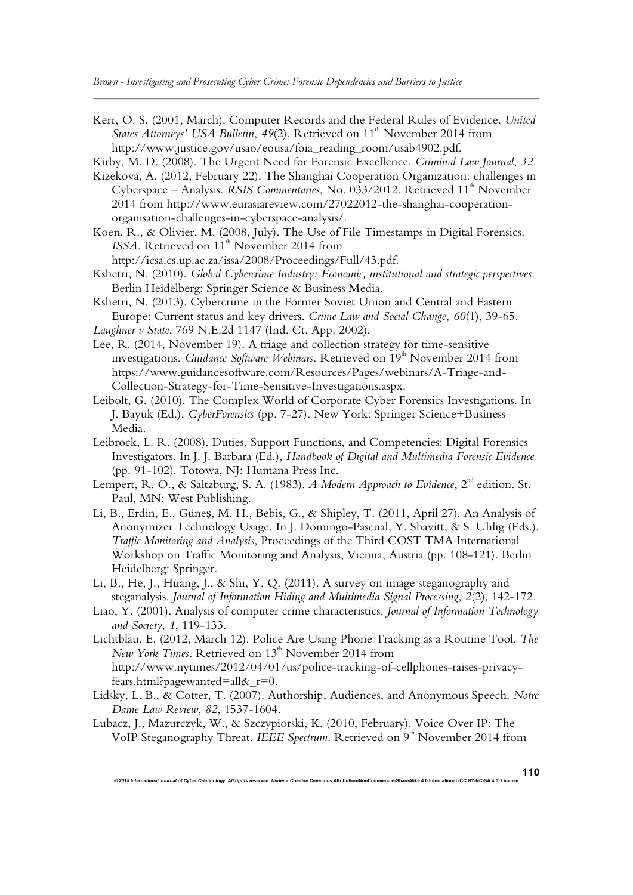- Kerr, O. S. (2001, March). Computer Records and the Federal Rules of Evidence. *United States Attorneys' USA Bulletin, 49(2). Retrieved on 11<sup>th</sup> November 2014 from* http://www.justice.gov/usao/eousa/foia\_reading\_room/usab4902.pdf.
- Kirby, M. D. (2008). The Urgent Need for Forensic Excellence. *Criminal Law Journal*, *32*.
- Kizekova, A. (2012, February 22). The Shanghai Cooperation Organization: challenges in Cyberspace – Analysis. *RSIS Commentaries*, No. 033/2012. Retrieved 11<sup>th</sup> November 2014 from http://www.eurasiareview.com/27022012-the-shanghai-cooperationorganisation-challenges-in-cyberspace-analysis/.
- Koen, R., & Olivier, M. (2008, July). The Use of File Timestamps in Digital Forensics. *ISSA*. Retrieved on 11<sup>th</sup> November 2014 from
	- http://icsa.cs.up.ac.za/issa/2008/Proceedings/Full/43.pdf.
- Kshetri, N. (2010). *Global Cybercrime Industry: Economic, institutional and strategic perspectives*. Berlin Heidelberg: Springer Science & Business Media.
- Kshetri, N. (2013). Cybercrime in the Former Soviet Union and Central and Eastern Europe: Current status and key drivers. *Crime Law and Social Change*, *60*(1), 39-65.
- *Laughner v State*, 769 N.E.2d 1147 (Ind. Ct. App. 2002).
- Lee, R. (2014, November 19). A triage and collection strategy for time-sensitive investigations. *Guidance Software Webinars*. Retrieved on 19<sup>th</sup> November 2014 from https://www.guidancesoftware.com/Resources/Pages/webinars/A-Triage-and-Collection-Strategy-for-Time-Sensitive-Investigations.aspx.
- Leibolt, G. (2010). The Complex World of Corporate Cyber Forensics Investigations. In J. Bayuk (Ed.), *CyberForensics* (pp. 7-27). New York: Springer Science+Business Media.
- Leibrock, L. R. (2008). Duties, Support Functions, and Competencies: Digital Forensics Investigators. In J. J. Barbara (Ed.), *Handbook of Digital and Multimedia Forensic Evidence* (pp. 91-102). Totowa, NJ: Humana Press Inc.
- Lempert, R. O., & Saltzburg, S. A. (1983). *A Modern Approach to Evidence*, 2<sup>nd</sup> edition. St. Paul, MN: West Publishing.
- Li, B., Erdin, E., Güneş, M. H., Bebis, G., & Shipley, T. (2011, April 27). An Analysis of Anonymizer Technology Usage. In J. Domingo-Pascual, Y. Shavitt, & S. Uhlig (Eds.), *Traffic Monitoring and Analysis*, Proceedings of the Third COST TMA International Workshop on Traffic Monitoring and Analysis, Vienna, Austria (pp. 108-121). Berlin Heidelberg: Springer.
- Li, B., He, J., Huang, J., & Shi, Y. Q. (2011). A survey on image steganography and steganalysis. *Journal of Information Hiding and Multimedia Signal Processing*, *2*(2), 142-172.
- Liao, Y. (2001). Analysis of computer crime characteristics. *Journal of Information Technology and Society*, *1*, 119-133.

Lichtblau, E. (2012, March 12). Police Are Using Phone Tracking as a Routine Tool. *The New York Times.* Retrieved on 13<sup>th</sup> November 2014 from http://www.nytimes/2012/04/01/us/police-tracking-of-cellphones-raises-privacyfears.html?pagewanted=all&\_r=0.

- Lidsky, L. B., & Cotter, T. (2007). Authorship, Audiences, and Anonymous Speech. *Notre Dame Law Review*, *82*, 1537-1604.
- Lubacz, J., Mazurczyk, W., & Szczypiorski, K. (2010, February). Voice Over IP: The VoIP Steganography Threat. *IEEE Spectrum*. Retrieved on 9<sup>th</sup> November 2014 from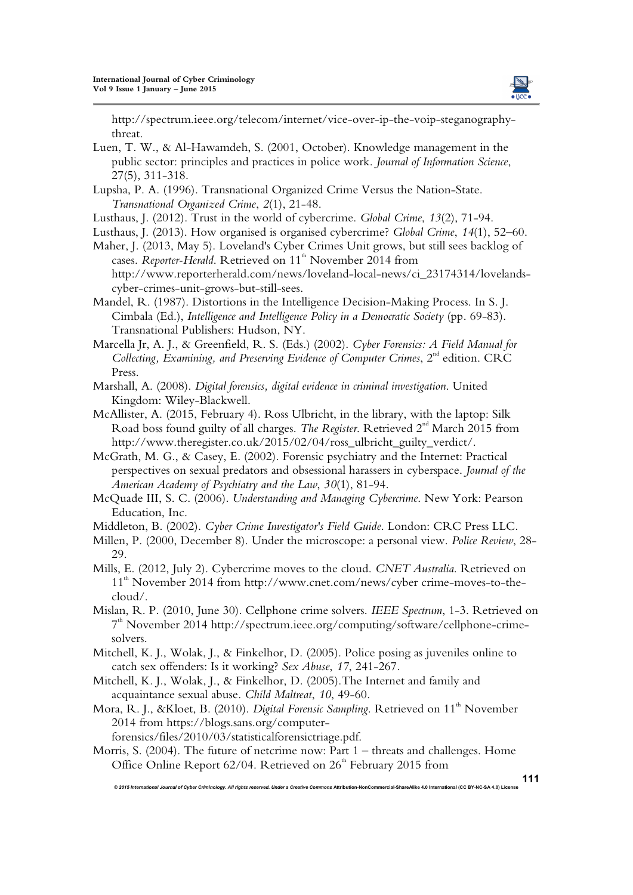

http://spectrum.ieee.org/telecom/internet/vice-over-ip-the-voip-steganographythreat.

- Luen, T. W., & Al-Hawamdeh, S. (2001, October). Knowledge management in the public sector: principles and practices in police work. *Journal of Information Science*, 27(5), 311-318.
- Lupsha, P. A. (1996). Transnational Organized Crime Versus the Nation-State. *Transnational Organized Crime*, *2*(1), 21-48.
- Lusthaus, J. (2012). Trust in the world of cybercrime. *Global Crime*, *13*(2), 71-94.
- Lusthaus, J. (2013). How organised is organised cybercrime? *Global Crime*, *14*(1), 52–60.
- Maher, J. (2013, May 5). Loveland's Cyber Crimes Unit grows, but still sees backlog of cases. *Reporter-Herald*. Retrieved on 11<sup>th</sup> November 2014 from http://www.reporterherald.com/news/loveland-local-news/ci\_23174314/lovelandscyber-crimes-unit-grows-but-still-sees.
- Mandel, R. (1987). Distortions in the Intelligence Decision-Making Process. In S. J. Cimbala (Ed.), *Intelligence and Intelligence Policy in a Democratic Society* (pp. 69-83). Transnational Publishers: Hudson, NY.
- Marcella Jr, A. J., & Greenfield, R. S. (Eds.) (2002). *Cyber Forensics: A Field Manual for Collecting, Examining, and Preserving Evidence of Computer Crimes,* 2<sup>nd</sup> edition. CRC Press.
- Marshall, A. (2008). *Digital forensics, digital evidence in criminal investigation*. United Kingdom: Wiley-Blackwell.
- McAllister, A. (2015, February 4). Ross Ulbricht, in the library, with the laptop: Silk Road boss found guilty of all charges. *The Register*. Retrieved 2<sup>nd</sup> March 2015 from http://www.theregister.co.uk/2015/02/04/ross\_ulbricht\_guilty\_verdict/.
- McGrath, M. G., & Casey, E. (2002). Forensic psychiatry and the Internet: Practical perspectives on sexual predators and obsessional harassers in cyberspace. *Journal of the American Academy of Psychiatry and the Law*, *30*(1), 81-94.
- McQuade III, S. C. (2006). *Understanding and Managing Cybercrime*. New York: Pearson Education, Inc.
- Middleton, B. (2002). *Cyber Crime Investigator's Field Guide*. London: CRC Press LLC.
- Millen, P. (2000, December 8). Under the microscope: a personal view. *Police Review*, 28- 29.
- Mills, E. (2012, July 2). Cybercrime moves to the cloud. *CNET Australia*. Retrieved on 11<sup>th</sup> November 2014 from http://www.cnet.com/news/cyber crime-moves-to-thecloud/.
- Mislan, R. P. (2010, June 30). Cellphone crime solvers. *IEEE Spectrum*, 1-3. Retrieved on 7 th November 2014 http://spectrum.ieee.org/computing/software/cellphone-crimesolvers.
- Mitchell, K. J., Wolak, J., & Finkelhor, D. (2005). Police posing as juveniles online to catch sex offenders: Is it working? *Sex Abuse*, *17*, 241-267.
- Mitchell, K. J., Wolak, J., & Finkelhor, D. (2005).The Internet and family and acquaintance sexual abuse. *Child Maltreat*, *10*, 49-60.
- Mora, R. J., &Kloet, B. (2010). *Digital Forensic Sampling*. Retrieved on 11<sup>th</sup> November 2014 from https://blogs.sans.org/computer
	- forensics/files/2010/03/statisticalforensictriage.pdf.

Morris, S. (2004). The future of netcrime now: Part 1 – threats and challenges. Home Office Online Report  $62/04$ . Retrieved on  $26<sup>th</sup>$  February 2015 from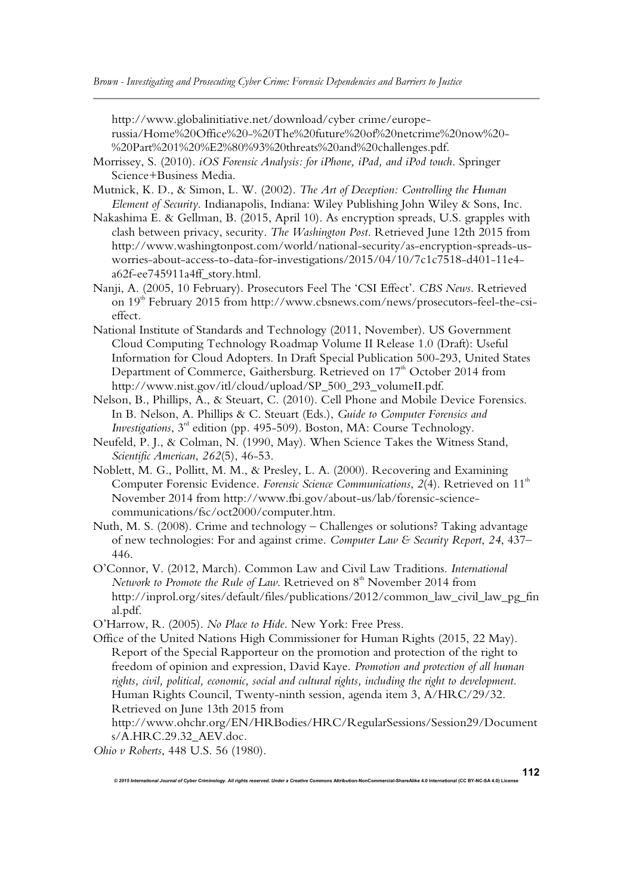http://www.globalinitiative.net/download/cyber crime/europerussia/Home%20Office%20-%20The%20future%20of%20netcrime%20now%20- %20Part%201%20%E2%80%93%20threats%20and%20challenges.pdf.

- Morrissey, S. (2010). *iOS Forensic Analysis: for iPhone, iPad, and iPod touch*. Springer Science+Business Media.
- Mutnick, K. D., & Simon, L. W. (2002). *The Art of Deception: Controlling the Human Element of Security*. Indianapolis, Indiana: Wiley Publishing John Wiley & Sons, Inc.
- Nakashima E. & Gellman, B. (2015, April 10). As encryption spreads, U.S. grapples with clash between privacy, security. *The Washington Post*. Retrieved June 12th 2015 from http://www.washingtonpost.com/world/national-security/as-encryption-spreads-usworries-about-access-to-data-for-investigations/2015/04/10/7c1c7518-d401-11e4 a62f-ee745911a4ff\_story.html.
- Nanji, A. (2005, 10 February). Prosecutors Feel The 'CSI Effect'. *CBS News*. Retrieved on 19<sup>th</sup> February 2015 from http://www.cbsnews.com/news/prosecutors-feel-the-csieffect.
- National Institute of Standards and Technology (2011, November). US Government Cloud Computing Technology Roadmap Volume II Release 1.0 (Draft): Useful Information for Cloud Adopters. In Draft Special Publication 500-293, United States Department of Commerce, Gaithersburg. Retrieved on 17<sup>th</sup> October 2014 from http://www.nist.gov/itl/cloud/upload/SP\_500\_293\_volumeII.pdf.
- Nelson, B., Phillips, A., & Steuart, C. (2010). Cell Phone and Mobile Device Forensics. In B. Nelson, A. Phillips & C. Steuart (Eds.), *Guide to Computer Forensics and Investigations*,  $3^{rd}$  edition (pp. 495-509). Boston, MA: Course Technology.
- Neufeld, P. J., & Colman, N. (1990, May). When Science Takes the Witness Stand, *Scientific American*, *262*(5), 46-53.
- Noblett, M. G., Pollitt, M. M., & Presley, L. A. (2000). Recovering and Examining Computer Forensic Evidence. Forensic Science Communications, 2(4). Retrieved on 11<sup>th</sup> November 2014 from http://www.fbi.gov/about-us/lab/forensic-sciencecommunications/fsc/oct2000/computer.htm.
- Nuth, M. S. (2008). Crime and technology Challenges or solutions? Taking advantage of new technologies: For and against crime. *Computer Law & Security Report*, *24*, 437– 446.
- O'Connor, V. (2012, March). Common Law and Civil Law Traditions. *International Network to Promote the Rule of Law.* Retrieved on  $8<sup>th</sup>$  November 2014 from http://inprol.org/sites/default/files/publications/2012/common\_law\_civil\_law\_pg\_fin al.pdf.

O'Harrow, R. (2005). *No Place to Hide*. New York: Free Press.

Office of the United Nations High Commissioner for Human Rights (2015, 22 May). Report of the Special Rapporteur on the promotion and protection of the right to freedom of opinion and expression, David Kaye. *Promotion and protection of all human rights, civil, political, economic, social and cultural rights, including the right to development*. Human Rights Council, Twenty-ninth session, agenda item 3, A/HRC/29/32. Retrieved on June 13th 2015 from

http://www.ohchr.org/EN/HRBodies/HRC/RegularSessions/Session29/Document s/A.HRC.29.32\_AEV.doc.

*© 2015 International Journal of Cyber Criminology. All rights reserved. Under a Creative Commons* **Attribution-NonCommercial-ShareAlike 4.0 International (CC BY-NC-SA 4.0) License** 

*Ohio v Roberts*, 448 U.S. 56 (1980).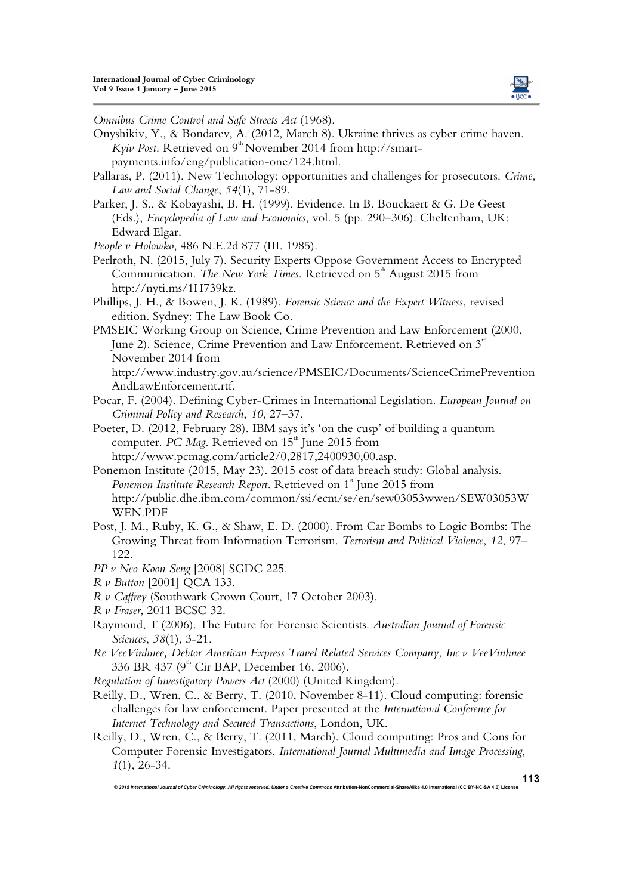

*Omnibus Crime Control and Safe Streets Act* (1968).

- Onyshikiv, Y., & Bondarev, A. (2012, March 8). Ukraine thrives as cyber crime haven. *Kyiv Post.* Retrieved on 9<sup>th</sup> November 2014 from http://smartpayments.info/eng/publication-one/124.html.
- Pallaras, P. (2011). New Technology: opportunities and challenges for prosecutors. *Crime, Law and Social Change*, *54*(1), 71-89.
- Parker, J. S., & Kobayashi, B. H. (1999). Evidence. In B. Bouckaert & G. De Geest (Eds.), *Encyclopedia of Law and Economics*, vol. 5 (pp. 290–306). Cheltenham, UK: Edward Elgar.
- *People v Holowko*, 486 N.E.2d 877 (III. 1985).
- Perlroth, N. (2015, July 7). Security Experts Oppose Government Access to Encrypted Communication. *The New York Times*. Retrieved on 5<sup>th</sup> August 2015 from http://nyti.ms/1H739kz.
- Phillips, J. H., & Bowen, J. K. (1989). *Forensic Science and the Expert Witness*, revised edition. Sydney: The Law Book Co.
- PMSEIC Working Group on Science, Crime Prevention and Law Enforcement (2000, June 2). Science, Crime Prevention and Law Enforcement. Retrieved on  $3<sup>rd</sup>$ November 2014 from

http://www.industry.gov.au/science/PMSEIC/Documents/ScienceCrimePrevention AndLawEnforcement.rtf.

- Pocar, F. (2004). Defining Cyber-Crimes in International Legislation. *European Journal on Criminal Policy and Research*, *10*, 27–37.
- Poeter, D. (2012, February 28). IBM says it's 'on the cusp' of building a quantum computer. *PC Mag*. Retrieved on 15<sup>th</sup> June 2015 from http://www.pcmag.com/article2/0,2817,2400930,00.asp.
- Ponemon Institute (2015, May 23). 2015 cost of data breach study: Global analysis. Ponemon Institute Research Report. Retrieved on 1<sup>st</sup> June 2015 from http://public.dhe.ibm.com/common/ssi/ecm/se/en/sew03053wwen/SEW03053W WEN.PDF
- Post, J. M., Ruby, K. G., & Shaw, E. D. (2000). From Car Bombs to Logic Bombs: The Growing Threat from Information Terrorism. *Terrorism and Political Violence*, *12*, 97– 122.
- *PP v Neo Koon Seng* [2008] SGDC 225.
- *R v Button* [2001] QCA 133.
- *R v Caffrey* (Southwark Crown Court, 17 October 2003).
- *R v Fraser*, 2011 BCSC 32.
- Raymond, T (2006). The Future for Forensic Scientists. *Australian Journal of Forensic Sciences*, *38*(1), 3-21.
- *Re VeeVinhnee, Debtor American Express Travel Related Services Company, Inc v VeeVinhnee* 336 BR 437 ( $9<sup>th</sup>$  Cir BAP, December 16, 2006).
- *Regulation of Investigatory Powers Act* (2000) (United Kingdom).
- Reilly, D., Wren, C., & Berry, T. (2010, November 8-11). Cloud computing: forensic challenges for law enforcement. Paper presented at the *International Conference for Internet Technology and Secured Transactions*, London, UK.
- Reilly, D., Wren, C., & Berry, T. (2011, March). Cloud computing: Pros and Cons for Computer Forensic Investigators. *International Journal Multimedia and Image Processing*, *1*(1), 26-34.

*© 2015 International Journal of Cyber Criminology. All rights reserved. Under a Creative Commons* **Attribution-NonCommercial-ShareAlike 4.0 International (CC BY-NC-SA 4.0) License** 

**113**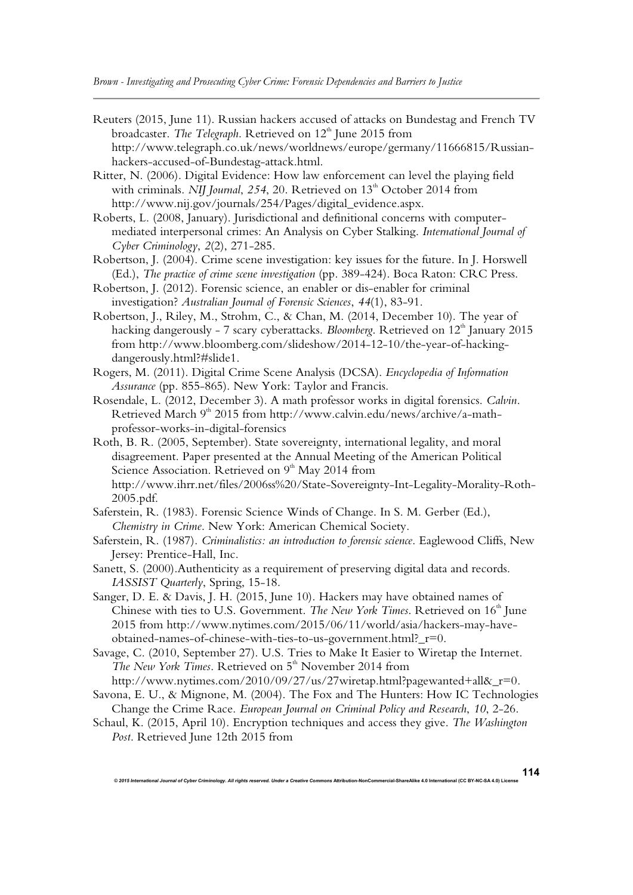- Reuters (2015, June 11). Russian hackers accused of attacks on Bundestag and French TV broadcaster. *The Telegraph*. Retrieved on 12<sup>th</sup> June 2015 from http://www.telegraph.co.uk/news/worldnews/europe/germany/11666815/Russianhackers-accused-of-Bundestag-attack.html.
- Ritter, N. (2006). Digital Evidence: How law enforcement can level the playing field with criminals. *NIJ Journal*, 254, 20. Retrieved on 13<sup>th</sup> October 2014 from http://www.nij.gov/journals/254/Pages/digital\_evidence.aspx.
- Roberts, L. (2008, January). Jurisdictional and definitional concerns with computermediated interpersonal crimes: An Analysis on Cyber Stalking. *International Journal of Cyber Criminology*, *2*(2), 271-285.
- Robertson, J. (2004). Crime scene investigation: key issues for the future. In J. Horswell (Ed.), *The practice of crime scene investigation* (pp. 389-424). Boca Raton: CRC Press.
- Robertson, J. (2012). Forensic science, an enabler or dis-enabler for criminal investigation? *Australian Journal of Forensic Sciences*, *44*(1), 83-91.
- Robertson, J., Riley, M., Strohm, C., & Chan, M. (2014, December 10). The year of hacking dangerously - 7 scary cyberattacks. *Bloomberg*. Retrieved on 12<sup>th</sup> January 2015 from http://www.bloomberg.com/slideshow/2014-12-10/the-year-of-hackingdangerously.html?#slide1.
- Rogers, M. (2011). Digital Crime Scene Analysis (DCSA). *Encyclopedia of Information Assurance* (pp. 855-865). New York: Taylor and Francis.
- Rosendale, L. (2012, December 3). A math professor works in digital forensics. *Calvin*. Retrieved March 9<sup>th</sup> 2015 from http://www.calvin.edu/news/archive/a-mathprofessor-works-in-digital-forensics
- Roth, B. R. (2005, September). State sovereignty, international legality, and moral disagreement. Paper presented at the Annual Meeting of the American Political Science Association. Retrieved on  $9<sup>th</sup>$  May 2014 from http://www.ihrr.net/files/2006ss%20/State-Sovereignty-Int-Legality-Morality-Roth-2005.pdf.
- Saferstein, R. (1983). Forensic Science Winds of Change. In S. M. Gerber (Ed.), *Chemistry in Crime*. New York: American Chemical Society.
- Saferstein, R. (1987). *Criminalistics: an introduction to forensic science*. Eaglewood Cliffs, New Jersey: Prentice-Hall, Inc.
- Sanett, S. (2000).Authenticity as a requirement of preserving digital data and records. *IASSIST Quarterly*, Spring, 15-18.
- Sanger, D. E. & Davis, J. H. (2015, June 10). Hackers may have obtained names of Chinese with ties to U.S. Government. *The New York Times*. Retrieved on 16<sup>th</sup> June 2015 from http://www.nytimes.com/2015/06/11/world/asia/hackers-may-haveobtained-names-of-chinese-with-ties-to-us-government.html?\_r=0.
- Savage, C. (2010, September 27). U.S. Tries to Make It Easier to Wiretap the Internet. *The New York Times*. Retrieved on 5<sup>th</sup> November 2014 from

http://www.nytimes.com/2010/09/27/us/27wiretap.html?pagewanted+all&\_r=0.

- Savona, E. U., & Mignone, M. (2004). The Fox and The Hunters: How IC Technologies Change the Crime Race. *European Journal on Criminal Policy and Research*, *10*, 2-26.
- Schaul, K. (2015, April 10). Encryption techniques and access they give. *The Washington Post*. Retrieved June 12th 2015 from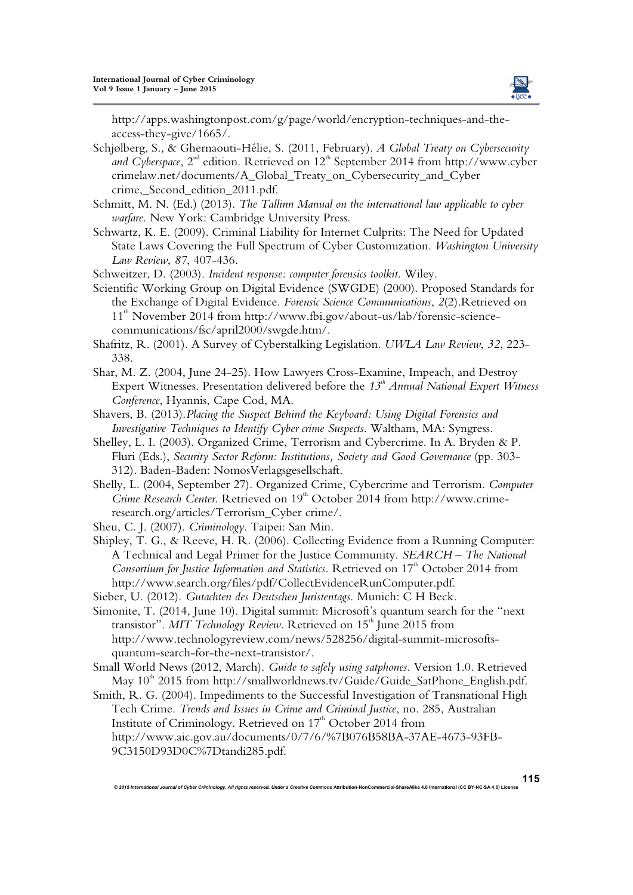

http://apps.washingtonpost.com/g/page/world/encryption-techniques-and-theaccess-they-give/1665/.

- Schjølberg, S., & Ghernaouti-Hélie, S. (2011, February). *A Global Treaty on Cybersecurity and Cyberspace*,  $2^{nd}$  edition. Retrieved on  $12^{th}$  September 2014 from http://www.cyber crimelaw.net/documents/A\_Global\_Treaty\_on\_Cybersecurity\_and\_Cyber crime,\_Second\_edition\_2011.pdf.
- Schmitt, M. N. (Ed.) (2013). *The Tallinn Manual on the international law applicable to cyber warfare*. New York: Cambridge University Press.
- Schwartz, K. E. (2009). Criminal Liability for Internet Culprits: The Need for Updated State Laws Covering the Full Spectrum of Cyber Customization. *Washington University Law Review*, *87*, 407-436.
- Schweitzer, D. (2003). *Incident response: computer forensics toolkit*. Wiley.
- Scientific Working Group on Digital Evidence (SWGDE) (2000). Proposed Standards for the Exchange of Digital Evidence. *Forensic Science Communications*, *2*(2).Retrieved on 11<sup>th</sup> November 2014 from http://www.fbi.gov/about-us/lab/forensic-sciencecommunications/fsc/april2000/swgde.htm/.
- Shafritz, R. (2001). A Survey of Cyberstalking Legislation. *UWLA Law Review*, *32*, 223- 338.
- Shar, M. Z. (2004, June 24-25). How Lawyers Cross-Examine, Impeach, and Destroy Expert Witnesses. Presentation delivered before the 13<sup>th</sup> Annual National Expert Witness *Conference*, Hyannis, Cape Cod, MA.
- Shavers, B. (2013).*Placing the Suspect Behind the Keyboard: Using Digital Forensics and Investigative Techniques to Identify Cyber crime Suspects*. Waltham, MA: Syngress.
- Shelley, L. I. (2003). Organized Crime, Terrorism and Cybercrime. In A. Bryden & P. Fluri (Eds.), *Security Sector Reform: Institutions, Society and Good Governance* (pp. 303- 312). Baden-Baden: NomosVerlagsgesellschaft.
- Shelly, L. (2004, September 27). Organized Crime, Cybercrime and Terrorism. *Computer Crime Research Center*. Retrieved on 19<sup>th</sup> October 2014 from http://www.crimeresearch.org/articles/Terrorism\_Cyber crime/.
- Sheu, C. J. (2007). *Criminology*. Taipei: San Min.
- Shipley, T. G., & Reeve, H. R. (2006). Collecting Evidence from a Running Computer: A Technical and Legal Primer for the Justice Community. *SEARCH – The National Consortium for Justice Information and Statistics.* Retrieved on 17<sup>th</sup> October 2014 from http://www.search.org/files/pdf/CollectEvidenceRunComputer.pdf.
- Sieber, U. (2012). *Gutachten des Deutschen Juristentags*. Munich: C H Beck.
- Simonite, T. (2014, June 10). Digital summit: Microsoft's quantum search for the "next transistor". *MIT Technology Review*. Retrieved on 15<sup>th</sup> June 2015 from http://www.technologyreview.com/news/528256/digital-summit-microsoftsquantum-search-for-the-next-transistor/.
- Small World News (2012, March). *Guide to safely using satphones*. Version 1.0. Retrieved May  $10^{th}$  2015 from http://smallworldnews.tv/Guide/Guide\_SatPhone\_English.pdf.
- Smith, R. G. (2004). Impediments to the Successful Investigation of Transnational High Tech Crime. *Trends and Issues in Crime and Criminal Justice*, no. 285, Australian Institute of Criminology. Retrieved on  $17<sup>th</sup>$  October 2014 from http://www.aic.gov.au/documents/0/7/6/%7B076B58BA-37AE-4673-93FB-9C3150D93D0C%7Dtandi285.pdf.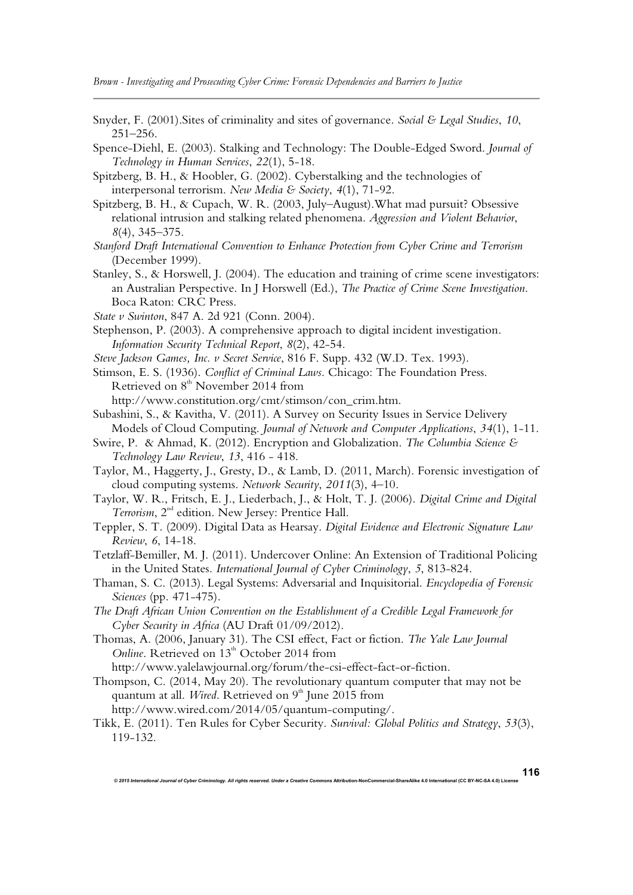*Brown - Investigating and Prosecuting Cyber Crime: Forensic Dependencies and Barriers to Justice*

- Snyder, F. (2001).Sites of criminality and sites of governance. *Social & Legal Studies*, *10*, 251–256.
- Spence-Diehl, E. (2003). Stalking and Technology: The Double-Edged Sword. *Journal of Technology in Human Services*, *22*(1), 5-18.

Spitzberg, B. H., & Hoobler, G. (2002). Cyberstalking and the technologies of interpersonal terrorism. *New Media & Society*, *4*(1), 71-92.

- Spitzberg, B. H., & Cupach, W. R. (2003, July–August).What mad pursuit? Obsessive relational intrusion and stalking related phenomena. *Aggression and Violent Behavior*, *8*(4), 345–375.
- *Stanford Draft International Convention to Enhance Protection from Cyber Crime and Terrorism* (December 1999).
- Stanley, S., & Horswell, J. (2004). The education and training of crime scene investigators: an Australian Perspective. In J Horswell (Ed.), *The Practice of Crime Scene Investigation*. Boca Raton: CRC Press.
- *State v Swinton*, 847 A. 2d 921 (Conn. 2004).
- Stephenson, P. (2003). A comprehensive approach to digital incident investigation. *Information Security Technical Report*, *8*(2), 42-54.
- *Steve Jackson Games, Inc. v Secret Service*, 816 F. Supp. 432 (W.D. Tex. 1993).
- Stimson, E. S. (1936). *Conflict of Criminal Laws*. Chicago: The Foundation Press. Retrieved on  $8<sup>th</sup>$  November 2014 from http://www.constitution.org/cmt/stimson/con\_crim.htm.
- Subashini, S., & Kavitha, V. (2011). A Survey on Security Issues in Service Delivery Models of Cloud Computing. *Journal of Network and Computer Applications*, *34*(1), 1-11.
- Swire, P. & Ahmad, K. (2012). Encryption and Globalization. *The Columbia Science & Technology Law Review*, *13*, 416 - 418.
- Taylor, M., Haggerty, J., Gresty, D., & Lamb, D. (2011, March). Forensic investigation of cloud computing systems. *Network Security*, *2011*(3), 4–10.
- Taylor, W. R., Fritsch, E. J., Liederbach, J., & Holt, T. J. (2006). *Digital Crime and Digital*  Terrorism, 2<sup>nd</sup> edition. New Jersey: Prentice Hall.
- Teppler, S. T. (2009). Digital Data as Hearsay. *Digital Evidence and Electronic Signature Law Review*, *6*, 14-18.
- Tetzlaff-Bemiller, M. J. (2011). Undercover Online: An Extension of Traditional Policing in the United States. *International Journal of Cyber Criminology*, *5*, 813-824.
- Thaman, S. C. (2013). Legal Systems: Adversarial and Inquisitorial. *Encyclopedia of Forensic Sciences* (pp. 471-475).
- *The Draft African Union Convention on the Establishment of a Credible Legal Framework for Cyber Security in Africa* (AU Draft 01/09/2012).
- Thomas, A. (2006, January 31). The CSI effect, Fact or fiction. *The Yale Law Journal Online*. Retrieved on 13<sup>th</sup> October 2014 from

http://www.yalelawjournal.org/forum/the-csi-effect-fact-or-fiction.

Thompson, C. (2014, May 20). The revolutionary quantum computer that may not be quantum at all. *Wired*. Retrieved on  $9<sup>th</sup>$  June 2015 from

http://www.wired.com/2014/05/quantum-computing/.

Tikk, E. (2011). Ten Rules for Cyber Security. *Survival: Global Politics and Strategy*, *53*(3), 119-132.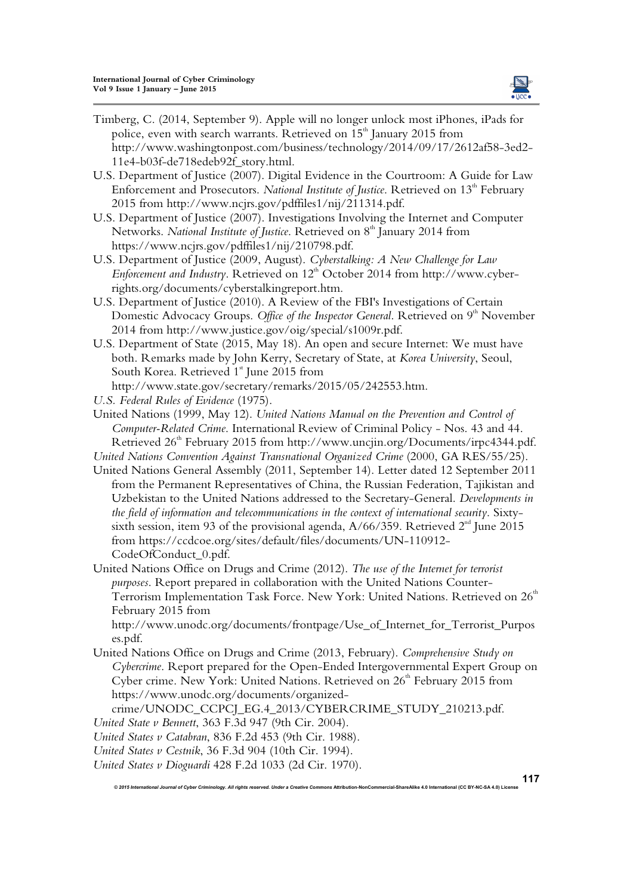

- Timberg, C. (2014, September 9). Apple will no longer unlock most iPhones, iPads for police, even with search warrants. Retrieved on  $15<sup>th</sup>$  January 2015 from http://www.washingtonpost.com/business/technology/2014/09/17/2612af58-3ed2- 11e4-b03f-de718edeb92f\_story.html.
- U.S. Department of Justice (2007). Digital Evidence in the Courtroom: A Guide for Law Enforcement and Prosecutors. *National Institute of Justice*. Retrieved on 13<sup>th</sup> February 2015 from http://www.ncjrs.gov/pdffiles1/nij/211314.pdf.
- U.S. Department of Justice (2007). Investigations Involving the Internet and Computer Networks. National Institute of Justice. Retrieved on 8<sup>th</sup> January 2014 from https://www.ncjrs.gov/pdffiles1/nij/210798.pdf.
- U.S. Department of Justice (2009, August). *Cyberstalking: A New Challenge for Law Enforcement and Industry*. Retrieved on 12<sup>th</sup> October 2014 from http://www.cyberrights.org/documents/cyberstalkingreport.htm.
- U.S. Department of Justice (2010). A Review of the FBI's Investigations of Certain Domestic Advocacy Groups. Office of the Inspector General. Retrieved on 9<sup>th</sup> November 2014 from http://www.justice.gov/oig/special/s1009r.pdf.
- U.S. Department of State (2015, May 18). An open and secure Internet: We must have both. Remarks made by John Kerry, Secretary of State, at *Korea University*, Seoul, South Korea. Retrieved  $1<sup>*</sup>$  June 2015 from http://www.state.gov/secretary/remarks/2015/05/242553.htm.

*U.S. Federal Rules of Evidence* (1975).

- United Nations (1999, May 12). *United Nations Manual on the Prevention and Control of Computer-Related Crime*. International Review of Criminal Policy - Nos. 43 and 44. Retrieved 26<sup>th</sup> February 2015 from http://www.uncjin.org/Documents/irpc4344.pdf.
- *United Nations Convention Against Transnational Organized Crime* (2000, GA RES/55/25).
- United Nations General Assembly (2011, September 14). Letter dated 12 September 2011 from the Permanent Representatives of China, the Russian Federation, Tajikistan and Uzbekistan to the United Nations addressed to the Secretary-General. *Developments in the field of information and telecommunications in the context of international security*. Sixtysixth session, item 93 of the provisional agenda,  $A/66/359$ . Retrieved  $2<sup>nd</sup>$  June 2015 from https://ccdcoe.org/sites/default/files/documents/UN-110912- CodeOfConduct\_0.pdf.
- United Nations Office on Drugs and Crime (2012). *The use of the Internet for terrorist purposes*. Report prepared in collaboration with the United Nations Counter-Terrorism Implementation Task Force. New York: United Nations. Retrieved on 26<sup>th</sup> February 2015 from

http://www.unodc.org/documents/frontpage/Use\_of\_Internet\_for\_Terrorist\_Purpos es.pdf.

United Nations Office on Drugs and Crime (2013, February). *Comprehensive Study on Cybercrime*. Report prepared for the Open-Ended Intergovernmental Expert Group on Cyber crime. New York: United Nations. Retrieved on  $26<sup>th</sup>$  February 2015 from https://www.unodc.org/documents/organized-

© 2015 International Journal of Cyber Criminology. All rights reserved. Under a Creative Commons Attribution-NonCommercial-ShareAlike 4.0 International (CC BY-NC-SA 4.0) Licens

crime/UNODC\_CCPCJ\_EG.4\_2013/CYBERCRIME\_STUDY\_210213.pdf.

*United State v Bennett*, 363 F.3d 947 (9th Cir. 2004).

*United States v Catabran*, 836 F.2d 453 (9th Cir. 1988).

- *United States v Cestnik*, 36 F.3d 904 (10th Cir. 1994).
- *United States v Dioguardi* 428 F.2d 1033 (2d Cir. 1970).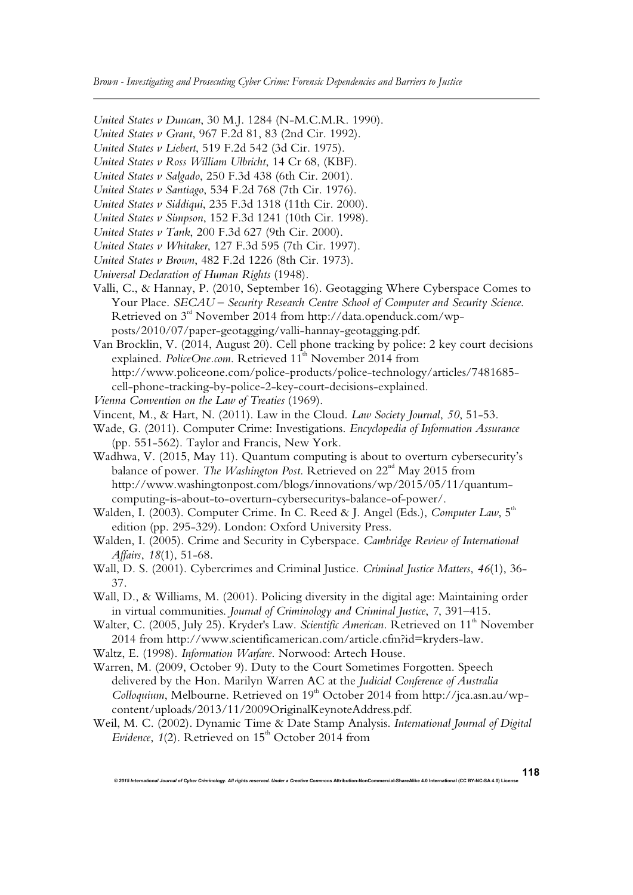*Brown - Investigating and Prosecuting Cyber Crime: Forensic Dependencies and Barriers to Justice*

*United States v Duncan*, 30 M.J. 1284 (N-M.C.M.R. 1990).

*United States v Grant*, 967 F.2d 81, 83 (2nd Cir. 1992).

*United States v Liebert*, 519 F.2d 542 (3d Cir. 1975).

*United States v Ross William Ulbricht*, 14 Cr 68, (KBF).

*United States v Salgado*, 250 F.3d 438 (6th Cir. 2001).

*United States v Santiago*, 534 F.2d 768 (7th Cir. 1976).

*United States v Siddiqui*, 235 F.3d 1318 (11th Cir. 2000).

*United States v Simpson*, 152 F.3d 1241 (10th Cir. 1998).

*United States v Tank*, 200 F.3d 627 (9th Cir. 2000).

*United States v Whitaker*, 127 F.3d 595 (7th Cir. 1997).

*United States v Brown*, 482 F.2d 1226 (8th Cir. 1973).

*Universal Declaration of Human Rights* (1948).

Valli, C., & Hannay, P. (2010, September 16). Geotagging Where Cyberspace Comes to Your Place. *SECAU – Security Research Centre School of Computer and Security Science*. Retrieved on 3<sup>rd</sup> November 2014 from http://data.openduck.com/wpposts/2010/07/paper-geotagging/valli-hannay-geotagging.pdf.

Van Brocklin, V. (2014, August 20). Cell phone tracking by police: 2 key court decisions explained. *PoliceOne.com*. Retrieved 11<sup>th</sup> November 2014 from http://www.policeone.com/police-products/police-technology/articles/7481685 cell-phone-tracking-by-police-2-key-court-decisions-explained.

*Vienna Convention on the Law of Treaties* (1969).

Vincent, M., & Hart, N. (2011). Law in the Cloud. *Law Society Journal*, *50*, 51-53.

Wade, G. (2011). Computer Crime: Investigations. *Encyclopedia of Information Assurance* (pp. 551-562). Taylor and Francis, New York.

Wadhwa, V. (2015, May 11). Quantum computing is about to overturn cybersecurity's balance of power. *The Washington Post*. Retrieved on 22<sup>nd</sup> May 2015 from http://www.washingtonpost.com/blogs/innovations/wp/2015/05/11/quantumcomputing-is-about-to-overturn-cybersecuritys-balance-of-power/.

Walden, I. (2003). Computer Crime. In C. Reed & J. Angel (Eds.), *Computer Law*, 5<sup>th</sup> edition (pp. 295-329). London: Oxford University Press.

Walden, I. (2005). Crime and Security in Cyberspace. *Cambridge Review of International Affairs*, *18*(1), 51-68.

Wall, D. S. (2001). Cybercrimes and Criminal Justice. *Criminal Justice Matters*, *46*(1), 36- 37.

Wall, D., & Williams, M. (2001). Policing diversity in the digital age: Maintaining order in virtual communities. *Journal of Criminology and Criminal Justice*, *7*, 391–415.

Walter, C. (2005, July 25). Kryder's Law. Scientific American. Retrieved on 11<sup>th</sup> November 2014 from http://www.scientificamerican.com/article.cfm?id=kryders-law.

Waltz, E. (1998). *Information Warfare*. Norwood: Artech House.

Warren, M. (2009, October 9). Duty to the Court Sometimes Forgotten. Speech delivered by the Hon. Marilyn Warren AC at the *Judicial Conference of Australia Colloquium*, Melbourne. Retrieved on 19<sup>th</sup> October 2014 from http://jca.asn.au/wpcontent/uploads/2013/11/2009OriginalKeynoteAddress.pdf.

Weil, M. C. (2002). Dynamic Time & Date Stamp Analysis. *International Journal of Digital Evidence*,  $1(2)$ . Retrieved on  $15<sup>th</sup>$  October 2014 from

**118**